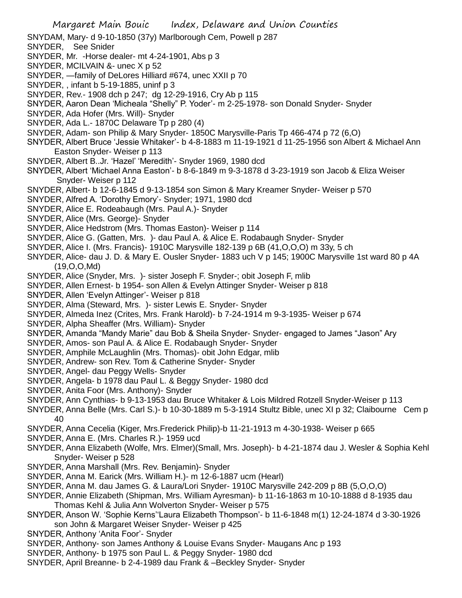- SNYDAM, Mary- d 9-10-1850 (37y) Marlborough Cem, Powell p 287
- SNYDER, See Snider
- SNYDER, Mr. -Horse dealer- mt 4-24-1901, Abs p 3
- SNYDER, MCILVAIN &- unec X p 52
- SNYDER, —family of DeLores Hilliard #674, unec XXII p 70
- SNYDER, , infant b 5-19-1885, uninf p 3
- SNYDER, Rev.- 1908 dch p 247; dg 12-29-1916, Cry Ab p 115
- SNYDER, Aaron Dean 'Micheala "Shelly" P. Yoder'- m 2-25-1978- son Donald Snyder- Snyder
- SNYDER, Ada Hofer (Mrs. Will)- Snyder
- SNYDER, Ada L.- 1870C Delaware Tp p 280 (4)
- SNYDER, Adam- son Philip & Mary Snyder- 1850C Marysville-Paris Tp 466-474 p 72 (6,O)
- SNYDER, Albert Bruce 'Jessie Whitaker'- b 4-8-1883 m 11-19-1921 d 11-25-1956 son Albert & Michael Ann Easton Snyder- Weiser p 113
- SNYDER, Albert B..Jr. 'Hazel' 'Meredith'- Snyder 1969, 1980 dcd
- SNYDER, Albert 'Michael Anna Easton'- b 8-6-1849 m 9-3-1878 d 3-23-1919 son Jacob & Eliza Weiser Snyder- Weiser p 112
- SNYDER, Albert- b 12-6-1845 d 9-13-1854 son Simon & Mary Kreamer Snyder- Weiser p 570
- SNYDER, Alfred A. 'Dorothy Emory'- Snyder; 1971, 1980 dcd
- SNYDER, Alice E. Rodeabaugh (Mrs. Paul A.)- Snyder
- SNYDER, Alice (Mrs. George)- Snyder
- SNYDER, Alice Hedstrom (Mrs. Thomas Easton)- Weiser p 114
- SNYDER, Alice G. (Gatten, Mrs. )- dau Paul A. & Alice E. Rodabaugh Snyder- Snyder
- SNYDER, Alice I. (Mrs. Francis)- 1910C Marysville 182-139 p 6B (41,O,O,O) m 33y, 5 ch
- SNYDER, Alice- dau J. D. & Mary E. Ousler Snyder- 1883 uch V p 145; 1900C Marysville 1st ward 80 p 4A (19,O,O,Md)
- SNYDER, Alice (Snyder, Mrs. )- sister Joseph F. Snyder-; obit Joseph F, mlib
- SNYDER, Allen Ernest- b 1954- son Allen & Evelyn Attinger Snyder- Weiser p 818
- SNYDER, Allen 'Evelyn Attinger'- Weiser p 818
- SNYDER, Alma (Steward, Mrs. )- sister Lewis E. Snyder- Snyder
- SNYDER, Almeda Inez (Crites, Mrs. Frank Harold)- b 7-24-1914 m 9-3-1935- Weiser p 674
- SNYDER, Alpha Sheaffer (Mrs. William)- Snyder
- SNYDER, Amanda "Mandy Marie" dau Bob & Sheila Snyder- Snyder- engaged to James "Jason" Ary
- SNYDER, Amos- son Paul A. & Alice E. Rodabaugh Snyder- Snyder
- SNYDER, Amphile McLaughlin (Mrs. Thomas)- obit John Edgar, mlib
- SNYDER, Andrew- son Rev. Tom & Catherine Snyder- Snyder
- SNYDER, Angel- dau Peggy Wells- Snyder
- SNYDER, Angela- b 1978 dau Paul L. & Beggy Snyder- 1980 dcd
- SNYDER, Anita Foor (Mrs. Anthony)- Snyder
- SNYDER, Ann Cynthias- b 9-13-1953 dau Bruce Whitaker & Lois Mildred Rotzell Snyder-Weiser p 113
- SNYDER, Anna Belle (Mrs. Carl S.)- b 10-30-1889 m 5-3-1914 Stultz Bible, unec XI p 32; Claibourne Cem p 40
- SNYDER, Anna Cecelia (Kiger, Mrs.Frederick Philip)-b 11-21-1913 m 4-30-1938- Weiser p 665
- SNYDER, Anna E. (Mrs. Charles R.)- 1959 ucd
- SNYDER, Anna Elizabeth (Wolfe, Mrs. Elmer)(Small, Mrs. Joseph)- b 4-21-1874 dau J. Wesler & Sophia Kehl Snyder- Weiser p 528
- SNYDER, Anna Marshall (Mrs. Rev. Benjamin)- Snyder
- SNYDER, Anna M. Earick (Mrs. William H.)- m 12-6-1887 ucm (Hearl)
- SNYDER, Anna M. dau James G. & Laura/Lori Snyder- 1910C Marysville 242-209 p 8B (5,O,O,O)
- SNYDER, Annie Elizabeth (Shipman, Mrs. William Ayresman)- b 11-16-1863 m 10-10-1888 d 8-1935 dau
	- Thomas Kehl & Julia Ann Wolverton Snyder- Weiser p 575
- SNYDER, Anson W. 'Sophie Kerns''Laura Elizabeth Thompson'- b 11-6-1848 m(1) 12-24-1874 d 3-30-1926 son John & Margaret Weiser Snyder- Weiser p 425
- SNYDER, Anthony 'Anita Foor'- Snyder
- SNYDER, Anthony- son James Anthony & Louise Evans Snyder- Maugans Anc p 193
- SNYDER, Anthony- b 1975 son Paul L. & Peggy Snyder- 1980 dcd
- SNYDER, April Breanne- b 2-4-1989 dau Frank & –Beckley Snyder- Snyder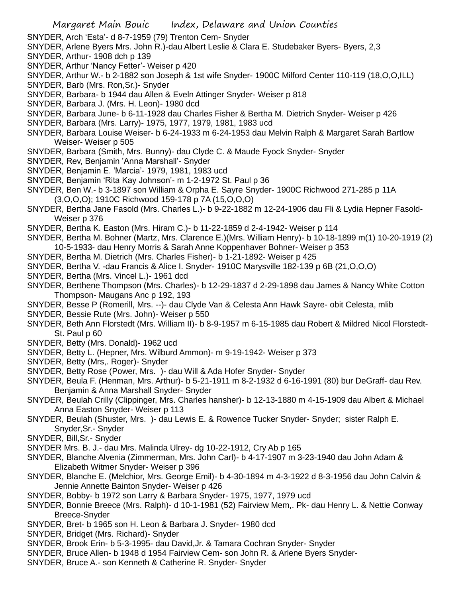- SNYDER, Arch 'Esta'- d 8-7-1959 (79) Trenton Cem- Snyder
- SNYDER, Arlene Byers Mrs. John R.)-dau Albert Leslie & Clara E. Studebaker Byers- Byers, 2,3
- SNYDER, Arthur- 1908 dch p 139
- SNYDER, Arthur 'Nancy Fetter'- Weiser p 420
- SNYDER, Arthur W.- b 2-1882 son Joseph & 1st wife Snyder- 1900C Milford Center 110-119 (18,O,O,ILL)
- SNYDER, Barb (Mrs. Ron,Sr.)- Snyder
- SNYDER, Barbara- b 1944 dau Allen & Eveln Attinger Snyder- Weiser p 818
- SNYDER, Barbara J. (Mrs. H. Leon)- 1980 dcd
- SNYDER, Barbara June- b 6-11-1928 dau Charles Fisher & Bertha M. Dietrich Snyder- Weiser p 426
- SNYDER, Barbara (Mrs. Larry)- 1975, 1977, 1979, 1981, 1983 ucd
- SNYDER, Barbara Louise Weiser- b 6-24-1933 m 6-24-1953 dau Melvin Ralph & Margaret Sarah Bartlow Weiser- Weiser p 505
- SNYDER, Barbara (Smith, Mrs. Bunny)- dau Clyde C. & Maude Fyock Snyder- Snyder
- SNYDER, Rev, Benjamin 'Anna Marshall'- Snyder
- SNYDER, Benjamin E. 'Marcia'- 1979, 1981, 1983 ucd
- SNYDER, Benjamin 'Rita Kay Johnson'- m 1-2-1972 St. Paul p 36
- SNYDER, Ben W.- b 3-1897 son William & Orpha E. Sayre Snyder- 1900C Richwood 271-285 p 11A (3,O,O,O); 1910C Richwood 159-178 p 7A (15,O,O,O)
- SNYDER, Bertha Jane Fasold (Mrs. Charles L.)- b 9-22-1882 m 12-24-1906 dau Fli & Lydia Hepner Fasold-Weiser p 376
- SNYDER, Bertha K. Easton (Mrs. Hiram C.)- b 11-22-1859 d 2-4-1942- Weiser p 114
- SNYDER, Bertha M. Bohner (Martz, Mrs. Clarence E.)(Mrs. William Henry)- b 10-18-1899 m(1) 10-20-1919 (2) 10-5-1933- dau Henry Morris & Sarah Anne Koppenhaver Bohner- Weiser p 353
- SNYDER, Bertha M. Dietrich (Mrs. Charles Fisher)- b 1-21-1892- Weiser p 425
- SNYDER, Bertha V. -dau Francis & Alice I. Snyder- 1910C Marysville 182-139 p 6B (21,O,O,O)
- SNYDER, Bertha (Mrs. Vincel L.)- 1961 dcd
- SNYDER, Berthene Thompson (Mrs. Charles)- b 12-29-1837 d 2-29-1898 dau James & Nancy White Cotton Thompson- Maugans Anc p 192, 193
- SNYDER, Besse P (Romerill, Mrs. --)- dau Clyde Van & Celesta Ann Hawk Sayre- obit Celesta, mlib
- SNYDER, Bessie Rute (Mrs. John)- Weiser p 550
- SNYDER, Beth Ann Florstedt (Mrs. William II)- b 8-9-1957 m 6-15-1985 dau Robert & Mildred Nicol Florstedt-St. Paul p 60
- SNYDER, Betty (Mrs. Donald)- 1962 ucd
- SNYDER, Betty L. (Hepner, Mrs. Wilburd Ammon)- m 9-19-1942- Weiser p 373
- SNYDER, Betty (Mrs,. Roger)- Snyder
- SNYDER, Betty Rose (Power, Mrs. )- dau Will & Ada Hofer Snyder- Snyder
- SNYDER, Beula F. (Henman, Mrs. Arthur)- b 5-21-1911 m 8-2-1932 d 6-16-1991 (80) bur DeGraff- dau Rev. Benjamin & Anna Marshall Snyder- Snyder
- SNYDER, Beulah Crilly (Clippinger, Mrs. Charles hansher)- b 12-13-1880 m 4-15-1909 dau Albert & Michael Anna Easton Snyder- Weiser p 113
- SNYDER, Beulah (Shuster, Mrs. )- dau Lewis E. & Rowence Tucker Snyder- Snyder; sister Ralph E. Snyder,Sr.- Snyder
- SNYDER, Bill,Sr.- Snyder
- SNYDER Mrs. B. J.- dau Mrs. Malinda Ulrey- dg 10-22-1912, Cry Ab p 165
- SNYDER, Blanche Alvenia (Zimmerman, Mrs. John Carl)- b 4-17-1907 m 3-23-1940 dau John Adam & Elizabeth Witmer Snyder- Weiser p 396
- SNYDER, Blanche E. (Melchior, Mrs. George Emil)- b 4-30-1894 m 4-3-1922 d 8-3-1956 dau John Calvin & Jennie Annette Bainton Snyder- Weiser p 426
- SNYDER, Bobby- b 1972 son Larry & Barbara Snyder- 1975, 1977, 1979 ucd
- SNYDER, Bonnie Breece (Mrs. Ralph)- d 10-1-1981 (52) Fairview Mem,. Pk- dau Henry L. & Nettie Conway Breece-Snyder
- SNYDER, Bret- b 1965 son H. Leon & Barbara J. Snyder- 1980 dcd
- SNYDER, Bridget (Mrs. Richard)- Snyder
- SNYDER, Brook Erin- b 5-3-1995- dau David,Jr. & Tamara Cochran Snyder- Snyder
- SNYDER, Bruce Allen- b 1948 d 1954 Fairview Cem- son John R. & Arlene Byers Snyder-
- SNYDER, Bruce A.- son Kenneth & Catherine R. Snyder- Snyder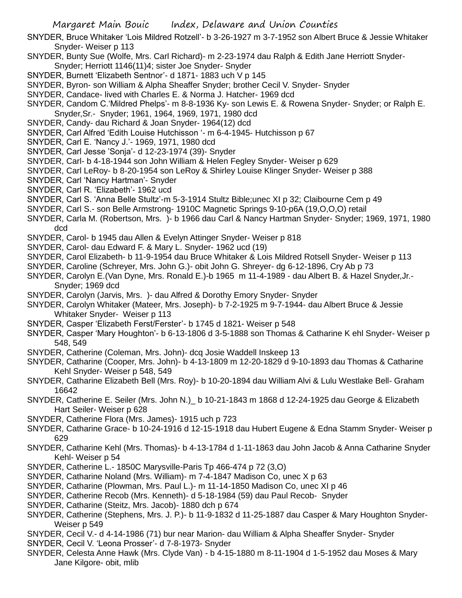- SNYDER, Bruce Whitaker 'Lois Mildred Rotzell'- b 3-26-1927 m 3-7-1952 son Albert Bruce & Jessie Whitaker Snyder- Weiser p 113
- SNYDER, Bunty Sue (Wolfe, Mrs. Carl Richard)- m 2-23-1974 dau Ralph & Edith Jane Herriott Snyder-Snyder; Herriott 1146(11)4; sister Joe Snyder- Snyder
- SNYDER, Burnett 'Elizabeth Sentnor'- d 1871- 1883 uch V p 145
- SNYDER, Byron- son William & Alpha Sheaffer Snyder; brother Cecil V. Snyder- Snyder
- SNYDER, Candace- lived with Charles E. & Norma J. Hatcher- 1969 dcd
- SNYDER, Candom C.'Mildred Phelps'- m 8-8-1936 Ky- son Lewis E. & Rowena Snyder- Snyder; or Ralph E. Snyder,Sr.- Snyder; 1961, 1964, 1969, 1971, 1980 dcd
- SNYDER, Candy- dau Richard & Joan Snyder- 1964(12) dcd
- SNYDER, Carl Alfred 'Edith Louise Hutchisson '- m 6-4-1945- Hutchisson p 67
- SNYDER, Carl E. 'Nancy J.'- 1969, 1971, 1980 dcd
- SNYDER, Carl Jesse 'Sonja'- d 12-23-1974 (39)- Snyder
- SNYDER, Carl- b 4-18-1944 son John William & Helen Fegley Snyder- Weiser p 629
- SNYDER, Carl LeRoy- b 8-20-1954 son LeRoy & Shirley Louise Klinger Snyder- Weiser p 388
- SNYDER, Carl 'Nancy Hartman'- Snyder
- SNYDER, Carl R. 'Elizabeth'- 1962 ucd
- SNYDER, Carl S. 'Anna Belle Stultz'-m 5-3-1914 Stultz Bible;unec XI p 32; Claibourne Cem p 49
- SNYDER, Carl S.- son Belle Armstrong- 1910C Magnetic Springs 9-10-p6A (19,O,O,O) retail
- SNYDER, Carla M. (Robertson, Mrs. )- b 1966 dau Carl & Nancy Hartman Snyder- Snyder; 1969, 1971, 1980 dcd
- SNYDER, Carol- b 1945 dau Allen & Evelyn Attinger Snyder- Weiser p 818
- SNYDER, Carol- dau Edward F. & Mary L. Snyder- 1962 ucd (19)
- SNYDER, Carol Elizabeth- b 11-9-1954 dau Bruce Whitaker & Lois Mildred Rotsell Snyder- Weiser p 113
- SNYDER, Caroline (Schreyer, Mrs. John G.)- obit John G. Shreyer- dg 6-12-1896, Cry Ab p 73
- SNYDER, Carolyn E.(Van Dyne, Mrs. Ronald E.)-b 1965 m 11-4-1989 dau Albert B. & Hazel Snyder,Jr.- Snyder; 1969 dcd
- SNYDER, Carolyn (Jarvis, Mrs. )- dau Alfred & Dorothy Emory Snyder- Snyder
- SNYDER, Carolyn Whitaker (Mateer, Mrs. Joseph)- b 7-2-1925 m 9-7-1944- dau Albert Bruce & Jessie Whitaker Snyder- Weiser p 113
- SNYDER, Casper 'Elizabeth Ferst/Ferster'- b 1745 d 1821- Weiser p 548
- SNYDER, Casper 'Mary Houghton'- b 6-13-1806 d 3-5-1888 son Thomas & Catharine K ehl Snyder- Weiser p 548, 549
- SNYDER, Catherine (Coleman, Mrs. John)- dcq Josie Waddell Inskeep 13
- SNYDER, Catharine (Cooper, Mrs. John)- b 4-13-1809 m 12-20-1829 d 9-10-1893 dau Thomas & Catharine Kehl Snyder- Weiser p 548, 549
- SNYDER, Catharine Elizabeth Bell (Mrs. Roy)- b 10-20-1894 dau William Alvi & Lulu Westlake Bell- Graham 16642
- SNYDER, Catherine E. Seiler (Mrs. John N.)\_ b 10-21-1843 m 1868 d 12-24-1925 dau George & Elizabeth Hart Seiler- Weiser p 628
- SNYDER, Catherine Flora (Mrs. James)- 1915 uch p 723
- SNYDER, Catharine Grace- b 10-24-1916 d 12-15-1918 dau Hubert Eugene & Edna Stamm Snyder- Weiser p 629
- SNYDER, Catharine Kehl (Mrs. Thomas)- b 4-13-1784 d 1-11-1863 dau John Jacob & Anna Catharine Snyder Kehl- Weiser p 54
- SNYDER, Catherine L.- 1850C Marysville-Paris Tp 466-474 p 72 (3,O)
- SNYDER, Catharine Noland (Mrs. William)- m 7-4-1847 Madison Co, unec X p 63
- SNYDER, Catharine (Plowman, Mrs. Paul L.)- m 11-14-1850 Madison Co, unec XI p 46
- SNYDER, Catherine Recob (Mrs. Kenneth)- d 5-18-1984 (59) dau Paul Recob- Snyder
- SNYDER, Catharine (Steitz, Mrs. Jacob)- 1880 dch p 674
- SNYDER, Catherine (Stephens, Mrs. J. P.)- b 11-9-1832 d 11-25-1887 dau Casper & Mary Houghton Snyder-Weiser p 549
- SNYDER, Cecil V.- d 4-14-1986 (71) bur near Marion- dau William & Alpha Sheaffer Snyder- Snyder
- SNYDER, Cecil V. 'Leona Prosser'- d 7-8-1973- Snyder
- SNYDER, Celesta Anne Hawk (Mrs. Clyde Van) b 4-15-1880 m 8-11-1904 d 1-5-1952 dau Moses & Mary Jane Kilgore- obit, mlib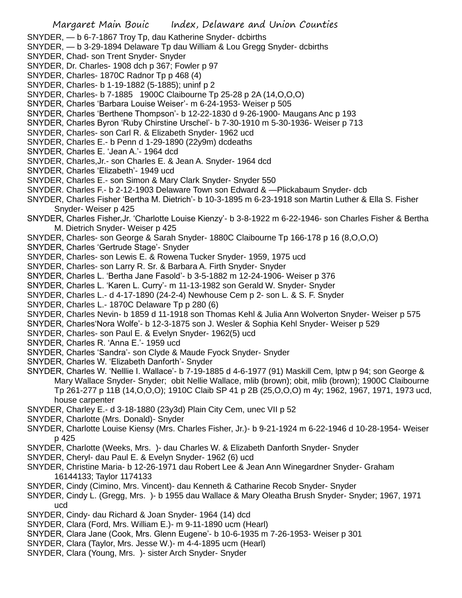SNYDER, — b 6-7-1867 Troy Tp, dau Katherine Snyder- dcbirths

- SNYDER, b 3-29-1894 Delaware Tp dau William & Lou Gregg Snyder- dcbirths
- SNYDER, Chad- son Trent Snyder- Snyder
- SNYDER, Dr. Charles- 1908 dch p 367; Fowler p 97
- SNYDER, Charles- 1870C Radnor Tp p 468 (4)
- SNYDER, Charles- b 1-19-1882 (5-1885); uninf p 2
- SNYDER, Charles- b 7-1885 1900C Claibourne Tp 25-28 p 2A (14,O,O,O)
- SNYDER, Charles 'Barbara Louise Weiser'- m 6-24-1953- Weiser p 505
- SNYDER, Charles 'Berthene Thompson'- b 12-22-1830 d 9-26-1900- Maugans Anc p 193
- SNYDER, Charles Byron 'Ruby Chirstine Urschel'- b 7-30-1910 m 5-30-1936- Weiser p 713
- SNYDER, Charles- son Carl R. & Elizabeth Snyder- 1962 ucd
- SNYDER, Charles E.- b Penn d 1-29-1890 (22y9m) dcdeaths
- SNYDER, Charles E. 'Jean A.'- 1964 dcd
- SNYDER, Charles,Jr.- son Charles E. & Jean A. Snyder- 1964 dcd
- SNYDER, Charles 'Elizabeth'- 1949 ucd
- SNYDER, Charles E.- son Simon & Mary Clark Snyder- Snyder 550
- SNYDER. Charles F.- b 2-12-1903 Delaware Town son Edward & —Plickabaum Snyder- dcb
- SNYDER, Charles Fisher 'Bertha M. Dietrich'- b 10-3-1895 m 6-23-1918 son Martin Luther & Ella S. Fisher Snyder- Weiser p 425
- SNYDER, Charles Fisher,Jr. 'Charlotte Louise Kienzy'- b 3-8-1922 m 6-22-1946- son Charles Fisher & Bertha M. Dietrich Snyder- Weiser p 425
- SNYDER, Charles- son George & Sarah Snyder- 1880C Claibourne Tp 166-178 p 16 (8,O,O,O)
- SNYDER, Charles 'Gertrude Stage'- Snyder
- SNYDER, Charles- son Lewis E. & Rowena Tucker Snyder- 1959, 1975 ucd
- SNYDER, Charles- son Larry R. Sr. & Barbara A. Firth Snyder- Snyder
- SNYDER, Charles L. 'Bertha Jane Fasold'- b 3-5-1882 m 12-24-1906- Weiser p 376
- SNYDER, Charles L. 'Karen L. Curry'- m 11-13-1982 son Gerald W. Snyder- Snyder
- SNYDER, Charles L.- d 4-17-1890 (24-2-4) Newhouse Cem p 2- son L. & S. F. Snyder
- SNYDER, Charles L.- 1870C Delaware Tp p 280 (6)
- SNYDER, Charles Nevin- b 1859 d 11-1918 son Thomas Kehl & Julia Ann Wolverton Snyder- Weiser p 575
- SNYDER, Charles'Nora Wolfe'- b 12-3-1875 son J. Wesler & Sophia Kehl Snyder- Weiser p 529
- SNYDER, Charles- son Paul E. & Evelyn Snyder- 1962(5) ucd
- SNYDER, Charles R. 'Anna E.'- 1959 ucd
- SNYDER, Charles 'Sandra'- son Clyde & Maude Fyock Snyder- Snyder
- SNYDER, Charles W. 'Elizabeth Danforth'- Snyder
- SNYDER, Charles W. 'Nelllie I. Wallace'- b 7-19-1885 d 4-6-1977 (91) Maskill Cem, lptw p 94; son George & Mary Wallace Snyder- Snyder; obit Nellie Wallace, mlib (brown); obit, mlib (brown); 1900C Claibourne Tp 261-277 p 11B (14,O,O,O); 1910C Claib SP 41 p 2B (25,O,O,O) m 4y; 1962, 1967, 1971, 1973 ucd, house carpenter
- SNYDER, Charley E.- d 3-18-1880 (23y3d) Plain City Cem, unec VII p 52
- SNYDER, Charlotte (Mrs. Donald)- Snyder
- SNYDER, Charlotte Louise Kiensy (Mrs. Charles Fisher, Jr.)- b 9-21-1924 m 6-22-1946 d 10-28-1954- Weiser p 425
- SNYDER, Charlotte (Weeks, Mrs. )- dau Charles W. & Elizabeth Danforth Snyder- Snyder
- SNYDER, Cheryl- dau Paul E. & Evelyn Snyder- 1962 (6) ucd
- SNYDER, Christine Maria- b 12-26-1971 dau Robert Lee & Jean Ann Winegardner Snyder- Graham 16144133; Taylor 1174133
- SNYDER, Cindy (Cimino, Mrs. Vincent)- dau Kenneth & Catharine Recob Snyder- Snyder
- SNYDER, Cindy L. (Gregg, Mrs. )- b 1955 dau Wallace & Mary Oleatha Brush Snyder- Snyder; 1967, 1971 ucd
- SNYDER, Cindy- dau Richard & Joan Snyder- 1964 (14) dcd
- SNYDER, Clara (Ford, Mrs. William E.)- m 9-11-1890 ucm (Hearl)
- SNYDER, Clara Jane (Cook, Mrs. Glenn Eugene'- b 10-6-1935 m 7-26-1953- Weiser p 301
- SNYDER, Clara (Taylor, Mrs. Jesse W.)- m 4-4-1895 ucm (Hearl)
- SNYDER, Clara (Young, Mrs. )- sister Arch Snyder- Snyder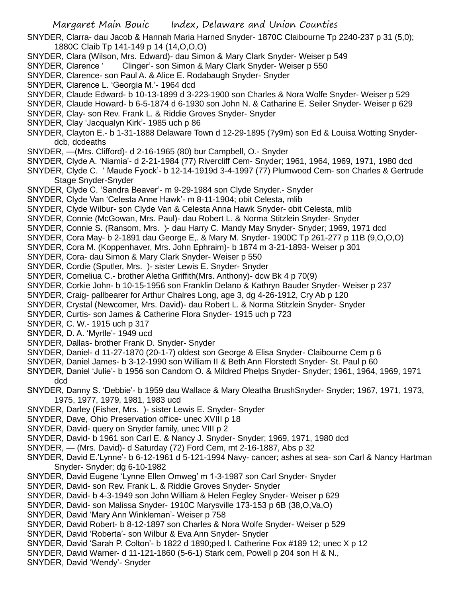SNYDER, Clarra- dau Jacob & Hannah Maria Harned Snyder- 1870C Claibourne Tp 2240-237 p 31 (5,0); 1880C Claib Tp 141-149 p 14 (14,O,O,O)

- SNYDER, Clara (Wilson, Mrs. Edward)- dau Simon & Mary Clark Snyder- Weiser p 549
- SNYDER, Clarence ' Clinger'- son Simon & Mary Clark Snyder- Weiser p 550
- SNYDER, Clarence- son Paul A. & Alice E. Rodabaugh Snyder- Snyder
- SNYDER, Clarence L. 'Georgia M.'- 1964 dcd
- SNYDER, Claude Edward- b 10-13-1899 d 3-223-1900 son Charles & Nora Wolfe Snyder- Weiser p 529
- SNYDER, Claude Howard- b 6-5-1874 d 6-1930 son John N. & Catharine E. Seiler Snyder- Weiser p 629
- SNYDER, Clay- son Rev. Frank L. & Riddie Groves Snyder- Snyder
- SNYDER, Clay 'Jacqualyn Kirk'- 1985 uch p 86
- SNYDER, Clayton E.- b 1-31-1888 Delaware Town d 12-29-1895 (7y9m) son Ed & Louisa Wotting Snyderdcb, dcdeaths
- SNYDER, —(Mrs. Clifford)- d 2-16-1965 (80) bur Campbell, O.- Snyder
- SNYDER, Clyde A. 'Niamia'- d 2-21-1984 (77) Rivercliff Cem- Snyder; 1961, 1964, 1969, 1971, 1980 dcd
- SNYDER, Clyde C. ' Maude Fyock'- b 12-14-1919d 3-4-1997 (77) Plumwood Cem- son Charles & Gertrude Stage Snyder-Snyder
- SNYDER, Clyde C. 'Sandra Beaver'- m 9-29-1984 son Clyde Snyder.- Snyder
- SNYDER, Clyde Van 'Celesta Anne Hawk'- m 8-11-1904; obit Celesta, mlib
- SNYDER, Clyde Wilbur- son Clyde Van & Celesta Anna Hawk Snyder- obit Celesta, mlib
- SNYDER, Connie (McGowan, Mrs. Paul)- dau Robert L. & Norma Stitzlein Snyder- Snyder
- SNYDER, Connie S. (Ransom, Mrs. )- dau Harry C. Mandy May Snyder- Snyder; 1969, 1971 dcd
- SNYDER, Cora May- b 2-1891 dau George E,. & Mary M. Snyder- 1900C Tp 261-277 p 11B (9,O,O,O)
- SNYDER, Cora M. (Koppenhaver, Mrs. John Ephraim)- b 1874 m 3-21-1893- Weiser p 301
- SNYDER, Cora- dau Simon & Mary Clark Snyder- Weiser p 550
- SNYDER, Cordie (Sputler, Mrs. )- sister Lewis E. Snyder- Snyder
- SNYDER, Corneliua C.- brother Aletha Griffith(Mrs. Anthony)- dcw Bk 4 p 70(9)
- SNYDER, Corkie John- b 10-15-1956 son Franklin Delano & Kathryn Bauder Snyder- Weiser p 237
- SNYDER, Craig- pallbearer for Arthur Chalres Long, age 3, dg 4-26-1912, Cry Ab p 120
- SNYDER, Crystal (Newcomer, Mrs. David)- dau Robert L. & Norma Stitzlein Snyder- Snyder
- SNYDER, Curtis- son James & Catherine Flora Snyder- 1915 uch p 723
- SNYDER, C. W.- 1915 uch p 317
- SNYDER, D. A. 'Myrtle'- 1949 ucd
- SNYDER, Dallas- brother Frank D. Snyder- Snyder
- SNYDER, Daniel- d 11-27-1870 (20-1-7) oldest son George & Elisa Snyder- Claibourne Cem p 6
- SNYDER, Daniel James- b 3-12-1990 son William II & Beth Ann Florstedt Snyder- St. Paul p 60
- SNYDER, Daniel 'Julie'- b 1956 son Candom O. & Mildred Phelps Snyder- Snyder; 1961, 1964, 1969, 1971 dcd
- SNYDER, Danny S. 'Debbie'- b 1959 dau Wallace & Mary Oleatha BrushSnyder- Snyder; 1967, 1971, 1973, 1975, 1977, 1979, 1981, 1983 ucd
- SNYDER, Darley (Fisher, Mrs. )- sister Lewis E. Snyder- Snyder
- SNYDER, Dave, Ohio Preservation office- unec XVIII p 18
- SNYDER, David- query on Snyder family, unec VIII p 2
- SNYDER, David- b 1961 son Carl E. & Nancy J. Snyder- Snyder; 1969, 1971, 1980 dcd
- SNYDER, (Mrs. David)- d Saturday (72) Ford Cem, mt 2-16-1887, Abs p 32
- SNYDER, David E.'Lynne'- b 6-12-1961 d 5-121-1994 Navy- cancer; ashes at sea- son Carl & Nancy Hartman Snyder- Snyder; dg 6-10-1982
- SNYDER, David Eugene 'Lynne Ellen Omweg' m 1-3-1987 son Carl Snyder- Snyder
- SNYDER, David- son Rev. Frank L. & Riddie Groves Snyder- Snyder
- SNYDER, David- b 4-3-1949 son John William & Helen Fegley Snyder- Weiser p 629
- SNYDER, David- son Malissa Snyder- 1910C Marysville 173-153 p 6B (38,O,Va,O)
- SNYDER, David 'Mary Ann Winkleman'- Weiser p 758
- SNYDER, David Robert- b 8-12-1897 son Charles & Nora Wolfe Snyder- Weiser p 529
- SNYDER, David 'Roberta'- son Wilbur & Eva Ann Snyder- Snyder
- SNYDER, David 'Sarah P. Colton'- b 1822 d 1890;ped l. Catherine Fox #189 12; unec X p 12
- SNYDER, David Warner- d 11-121-1860 (5-6-1) Stark cem, Powell p 204 son H & N.,
- SNYDER, David 'Wendy'- Snyder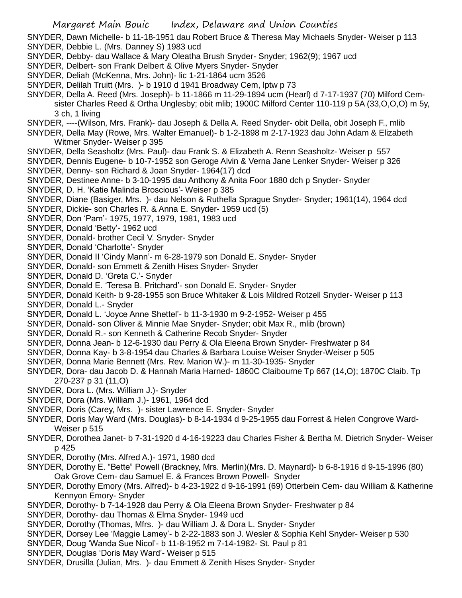SNYDER, Dawn Michelle- b 11-18-1951 dau Robert Bruce & Theresa May Michaels Snyder- Weiser p 113 SNYDER, Debbie L. (Mrs. Danney S) 1983 ucd

- SNYDER, Debby- dau Wallace & Mary Oleatha Brush Snyder- Snyder; 1962(9); 1967 ucd
- SNYDER, Delbert- son Frank Delbert & Olive Myers Snyder- Snyder
- SNYDER, Deliah (McKenna, Mrs. John)- lic 1-21-1864 ucm 3526
- SNYDER, Delilah Truitt (Mrs. )- b 1910 d 1941 Broadway Cem, lptw p 73
- SNYDER, Della A. Reed (Mrs. Joseph)- b 11-1866 m 11-29-1894 ucm (Hearl) d 7-17-1937 (70) Milford Cemsister Charles Reed & Ortha Unglesby; obit mlib; 1900C Milford Center 110-119 p 5A (33,O,O,O) m 5y, 3 ch, 1 living
- SNYDER, ----(Wilson, Mrs. Frank)- dau Joseph & Della A. Reed Snyder- obit Della, obit Joseph F., mlib
- SNYDER, Della May (Rowe, Mrs. Walter Emanuel)- b 1-2-1898 m 2-17-1923 dau John Adam & Elizabeth Witmer Snyder- Weiser p 395
- SNYDER, Della Seasholtz (Mrs. Paul)- dau Frank S. & Elizabeth A. Renn Seasholtz- Weiser p 557
- SNYDER, Dennis Eugene- b 10-7-1952 son Geroge Alvin & Verna Jane Lenker Snyder- Weiser p 326
- SNYDER, Denny- son Richard & Joan Snyder- 1964(17) dcd
- SNYDER, Destinee Anne- b 3-10-1995 dau Anthony & Anita Foor 1880 dch p Snyder- Snyder
- SNYDER, D. H. 'Katie Malinda Broscious'- Weiser p 385
- SNYDER, Diane (Basiger, Mrs. )- dau Nelson & Ruthella Sprague Snyder- Snyder; 1961(14), 1964 dcd
- SNYDER, Dickie- son Charles R. & Anna E. Snyder- 1959 ucd (5)
- SNYDER, Don 'Pam'- 1975, 1977, 1979, 1981, 1983 ucd
- SNYDER, Donald 'Betty'- 1962 ucd
- SNYDER, Donald- brother Cecil V. Snyder- Snyder
- SNYDER, Donald 'Charlotte'- Snyder
- SNYDER, Donald II 'Cindy Mann'- m 6-28-1979 son Donald E. Snyder- Snyder
- SNYDER, Donald- son Emmett & Zenith Hises Snyder- Snyder
- SNYDER, Donald D. 'Greta C.'- Snyder
- SNYDER, Donald E. 'Teresa B. Pritchard'- son Donald E. Snyder- Snyder
- SNYDER, Donald Keith- b 9-28-1955 son Bruce Whitaker & Lois Mildred Rotzell Snyder- Weiser p 113
- SNYDER, Donald L.- Snyder
- SNYDER, Donald L. 'Joyce Anne Shettel'- b 11-3-1930 m 9-2-1952- Weiser p 455
- SNYDER, Donald- son Oliver & Minnie Mae Snyder- Snyder; obit Max R., mlib (brown)
- SNYDER, Donald R.- son Kenneth & Catherine Recob Snyder- Snyder
- SNYDER, Donna Jean- b 12-6-1930 dau Perry & Ola Eleena Brown Snyder- Freshwater p 84
- SNYDER, Donna Kay- b 3-8-1954 dau Charles & Barbara Louise Weiser Snyder-Weiser p 505
- SNYDER, Donna Marie Bennett (Mrs. Rev. Marion W.)- m 11-30-1935- Snyder
- SNYDER, Dora- dau Jacob D. & Hannah Maria Harned- 1860C Claibourne Tp 667 (14,O); 1870C Claib. Tp 270-237 p 31 (11,O)
- SNYDER, Dora L. (Mrs. William J.)- Snyder
- SNYDER, Dora (Mrs. William J.)- 1961, 1964 dcd
- SNYDER, Doris (Carey, Mrs. )- sister Lawrence E. Snyder- Snyder
- SNYDER, Doris May Ward (Mrs. Douglas)- b 8-14-1934 d 9-25-1955 dau Forrest & Helen Congrove Ward-Weiser p 515
- SNYDER, Dorothea Janet- b 7-31-1920 d 4-16-19223 dau Charles Fisher & Bertha M. Dietrich Snyder- Weiser p 425
- SNYDER, Dorothy (Mrs. Alfred A.)- 1971, 1980 dcd
- SNYDER, Dorothy E. "Bette" Powell (Brackney, Mrs. Merlin)(Mrs. D. Maynard)- b 6-8-1916 d 9-15-1996 (80) Oak Grove Cem- dau Samuel E. & Frances Brown Powell- Snyder
- SNYDER, Dorothy Emory (Mrs. Alfred)- b 4-23-1922 d 9-16-1991 (69) Otterbein Cem- dau William & Katherine Kennyon Emory- Snyder
- SNYDER, Dorothy- b 7-14-1928 dau Perry & Ola Eleena Brown Snyder- Freshwater p 84
- SNYDER, Dorothy- dau Thomas & Elma Snyder- 1949 ucd
- SNYDER, Dorothy (Thomas, Mfrs. )- dau William J. & Dora L. Snyder- Snyder
- SNYDER, Dorsey Lee 'Maggie Lamey'- b 2-22-1883 son J. Wesler & Sophia Kehl Snyder- Weiser p 530
- SNYDER, Doug 'Wanda Sue Nicol'- b 11-8-1952 m 7-14-1982- St. Paul p 81
- SNYDER, Douglas 'Doris May Ward'- Weiser p 515
- SNYDER, Drusilla (Julian, Mrs. )- dau Emmett & Zenith Hises Snyder- Snyder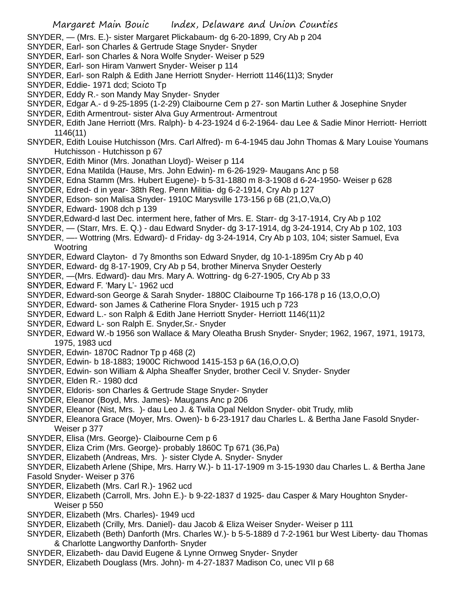- SNYDER, (Mrs. E.)- sister Margaret Plickabaum- dg 6-20-1899, Cry Ab p 204
- SNYDER, Earl- son Charles & Gertrude Stage Snyder- Snyder
- SNYDER, Earl- son Charles & Nora Wolfe Snyder- Weiser p 529
- SNYDER, Earl- son Hiram Vanwert Snyder- Weiser p 114
- SNYDER, Earl- son Ralph & Edith Jane Herriott Snyder- Herriott 1146(11)3; Snyder
- SNYDER, Eddie- 1971 dcd; Scioto Tp
- SNYDER, Eddy R.- son Mandy May Snyder- Snyder
- SNYDER, Edgar A.- d 9-25-1895 (1-2-29) Claibourne Cem p 27- son Martin Luther & Josephine Snyder
- SNYDER, Edith Armentrout- sister Alva Guy Armentrout- Armentrout
- SNYDER, Edith Jane Herriott (Mrs. Ralph)- b 4-23-1924 d 6-2-1964- dau Lee & Sadie Minor Herriott- Herriott 1146(11)
- SNYDER, Edith Louise Hutchisson (Mrs. Carl Alfred)- m 6-4-1945 dau John Thomas & Mary Louise Youmans Hutchisson - Hutchisson p 67
- SNYDER, Edith Minor (Mrs. Jonathan Lloyd)- Weiser p 114
- SNYDER, Edna Matilda (Hause, Mrs. John Edwin)- m 6-26-1929- Maugans Anc p 58
- SNYDER, Edna Stamm (Mrs. Hubert Eugene)- b 5-31-1880 m 8-3-1908 d 6-24-1950- Weiser p 628
- SNYDER, Edred- d in year- 38th Reg. Penn Militia- dg 6-2-1914, Cry Ab p 127
- SNYDER, Edson- son Malisa Snyder- 1910C Marysville 173-156 p 6B (21,O,Va,O)
- SNYDER, Edward- 1908 dch p 139
- SNYDER,Edward-d last Dec. interment here, father of Mrs. E. Starr- dg 3-17-1914, Cry Ab p 102
- SNYDER, (Starr, Mrs. E. Q.) dau Edward Snyder- dg 3-17-1914, dg 3-24-1914, Cry Ab p 102, 103
- SNYDER, —- Wottring (Mrs. Edward)- d Friday- dg 3-24-1914, Cry Ab p 103, 104; sister Samuel, Eva **Wootring**
- SNYDER, Edward Clayton- d 7y 8months son Edward Snyder, dg 10-1-1895m Cry Ab p 40
- SNYDER, Edward- dg 8-17-1909, Cry Ab p 54, brother Minerva Snyder Oesterly
- SNYDER, —(Mrs. Edward)- dau Mrs. Mary A. Wottring- dg 6-27-1905, Cry Ab p 33
- SNYDER, Edward F. 'Mary L'- 1962 ucd
- SNYDER, Edward-son George & Sarah Snyder- 1880C Claibourne Tp 166-178 p 16 (13,O,O,O)
- SNYDER, Edward- son James & Catherine Flora Snyder- 1915 uch p 723
- SNYDER, Edward L.- son Ralph & Edith Jane Herriott Snyder- Herriott 1146(11)2
- SNYDER, Edward L- son Ralph E. Snyder,Sr.- Snyder
- SNYDER, Edward W.-b 1956 son Wallace & Mary Oleatha Brush Snyder- Snyder; 1962, 1967, 1971, 19173, 1975, 1983 ucd
- SNYDER, Edwin- 1870C Radnor Tp p 468 (2)
- SNYDER, Edwin- b 18-1883; 1900C Richwood 1415-153 p 6A (16,O,O,O)
- SNYDER, Edwin- son William & Alpha Sheaffer Snyder, brother Cecil V. Snyder- Snyder
- SNYDER, Elden R.- 1980 dcd
- SNYDER, Eldoris- son Charles & Gertrude Stage Snyder- Snyder
- SNYDER, Eleanor (Boyd, Mrs. James)- Maugans Anc p 206
- SNYDER, Eleanor (Nist, Mrs. )- dau Leo J. & Twila Opal Neldon Snyder- obit Trudy, mlib
- SNYDER, Eleanora Grace (Moyer, Mrs. Owen)- b 6-23-1917 dau Charles L. & Bertha Jane Fasold Snyder-Weiser p 377
- SNYDER, Elisa (Mrs. George)- Claibourne Cem p 6
- SNYDER, Eliza Crim (Mrs. George)- probably 1860C Tp 671 (36,Pa)
- SNYDER, Elizabeth (Andreas, Mrs. )- sister Clyde A. Snyder- Snyder
- SNYDER, Elizabeth Arlene (Shipe, Mrs. Harry W.)- b 11-17-1909 m 3-15-1930 dau Charles L. & Bertha Jane Fasold Snyder- Weiser p 376
- SNYDER, Elizabeth (Mrs. Carl R.)- 1962 ucd
- SNYDER, Elizabeth (Carroll, Mrs. John E.)- b 9-22-1837 d 1925- dau Casper & Mary Houghton Snyder-Weiser p 550
- SNYDER, Elizabeth (Mrs. Charles)- 1949 ucd
- SNYDER, Elizabeth (Crilly, Mrs. Daniel)- dau Jacob & Eliza Weiser Snyder- Weiser p 111
- SNYDER, Elizabeth (Beth) Danforth (Mrs. Charles W.)- b 5-5-1889 d 7-2-1961 bur West Liberty- dau Thomas & Charlotte Langworthy Danforth- Snyder
- SNYDER, Elizabeth- dau David Eugene & Lynne Ornweg Snyder- Snyder
- SNYDER, Elizabeth Douglass (Mrs. John)- m 4-27-1837 Madison Co, unec VII p 68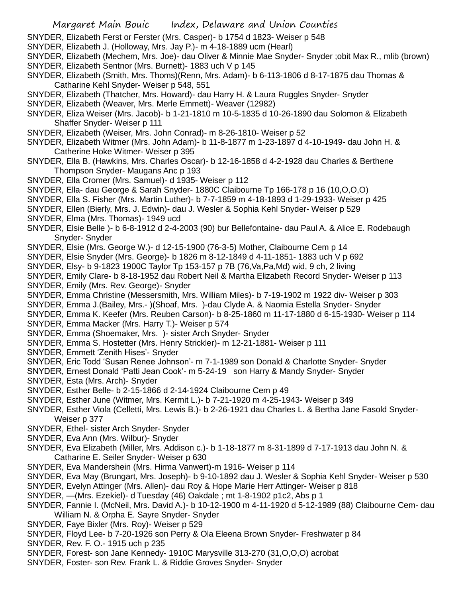- SNYDER, Elizabeth Ferst or Ferster (Mrs. Casper)- b 1754 d 1823- Weiser p 548
- SNYDER, Elizabeth J. (Holloway, Mrs. Jay P.)- m 4-18-1889 ucm (Hearl)
- SNYDER, Elizabeth (Mechem, Mrs. Joe)- dau Oliver & Minnie Mae Snyder- Snyder ;obit Max R., mlib (brown)
- SNYDER, Elizabeth Sentnor (Mrs. Burnett)- 1883 uch V p 145
- SNYDER, Elizabeth (Smith, Mrs. Thoms)(Renn, Mrs. Adam)- b 6-113-1806 d 8-17-1875 dau Thomas & Catharine Kehl Snyder- Weiser p 548, 551
- SNYDER, Elizabeth (Thatcher, Mrs. Howard)- dau Harry H. & Laura Ruggles Snyder- Snyder
- SNYDER, Elizabeth (Weaver, Mrs. Merle Emmett)- Weaver (12982)
- SNYDER, Eliza Weiser (Mrs. Jacob)- b 1-21-1810 m 10-5-1835 d 10-26-1890 dau Solomon & Elizabeth Shaffer Snyder- Weiser p 111
- SNYDER, Elizabeth (Weiser, Mrs. John Conrad)- m 8-26-1810- Weiser p 52
- SNYDER, Elizabeth Witmer (Mrs. John Adam)- b 11-8-1877 m 1-23-1897 d 4-10-1949- dau John H. & Catherine Hoke Witmer- Weiser p 395
- SNYDER, Ella B. (Hawkins, Mrs. Charles Oscar)- b 12-16-1858 d 4-2-1928 dau Charles & Berthene Thompson Snyder- Maugans Anc p 193
- SNYDER, Ella Cromer (Mrs. Samuel)- d 1935- Weiser p 112
- SNYDER, Ella- dau George & Sarah Snyder- 1880C Claibourne Tp 166-178 p 16 (10,O,O,O)
- SNYDER, Ella S. Fisher (Mrs. Martin Luther)- b 7-7-1859 m 4-18-1893 d 1-29-1933- Weiser p 425
- SNYDER, Ellen (Bierly, Mrs. J. Edwin)- dau J. Wesler & Sophia Kehl Snyder- Weiser p 529
- SNYDER, Elma (Mrs. Thomas)- 1949 ucd
- SNYDER, Elsie Belle )- b 6-8-1912 d 2-4-2003 (90) bur Bellefontaine- dau Paul A. & Alice E. Rodebaugh Snyder- Snyder
- SNYDER, Elsie (Mrs. George W.)- d 12-15-1900 (76-3-5) Mother, Claibourne Cem p 14
- SNYDER, Elsie Snyder (Mrs. George)- b 1826 m 8-12-1849 d 4-11-1851- 1883 uch V p 692
- SNYDER, Elsy- b 9-1823 1900C Taylor Tp 153-157 p 7B (76,Va,Pa,Md) wid, 9 ch, 2 living
- SNYDER, Emily Clare- b 8-18-1952 dau Robert Neil & Martha Elizabeth Record Snyder- Weiser p 113
- SNYDER, Emily (Mrs. Rev. George)- Snyder
- SNYDER, Emma Christine (Messersmith, Mrs. William Miles)- b 7-19-1902 m 1922 div- Weiser p 303
- SNYDER, Emma J.(Bailey, Mrs.- )(Shoaf, Mrs. )-dau Clyde A. & Naomia Estella Snyder- Snyder
- SNYDER, Emma K. Keefer (Mrs. Reuben Carson)- b 8-25-1860 m 11-17-1880 d 6-15-1930- Weiser p 114
- SNYDER, Emma Macker (Mrs. Harry T.)- Weiser p 574
- SNYDER, Emma (Shoemaker, Mrs. )- sister Arch Snyder- Snyder
- SNYDER, Emma S. Hostetter (Mrs. Henry Strickler)- m 12-21-1881- Weiser p 111
- SNYDER, Emmett 'Zenith Hises'- Snyder
- SNYDER, Eric Todd 'Susan Renee Johnson'- m 7-1-1989 son Donald & Charlotte Snyder- Snyder
- SNYDER, Ernest Donald 'Patti Jean Cook'- m 5-24-19 son Harry & Mandy Snyder- Snyder
- SNYDER, Esta (Mrs. Arch)- Snyder
- SNYDER, Esther Belle- b 2-15-1866 d 2-14-1924 Claibourne Cem p 49
- SNYDER, Esther June (Witmer, Mrs. Kermit L.)- b 7-21-1920 m 4-25-1943- Weiser p 349
- SNYDER, Esther Viola (Celletti, Mrs. Lewis B.)- b 2-26-1921 dau Charles L. & Bertha Jane Fasold Snyder-Weiser p 377
- SNYDER, Ethel- sister Arch Snyder- Snyder
- SNYDER, Eva Ann (Mrs. Wilbur)- Snyder
- SNYDER, Eva Elizabeth (Miller, Mrs. Addison c.)- b 1-18-1877 m 8-31-1899 d 7-17-1913 dau John N. & Catharine E. Seiler Snyder- Weiser p 630
- SNYDER, Eva Mandershein (Mrs. Hirma Vanwert)-m 1916- Weiser p 114
- SNYDER, Eva May (Brungart, Mrs. Joseph)- b 9-10-1892 dau J. Wesler & Sophia Kehl Snyder- Weiser p 530
- SNYDER, Evelyn Attinger (Mrs. Allen)- dau Roy & Hope Marie Herr Attinger- Weiser p 818
- SNYDER, —(Mrs. Ezekiel)- d Tuesday (46) Oakdale ; mt 1-8-1902 p1c2, Abs p 1
- SNYDER, Fannie I. (McNeil, Mrs. David A.)- b 10-12-1900 m 4-11-1920 d 5-12-1989 (88) Claibourne Cem- dau William N. & Orpha E. Sayre Snyder- Snyder
- SNYDER, Faye Bixler (Mrs. Roy)- Weiser p 529
- SNYDER, Floyd Lee- b 7-20-1926 son Perry & Ola Eleena Brown Snyder- Freshwater p 84
- SNYDER, Rev. F. O.- 1915 uch p 235
- SNYDER, Forest- son Jane Kennedy- 1910C Marysville 313-270 (31,O,O,O) acrobat
- SNYDER, Foster- son Rev. Frank L. & Riddie Groves Snyder- Snyder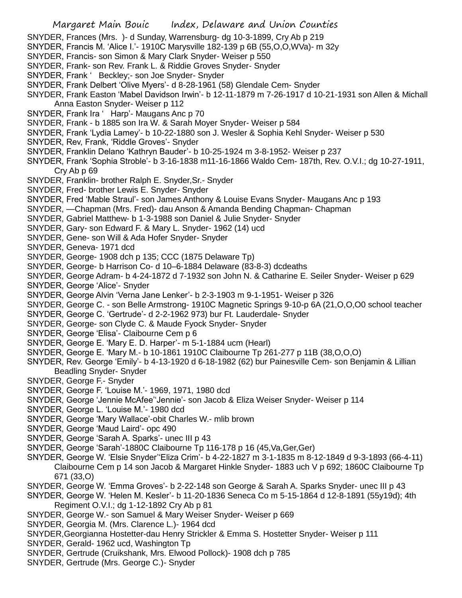- SNYDER, Frances (Mrs. )- d Sunday, Warrensburg- dg 10-3-1899, Cry Ab p 219
- SNYDER, Francis M. 'Alice I.'- 1910C Marysville 182-139 p 6B (55,O,O,WVa)- m 32y
- SNYDER, Francis- son Simon & Mary Clark Snyder- Weiser p 550
- SNYDER, Frank- son Rev. Frank L. & Riddie Groves Snyder- Snyder
- SNYDER, Frank ' Beckley;- son Joe Snyder- Snyder
- SNYDER, Frank Delbert 'Olive Myers'- d 8-28-1961 (58) Glendale Cem- Snyder
- SNYDER, Frank Easton 'Mabel Davidson Irwin'- b 12-11-1879 m 7-26-1917 d 10-21-1931 son Allen & Michall Anna Easton Snyder- Weiser p 112
- SNYDER, Frank Ira ' Harp'- Maugans Anc p 70
- SNYDER, Frank b 1885 son Ira W. & Sarah Moyer Snyder- Weiser p 584
- SNYDER, Frank 'Lydia Lamey'- b 10-22-1880 son J. Wesler & Sophia Kehl Snyder- Weiser p 530
- SNYDER, Rev, Frank, 'Riddle Groves'- Snyder
- SNYDER, Franklin Delano 'Kathryn Bauder'- b 10-25-1924 m 3-8-1952- Weiser p 237
- SNYDER, Frank 'Sophia Stroble'- b 3-16-1838 m11-16-1866 Waldo Cem- 187th, Rev. O.V.I.; dg 10-27-1911, Cry Ab p 69
- SNYDER, Franklin- brother Ralph E. Snyder,Sr.- Snyder
- SNYDER, Fred- brother Lewis E. Snyder- Snyder
- SNYDER, Fred 'Mable Straul'- son James Anthony & Louise Evans Snyder- Maugans Anc p 193
- SNYDER, —Chapman (Mrs. Fred)- dau Anson & Amanda Bending Chapman- Chapman
- SNYDER, Gabriel Matthew- b 1-3-1988 son Daniel & Julie Snyder- Snyder
- SNYDER, Gary- son Edward F. & Mary L. Snyder- 1962 (14) ucd
- SNYDER, Gene- son Will & Ada Hofer Snyder- Snyder
- SNYDER, Geneva- 1971 dcd
- SNYDER, George- 1908 dch p 135; CCC (1875 Delaware Tp)
- SNYDER, George- b Harrison Co- d 10–6-1884 Delaware (83-8-3) dcdeaths
- SNYDER, George Adram- b 4-24-1872 d 7-1932 son John N. & Catharine E. Seiler Snyder- Weiser p 629
- SNYDER, George 'Alice'- Snyder
- SNYDER, George Alvin 'Verna Jane Lenker'- b 2-3-1903 m 9-1-1951- Weiser p 326
- SNYDER, George C. son Belle Armstrong- 1910C Magnetic Springs 9-10-p 6A (21,O,O,O0 school teacher
- SNYDER, George C. 'Gertrude'- d 2-2-1962 973) bur Ft. Lauderdale- Snyder
- SNYDER, George- son Clyde C. & Maude Fyock Snyder- Snyder
- SNYDER, George 'Elisa'- Claibourne Cem p 6
- SNYDER, George E. 'Mary E. D. Harper'- m 5-1-1884 ucm (Hearl)
- SNYDER, George E. 'Mary M.- b 10-1861 1910C Claibourne Tp 261-277 p 11B (38,O,O,O)
- SNYDER, Rev. George 'Emily'- b 4-13-1920 d 6-18-1982 (62) bur Painesville Cem- son Benjamin & Lillian Beadling Snyder- Snyder
- SNYDER, George F.- Snyder
- SNYDER, George F. 'Louise M.'- 1969, 1971, 1980 dcd
- SNYDER, George 'Jennie McAfee''Jennie'- son Jacob & Eliza Weiser Snyder- Weiser p 114
- SNYDER, George L. 'Louise M.'- 1980 dcd
- SNYDER, George 'Mary Wallace'-obit Charles W.- mlib brown
- SNYDER, George 'Maud Laird'- opc 490
- SNYDER, George 'Sarah A. Sparks'- unec III p 43
- SNYDER, George 'Sarah'-1880C Claibourne Tp 116-178 p 16 (45,Va,Ger,Ger)
- SNYDER, George W. 'Elsie Snyder''Eliza Crim'- b 4-22-1827 m 3-1-1835 m 8-12-1849 d 9-3-1893 (66-4-11) Claibourne Cem p 14 son Jacob & Margaret Hinkle Snyder- 1883 uch V p 692; 1860C Claibourne Tp 671 (33,O)
- SNYDER, George W. 'Emma Groves'- b 2-22-148 son George & Sarah A. Sparks Snyder- unec III p 43
- SNYDER, George W. 'Helen M. Kesler'- b 11-20-1836 Seneca Co m 5-15-1864 d 12-8-1891 (55y19d); 4th Regiment O.V.I.; dg 1-12-1892 Cry Ab p 81
- SNYDER, George W.- son Samuel & Mary Weiser Snyder- Weiser p 669
- SNYDER, Georgia M. (Mrs. Clarence L.)- 1964 dcd
- SNYDER,Georgianna Hostetter-dau Henry Strickler & Emma S. Hostetter Snyder- Weiser p 111
- SNYDER, Gerald- 1962 ucd, Washington Tp
- SNYDER, Gertrude (Cruikshank, Mrs. Elwood Pollock)- 1908 dch p 785
- SNYDER, Gertrude (Mrs. George C.)- Snyder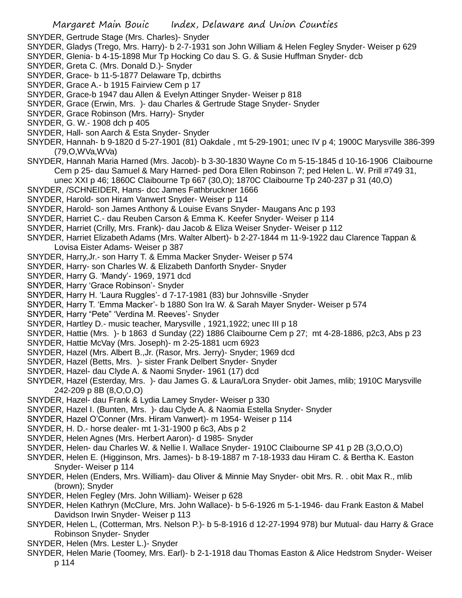- SNYDER, Gertrude Stage (Mrs. Charles)- Snyder
- SNYDER, Gladys (Trego, Mrs. Harry)- b 2-7-1931 son John William & Helen Fegley Snyder- Weiser p 629
- SNYDER, Glenia- b 4-15-1898 Mur Tp Hocking Co dau S. G. & Susie Huffman Snyder- dcb
- SNYDER, Greta C. (Mrs. Donald D.)- Snyder
- SNYDER, Grace- b 11-5-1877 Delaware Tp, dcbirths
- SNYDER, Grace A.- b 1915 Fairview Cem p 17
- SNYDER, Grace-b 1947 dau Allen & Evelyn Attinger Snyder- Weiser p 818
- SNYDER, Grace (Erwin, Mrs. )- dau Charles & Gertrude Stage Snyder- Snyder
- SNYDER, Grace Robinson (Mrs. Harry)- Snyder
- SNYDER, G. W.- 1908 dch p 405
- SNYDER, Hall- son Aarch & Esta Snyder- Snyder
- SNYDER, Hannah- b 9-1820 d 5-27-1901 (81) Oakdale , mt 5-29-1901; unec IV p 4; 1900C Marysville 386-399 (79,O,WVa,WVa)
- SNYDER, Hannah Maria Harned (Mrs. Jacob)- b 3-30-1830 Wayne Co m 5-15-1845 d 10-16-1906 Claibourne Cem p 25- dau Samuel & Mary Harned- ped Dora Ellen Robinson 7; ped Helen L. W. Prill #749 31,
	- unec XXI p 46; 1860C Claibourne Tp 667 (30,O); 1870C Claibourne Tp 240-237 p 31 (40,O)
- SNYDER, /SCHNEIDER, Hans- dcc James Fathbruckner 1666
- SNYDER, Harold- son Hiram Vanwert Snyder- Weiser p 114
- SNYDER, Harold- son James Anthony & Louise Evans Snyder- Maugans Anc p 193
- SNYDER, Harriet C.- dau Reuben Carson & Emma K. Keefer Snyder- Weiser p 114
- SNYDER, Harriet (Crilly, Mrs. Frank)- dau Jacob & Eliza Weiser Snyder- Weiser p 112
- SNYDER, Harriet Elizabeth Adams (Mrs. Walter Albert)- b 2-27-1844 m 11-9-1922 dau Clarence Tappan & Lovisa Eister Adams- Weiser p 387
- SNYDER, Harry,Jr.- son Harry T. & Emma Macker Snyder- Weiser p 574
- SNYDER, Harry- son Charles W. & Elizabeth Danforth Snyder- Snyder
- SNYDER, Harry G. 'Mandy'- 1969, 1971 dcd
- SNYDER, Harry 'Grace Robinson'- Snyder
- SNYDER, Harry H. 'Laura Ruggles'- d 7-17-1981 (83) bur Johnsville -Snyder
- SNYDER, Harry T. 'Emma Macker'- b 1880 Son Ira W. & Sarah Mayer Snyder- Weiser p 574
- SNYDER, Harry "Pete" 'Verdina M. Reeves'- Snyder
- SNYDER, Hartley D.- music teacher, Marysville , 1921,1922; unec III p 18
- SNYDER, Hattie (Mrs. )- b 1863 d Sunday (22) 1886 Claibourne Cem p 27; mt 4-28-1886, p2c3, Abs p 23
- SNYDER, Hattie McVay (Mrs. Joseph)- m 2-25-1881 ucm 6923
- SNYDER, Hazel (Mrs. Albert B.,Jr. (Rasor, Mrs. Jerry)- Snyder; 1969 dcd
- SNYDER, Hazel (Betts, Mrs. )- sister Frank Delbert Snyder- Snyder
- SNYDER, Hazel- dau Clyde A. & Naomi Snyder- 1961 (17) dcd
- SNYDER, Hazel (Esterday, Mrs. )- dau James G. & Laura/Lora Snyder- obit James, mlib; 1910C Marysville 242-209 p 8B (8,O,O,O)
- SNYDER, Hazel- dau Frank & Lydia Lamey Snyder- Weiser p 330
- SNYDER, Hazel I. (Bunten, Mrs. )- dau Clyde A. & Naomia Estella Snyder- Snyder
- SNYDER, Hazel O'Conner (Mrs. Hiram Vanwert)- m 1954- Weiser p 114
- SNYDER, H. D.- horse dealer- mt 1-31-1900 p 6c3, Abs p 2
- SNYDER, Helen Agnes (Mrs. Herbert Aaron)- d 1985- Snyder
- SNYDER, Helen- dau Charles W. & Nellie I. Wallace Snyder- 1910C Claibourne SP 41 p 2B (3,O,O,O)
- SNYDER, Helen E. (Higginson, Mrs. James)- b 8-19-1887 m 7-18-1933 dau Hiram C. & Bertha K. Easton Snyder- Weiser p 114
- SNYDER, Helen (Enders, Mrs. William)- dau Oliver & Minnie May Snyder- obit Mrs. R. . obit Max R., mlib (brown); Snyder
- SNYDER, Helen Fegley (Mrs. John William)- Weiser p 628
- SNYDER, Helen Kathryn (McClure, Mrs. John Wallace)- b 5-6-1926 m 5-1-1946- dau Frank Easton & Mabel Davidson Irwin Snyder- Weiser p 113
- SNYDER, Helen L, (Cotterman, Mrs. Nelson P.)- b 5-8-1916 d 12-27-1994 978) bur Mutual- dau Harry & Grace Robinson Snyder- Snyder
- SNYDER, Helen (Mrs. Lester L.)- Snyder
- SNYDER, Helen Marie (Toomey, Mrs. Earl)- b 2-1-1918 dau Thomas Easton & Alice Hedstrom Snyder- Weiser p 114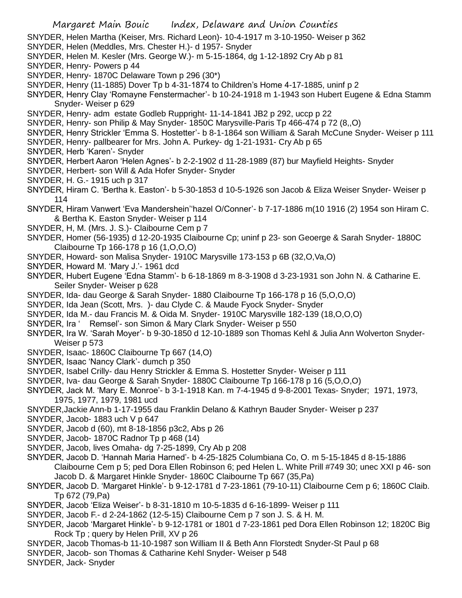SNYDER, Helen Martha (Keiser, Mrs. Richard Leon)- 10-4-1917 m 3-10-1950- Weiser p 362

- SNYDER, Helen (Meddles, Mrs. Chester H.)- d 1957- Snyder
- SNYDER, Helen M. Kesler (Mrs. George W.)- m 5-15-1864, dg 1-12-1892 Cry Ab p 81
- SNYDER, Henry- Powers p 44
- SNYDER, Henry- 1870C Delaware Town p 296 (30\*)
- SNYDER, Henry (11-1885) Dover Tp b 4-31-1874 to Children's Home 4-17-1885, uninf p 2
- SNYDER, Henry Clay 'Romayne Fenstermacher'- b 10-24-1918 m 1-1943 son Hubert Eugene & Edna Stamm Snyder- Weiser p 629
- SNYDER, Henry- adm estate Godleb Ruppright- 11-14-1841 JB2 p 292, uccp p 22
- SNYDER, Henry- son Philip & May Snyder- 1850C Marysville-Paris Tp 466-474 p 72 (8,,O)
- SNYDER, Henry Strickler 'Emma S. Hostetter'- b 8-1-1864 son William & Sarah McCune Snyder- Weiser p 111
- SNYDER, Henry- pallbearer for Mrs. John A. Purkey- dg 1-21-1931- Cry Ab p 65
- SNYDER, Herb 'Karen'- Snyder
- SNYDER, Herbert Aaron 'Helen Agnes'- b 2-2-1902 d 11-28-1989 (87) bur Mayfield Heights- Snyder
- SNYDER, Herbert- son Will & Ada Hofer Snyder- Snyder
- SNYDER, H. G.- 1915 uch p 317
- SNYDER, Hiram C. 'Bertha k. Easton'- b 5-30-1853 d 10-5-1926 son Jacob & Eliza Weiser Snyder- Weiser p 114
- SNYDER, Hiram Vanwert 'Eva Mandershein''hazel O/Conner'- b 7-17-1886 m(10 1916 (2) 1954 son Hiram C. & Bertha K. Easton Snyder- Weiser p 114
- SNYDER, H, M. (Mrs. J. S.)- Claibourne Cem p 7
- SNYDER, Homer (56-1935) d 12-20-1935 Claibourne Cp; uninf p 23- son Geoerge & Sarah Snyder- 1880C Claibourne Tp 166-178 p 16 (1,O,O,O)
- SNYDER, Howard- son Malisa Snyder- 1910C Marysville 173-153 p 6B (32,O,Va,O)
- SNYDER, Howard M. 'Mary J.'- 1961 dcd
- SNYDER, Hubert Eugene 'Edna Stamm'- b 6-18-1869 m 8-3-1908 d 3-23-1931 son John N. & Catharine E. Seiler Snyder- Weiser p 628
- SNYDER, Ida- dau George & Sarah Snyder- 1880 Claibourne Tp 166-178 p 16 (5,O,O,O)
- SNYDER, Ida Jean (Scott, Mrs. )- dau Clyde C. & Maude Fyock Snyder- Snyder
- SNYDER, Ida M.- dau Francis M. & Oida M. Snyder- 1910C Marysville 182-139 (18,O,O,O)
- SNYDER, Ira ' Remsel'- son Simon & Mary Clark Snyder- Weiser p 550
- SNYDER, Ira W. 'Sarah Moyer'- b 9-30-1850 d 12-10-1889 son Thomas Kehl & Julia Ann Wolverton Snyder-Weiser p 573
- SNYDER, Isaac- 1860C Claibourne Tp 667 (14,O)
- SNYDER, Isaac 'Nancy Clark'- dumch p 350
- SNYDER, Isabel Crilly- dau Henry Strickler & Emma S. Hostetter Snyder- Weiser p 111
- SNYDER, Iva- dau George & Sarah Snyder- 1880C Claibourne Tp 166-178 p 16 (5,O,O,O)
- SNYDER, Jack M. 'Mary E. Monroe'- b 3-1-1918 Kan. m 7-4-1945 d 9-8-2001 Texas- Snyder; 1971, 1973, 1975, 1977, 1979, 1981 ucd
- SNYDER,Jackie Ann-b 1-17-1955 dau Franklin Delano & Kathryn Bauder Snyder- Weiser p 237
- SNYDER, Jacob- 1883 uch V p 647
- SNYDER, Jacob d (60), mt 8-18-1856 p3c2, Abs p 26
- SNYDER, Jacob- 1870C Radnor Tp p 468 (14)
- SNYDER, Jacob, lives Omaha- dg 7-25-1899, Cry Ab p 208
- SNYDER, Jacob D. 'Hannah Maria Harned'- b 4-25-1825 Columbiana Co, O. m 5-15-1845 d 8-15-1886 Claibourne Cem p 5; ped Dora Ellen Robinson 6; ped Helen L. White Prill #749 30; unec XXI p 46- son Jacob D. & Margaret Hinkle Snyder- 1860C Claibourne Tp 667 (35,Pa)
- SNYDER, Jacob D. 'Margaret Hinkle'- b 9-12-1781 d 7-23-1861 (79-10-11) Claibourne Cem p 6; 1860C Claib. Tp 672 (79,Pa)
- SNYDER, Jacob 'Eliza Weiser'- b 8-31-1810 m 10-5-1835 d 6-16-1899- Weiser p 111
- SNYDER, Jacob F.- d 2-24-1862 (12-5-15) Claibourne Cem p 7 son J. S. & H. M.
- SNYDER, Jacob 'Margaret Hinkle'- b 9-12-1781 or 1801 d 7-23-1861 ped Dora Ellen Robinson 12; 1820C Big Rock Tp ; query by Helen Prill, XV p 26
- SNYDER, Jacob Thomas-b 11-10-1987 son William II & Beth Ann Florstedt Snyder-St Paul p 68
- SNYDER, Jacob- son Thomas & Catharine Kehl Snyder- Weiser p 548
- SNYDER, Jack- Snyder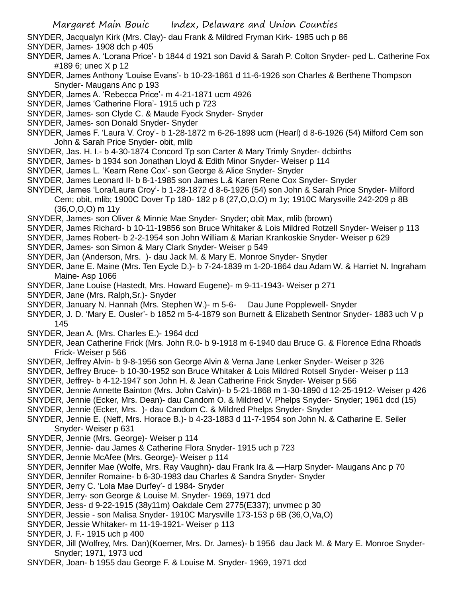- SNYDER, Jacqualyn Kirk (Mrs. Clay)- dau Frank & Mildred Fryman Kirk- 1985 uch p 86
- SNYDER, James- 1908 dch p 405
- SNYDER, James A. 'Lorana Price'- b 1844 d 1921 son David & Sarah P. Colton Snyder- ped L. Catherine Fox #189 6; unec X p 12
- SNYDER, James Anthony 'Louise Evans'- b 10-23-1861 d 11-6-1926 son Charles & Berthene Thompson Snyder- Maugans Anc p 193
- SNYDER, James A. 'Rebecca Price'- m 4-21-1871 ucm 4926
- SNYDER, James 'Catherine Flora'- 1915 uch p 723
- SNYDER, James- son Clyde C. & Maude Fyock Snyder- Snyder
- SNYDER, James- son Donald Snyder- Snyder
- SNYDER, James F. 'Laura V. Croy'- b 1-28-1872 m 6-26-1898 ucm (Hearl) d 8-6-1926 (54) Milford Cem son John & Sarah Price Snyder- obit, mlib
- SNYDER, Jas. H. I.- b 4-30-1874 Concord Tp son Carter & Mary Trimly Snyder- dcbirths
- SNYDER, James- b 1934 son Jonathan Lloyd & Edith Minor Snyder- Weiser p 114
- SNYDER, James L. 'Kearn Rene Cox'- son George & Alice Snyder- Snyder
- SNYDER, James Leonard II- b 8-1-1985 son James L.& Karen Rene Cox Snyder- Snyder
- SNYDER, James 'Lora/Laura Croy'- b 1-28-1872 d 8-6-1926 (54) son John & Sarah Price Snyder- Milford Cem; obit, mlib; 1900C Dover Tp 180- 182 p 8 (27,O,O,O) m 1y; 1910C Marysville 242-209 p 8B (36,O,O,O) m 11y
- SNYDER, James- son Oliver & Minnie Mae Snyder- Snyder; obit Max, mlib (brown)
- SNYDER, James Richard- b 10-11-19856 son Bruce Whitaker & Lois Mildred Rotzell Snyder- Weiser p 113
- SNYDER, James Robert- b 2-2-1954 son John William & Marian Krankoskie Snyder- Weiser p 629
- SNYDER, James- son Simon & Mary Clark Snyder- Weiser p 549
- SNYDER, Jan (Anderson, Mrs. )- dau Jack M. & Mary E. Monroe Snyder- Snyder
- SNYDER, Jane E. Maine (Mrs. Ten Eycle D.)- b 7-24-1839 m 1-20-1864 dau Adam W. & Harriet N. Ingraham Maine- Asp 1066
- SNYDER, Jane Louise (Hastedt, Mrs. Howard Eugene)- m 9-11-1943- Weiser p 271
- SNYDER, Jane (Mrs. Ralph,Sr.)- Snyder
- SNYDER, January N. Hannah (Mrs. Stephen W.)- m 5-6- Dau June Popplewell- Snyder
- SNYDER, J. D. 'Mary E. Ousler'- b 1852 m 5-4-1879 son Burnett & Elizabeth Sentnor Snyder- 1883 uch V p 145
- SNYDER, Jean A. (Mrs. Charles E.)- 1964 dcd
- SNYDER, Jean Catherine Frick (Mrs. John R.0- b 9-1918 m 6-1940 dau Bruce G. & Florence Edna Rhoads Frick- Weiser p 566
- SNYDER, Jeffrey Alvin- b 9-8-1956 son George Alvin & Verna Jane Lenker Snyder- Weiser p 326
- SNYDER, Jeffrey Bruce- b 10-30-1952 son Bruce Whitaker & Lois Mildred Rotsell Snyder- Weiser p 113
- SNYDER, Jeffrey- b 4-12-1947 son John H. & Jean Catherine Frick Snyder- Weiser p 566
- SNYDER, Jennie Annette Bainton (Mrs. John Calvin)- b 5-21-1868 m 1-30-1890 d 12-25-1912- Weiser p 426
- SNYDER, Jennie (Ecker, Mrs. Dean)- dau Candom O. & Mildred V. Phelps Snyder- Snyder; 1961 dcd (15)
- SNYDER, Jennie (Ecker, Mrs. )- dau Candom C. & Mildred Phelps Snyder- Snyder
- SNYDER, Jennie E. (Neff, Mrs. Horace B.)- b 4-23-1883 d 11-7-1954 son John N. & Catharine E. Seiler Snyder- Weiser p 631
- SNYDER, Jennie (Mrs. George)- Weiser p 114
- SNYDER, Jennie- dau James & Catherine Flora Snyder- 1915 uch p 723
- SNYDER, Jennie McAfee (Mrs. George)- Weiser p 114
- SNYDER, Jennifer Mae (Wolfe, Mrs. Ray Vaughn)- dau Frank Ira & —Harp Snyder- Maugans Anc p 70
- SNYDER, Jennifer Romaine- b 6-30-1983 dau Charles & Sandra Snyder- Snyder
- SNYDER, Jerry C. 'Lola Mae Durfey'- d 1984- Snyder
- SNYDER, Jerry- son George & Louise M. Snyder- 1969, 1971 dcd
- SNYDER, Jess- d 9-22-1915 (38y11m) Oakdale Cem 2775(E337); unvmec p 30
- SNYDER, Jessie son Malisa Snyder- 1910C Marysville 173-153 p 6B (36,O,Va,O)
- SNYDER, Jessie Whitaker- m 11-19-1921- Weiser p 113
- SNYDER, J. F.- 1915 uch p 400
- SNYDER, Jill (Wolfrey, Mrs. Dan)(Koerner, Mrs. Dr. James)- b 1956 dau Jack M. & Mary E. Monroe Snyder-Snyder; 1971, 1973 ucd
- SNYDER, Joan- b 1955 dau George F. & Louise M. Snyder- 1969, 1971 dcd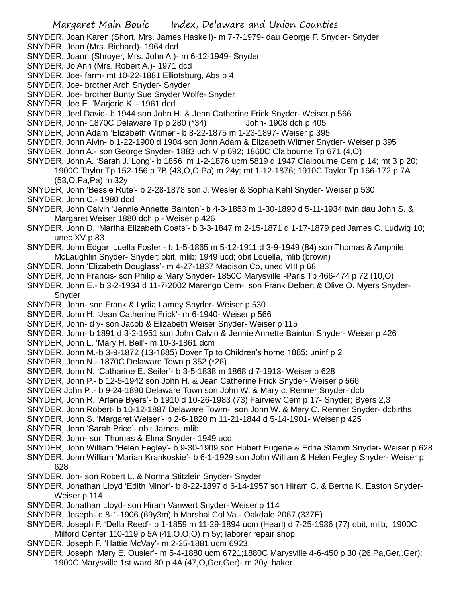- SNYDER, Joan Karen (Short, Mrs. James Haskell)- m 7-7-1979- dau George F. Snyder- Snyder
- SNYDER, Joan (Mrs. Richard)- 1964 dcd
- SNYDER, Joann (Shroyer, Mrs. John A.)- m 6-12-1949- Snyder
- SNYDER, Jo Ann (Mrs. Robert A.)- 1971 dcd
- SNYDER, Joe- farm- mt 10-22-1881 Elliotsburg, Abs p 4
- SNYDER, Joe- brother Arch Snyder- Snyder
- SNYDER, Joe- brother Bunty Sue Snyder Wolfe- Snyder
- SNYDER, Joe E. 'Marjorie K.'- 1961 dcd
- SNYDER, Joel David- b 1944 son John H. & Jean Catherine Frick Snyder- Weiser p 566
- SNYDER, John- 1870C Delaware Tp p 280 (\*34) John- 1908 dch p 405
- SNYDER, John Adam 'Elizabeth Witmer'- b 8-22-1875 m 1-23-1897- Weiser p 395
- SNYDER, John Alvin- b 1-22-1900 d 1904 son John Adam & Elizabeth Witmer Snyder- Weiser p 395
- SNYDER, John A.- son George Snyder- 1883 uch V p 692; 1860C Claibourne Tp 671 (4,O)
- SNYDER, John A. 'Sarah J. Long'- b 1856 m 1-2-1876 ucm 5819 d 1947 Claibourne Cem p 14; mt 3 p 20; 1900C Taylor Tp 152-156 p 7B (43,O,O,Pa) m 24y; mt 1-12-1876; 1910C Taylor Tp 166-172 p 7A (53,O,Pa,Pa) m 32y
- SNYDER, John 'Bessie Rute'- b 2-28-1878 son J. Wesler & Sophia Kehl Snyder- Weiser p 530
- SNYDER, John C.- 1980 dcd
- SNYDER, John Calvin 'Jennie Annette Bainton'- b 4-3-1853 m 1-30-1890 d 5-11-1934 twin dau John S. & Margaret Weiser 1880 dch p - Weiser p 426
- SNYDER, John D. 'Martha Elizabeth Coats'- b 3-3-1847 m 2-15-1871 d 1-17-1879 ped James C. Ludwig 10; unec XV p 83
- SNYDER, John Edgar 'Luella Foster'- b 1-5-1865 m 5-12-1911 d 3-9-1949 (84) son Thomas & Amphile McLaughlin Snyder- Snyder; obit, mlib; 1949 ucd; obit Louella, mlib (brown)
- SNYDER, John 'Elizabeth Douglass'- m 4-27-1837 Madison Co, unec VIII p 68
- SNYDER, John Francis- son Philip & Mary Snyder- 1850C Marysville -Paris Tp 466-474 p 72 (10,O)
- SNYDER, John E.- b 3-2-1934 d 11-7-2002 Marengo Cem- son Frank Delbert & Olive O. Myers Snyder-**Snyder**
- SNYDER, John- son Frank & Lydia Lamey Snyder- Weiser p 530
- SNYDER, John H. 'Jean Catherine Frick'- m 6-1940- Weiser p 566
- SNYDER, John- d y- son Jacob & Elizabeth Weiser Snyder- Weiser p 115
- SNYDER, John- b 1891 d 3-2-1951 son John Calvin & Jennie Annette Bainton Snyder- Weiser p 426
- SNYDER, John L. 'Mary H. Bell'- m 10-3-1861 dcm
- SNYDER, John M.-b 3-9-1872 (13-1885) Dover Tp to Children's home 1885; uninf p 2
- SNYDER, John N.- 1870C Delaware Town p 352 (\*26)
- SNYDER, John N. 'Catharine E. Seiler'- b 3-5-1838 m 1868 d 7-1913- Weiser p 628
- SNYDER, John P.- b 12-5-1942 son John H. & Jean Catherine Frick Snyder- Weiser p 566
- SNYDER John P..- b 9-24-1890 Delaware Town son John W. & Mary c. Renner Snyder- dcb
- SNYDER, John R. 'Arlene Byers'- b 1910 d 10-26-1983 (73) Fairview Cem p 17- Snyder; Byers 2,3
- SNYDER, John Robert- b 10-12-1887 Delaware Towm- son John W. & Mary C. Renner Snyder- dcbirths
- SNYDER, John S. 'Margaret Weiser'- b 2-6-1820 m 11-21-1844 d 5-14-1901- Weiser p 425
- SNYDER, John 'Sarah Price'- obit James, mlib
- SNYDER, John- son Thomas & Elma Snyder- 1949 ucd
- SNYDER, John William 'Helen Fegley'- b 9-30-1909 son Hubert Eugene & Edna Stamm Snyder- Weiser p 628
- SNYDER, John William 'Marian Krankoskie'- b 6-1-1929 son John William & Helen Fegley Snyder- Weiser p 628
- SNYDER, Jon- son Robert L. & Norma Stitzlein Snyder- Snyder
- SNYDER, Jonathan Lloyd 'Edith Minor'- b 8-22-1897 d 6-14-1957 son Hiram C. & Bertha K. Easton Snyder-Weiser p 114
- SNYDER, Jonathan Lloyd- son Hiram Vanwert Snyder- Weiser p 114
- SNYDER, Joseph- d 8-1-1906 (69y3m) b Marshal Col Va.- Oakdale 2067 (337E)
- SNYDER, Joseph F. 'Della Reed'- b 1-1859 m 11-29-1894 ucm (Hearl) d 7-25-1936 (77) obit, mlib; 1900C Milford Center 110-119 p 5A (41,O,O,O) m 5y; laborer repair shop
- SNYDER, Joseph F. 'Hattie McVay'- m 2-25-1881 ucm 6923
- SNYDER, Joseph 'Mary E. Ousler'- m 5-4-1880 ucm 6721;1880C Marysville 4-6-450 p 30 (26,Pa,Ger,.Ger); 1900C Marysville 1st ward 80 p 4A (47,O,Ger,Ger)- m 20y, baker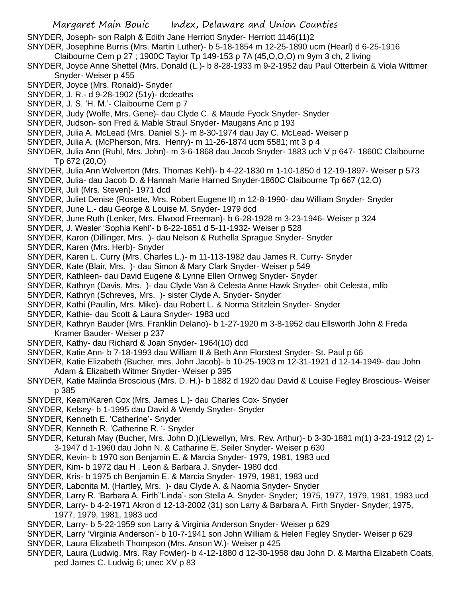SNYDER, Joseph- son Ralph & Edith Jane Herriott Snyder- Herriott 1146(11)2

- SNYDER, Josephine Burris (Mrs. Martin Luther)- b 5-18-1854 m 12-25-1890 ucm (Hearl) d 6-25-1916
- Claibourne Cem p 27 ; 1900C Taylor Tp 149-153 p 7A (45,O,O,O) m 9ym 3 ch, 2 living
- SNYDER, Joyce Anne Shettel (Mrs. Donald (L.)- b 8-28-1933 m 9-2-1952 dau Paul Otterbein & Viola Wittmer Snyder- Weiser p 455
- SNYDER, Joyce (Mrs. Ronald)- Snyder
- SNYDER, J. R.- d 9-28-1902 (51y)- dcdeaths
- SNYDER, J. S. 'H. M.'- Claibourne Cem p 7
- SNYDER, Judy (Wolfe, Mrs. Gene)- dau Clyde C. & Maude Fyock Snyder- Snyder
- SNYDER, Judson- son Fred & Mable Straul Snyder- Maugans Anc p 193
- SNYDER, Julia A. McLead (Mrs. Daniel S.)- m 8-30-1974 dau Jay C. McLead- Weiser p
- SNYDER, Julia A. (McPherson, Mrs. Henry)- m 11-26-1874 ucm 5581; mt 3 p 4
- SNYDER, Julia Ann (Ruhl, Mrs. John)- m 3-6-1868 dau Jacob Snyder- 1883 uch V p 647- 1860C Claibourne Tp 672 (20,O)
- SNYDER, Julia Ann Wolverton (Mrs. Thomas Kehl)- b 4-22-1830 m 1-10-1850 d 12-19-1897- Weiser p 573
- SNYDER, Julia- dau Jacob D. & Hannah Marie Harned Snyder-1860C Claibourne Tp 667 (12,O) SNYDER, Juli (Mrs. Steven)- 1971 dcd
- SNYDER, Juliet Denise (Rosette, Mrs. Robert Eugene II) m 12-8-1990- dau William Snyder- Snyder
- SNYDER, June L.- dau George & Louise M. Snyder- 1979 dcd
- SNYDER, June Ruth (Lenker, Mrs. Elwood Freeman)- b 6-28-1928 m 3-23-1946- Weiser p 324
- SNYDER, J. Wesler 'Sophia Kehl'- b 8-22-1851 d 5-11-1932- Weiser p 528
- SNYDER, Karon (Dillinger, Mrs. )- dau Nelson & Ruthella Sprague Snyder- Snyder
- SNYDER, Karen (Mrs. Herb)- Snyder
- SNYDER, Karen L. Curry (Mrs. Charles L.)- m 11-113-1982 dau James R. Curry- Snyder
- SNYDER, Kate (Blair, Mrs. )- dau Simon & Mary Clark Snyder- Weiser p 549
- SNYDER, Kathleen- dau David Eugene & Lynne Ellen Ornweg Snyder- Snyder
- SNYDER, Kathryn (Davis, Mrs. )- dau Clyde Van & Celesta Anne Hawk Snyder- obit Celesta, mlib
- SNYDER, Kathryn (Schreves, Mrs. )- sister Clyde A. Snyder- Snyder
- SNYDER, Kathi (Paullin, Mrs. Mike)- dau Robert L. & Norma Stitzlein Snyder- Snyder
- SNYDER, Kathie- dau Scott & Laura Snyder- 1983 ucd
- SNYDER, Kathryn Bauder (Mrs. Franklin Delano)- b 1-27-1920 m 3-8-1952 dau Ellsworth John & Freda Kramer Bauder- Weiser p 237
- SNYDER, Kathy- dau Richard & Joan Snyder- 1964(10) dcd
- SNYDER, Katie Ann- b 7-18-1993 dau William II & Beth Ann Florstest Snyder- St. Paul p 66
- SNYDER, Katie Elizabeth (Bucher, mrs. John Jacob)- b 10-25-1903 m 12-31-1921 d 12-14-1949- dau John Adam & Elizabeth Witmer Snyder- Weiser p 395
- SNYDER, Katie Malinda Broscious (Mrs. D. H.)- b 1882 d 1920 dau David & Louise Fegley Broscious- Weiser p 385
- SNYDER, Kearn/Karen Cox (Mrs. James L.)- dau Charles Cox- Snyder
- SNYDER, Kelsey- b 1-1995 dau David & Wendy Snyder- Snyder
- SNYDER, Kenneth E. 'Catherine'- Snyder
- SNYDER, Kenneth R. 'Catherine R. '- Snyder
- SNYDER, Keturah May (Bucher, Mrs. John D.)(Llewellyn, Mrs. Rev. Arthur)- b 3-30-1881 m(1) 3-23-1912 (2) 1- 3-1947 d 1-1960 dau John N. & Catharine E. Seiler Snyder- Weiser p 630
- SNYDER, Kevin- b 1970 son Benjamin E. & Marcia Snyder- 1979, 1981, 1983 ucd
- SNYDER, Kim- b 1972 dau H . Leon & Barbara J. Snyder- 1980 dcd
- SNYDER, Kris- b 1975 ch Benjamin E. & Marcia Snyder- 1979, 1981, 1983 ucd
- SNYDER, Labonita M. (Hartley, Mrs. )- dau Clyde A. & Naomia Snyder- Snyder
- SNYDER, Larry R. 'Barbara A. Firth''Linda'- son Stella A. Snyder- Snyder; 1975, 1977, 1979, 1981, 1983 ucd
- SNYDER, Larry- b 4-2-1971 Akron d 12-13-2002 (31) son Larry & Barbara A. Firth Snyder- Snyder; 1975,
	- 1977, 1979, 1981, 1983 ucd
- SNYDER, Larry- b 5-22-1959 son Larry & Virginia Anderson Snyder- Weiser p 629
- SNYDER, Larry 'Virginia Anderson'- b 10-7-1941 son John William & Helen Fegley Snyder- Weiser p 629
- SNYDER, Laura Elizabeth Thompson (Mrs. Anson W.)- Weiser p 425
- SNYDER, Laura (Ludwig, Mrs. Ray Fowler)- b 4-12-1880 d 12-30-1958 dau John D. & Martha Elizabeth Coats, ped James C. Ludwig 6; unec XV p 83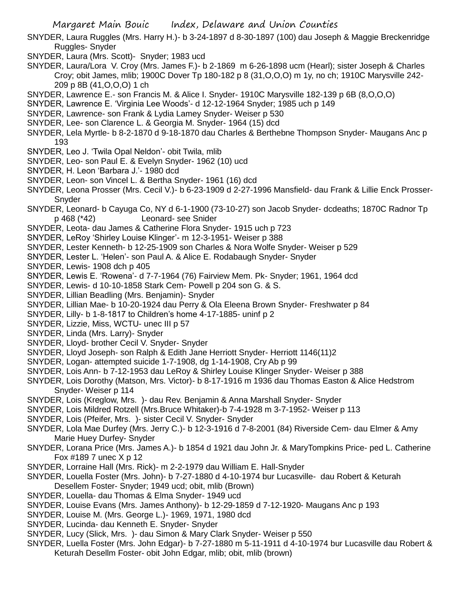- SNYDER, Laura Ruggles (Mrs. Harry H.)- b 3-24-1897 d 8-30-1897 (100) dau Joseph & Maggie Breckenridge Ruggles- Snyder
- SNYDER, Laura (Mrs. Scott)- Snyder; 1983 ucd
- SNYDER, Laura/Lora V. Croy (Mrs. James F.)- b 2-1869 m 6-26-1898 ucm (Hearl); sister Joseph & Charles Croy; obit James, mlib; 1900C Dover Tp 180-182 p 8 (31,O,O,O) m 1y, no ch; 1910C Marysville 242- 209 p 8B (41,O,O,O) 1 ch
- SNYDER, Lawrence E.- son Francis M. & Alice I. Snyder- 1910C Marysville 182-139 p 6B (8,O,O,O)
- SNYDER, Lawrence E. 'Virginia Lee Woods'- d 12-12-1964 Snyder; 1985 uch p 149
- SNYDER, Lawrence- son Frank & Lydia Lamey Snyder- Weiser p 530
- SNYDER, Lee- son Clarence L. & Georgia M. Snyder- 1964 (15) dcd
- SNYDER, Lela Myrtle- b 8-2-1870 d 9-18-1870 dau Charles & Berthebne Thompson Snyder- Maugans Anc p 193
- SNYDER, Leo J. 'Twila Opal Neldon'- obit Twila, mlib
- SNYDER, Leo- son Paul E. & Evelyn Snyder- 1962 (10) ucd
- SNYDER, H. Leon 'Barbara J.'- 1980 dcd
- SNYDER, Leon- son Vincel L. & Bertha Snyder- 1961 (16) dcd
- SNYDER, Leona Prosser (Mrs. Cecil V.)- b 6-23-1909 d 2-27-1996 Mansfield- dau Frank & Lillie Enck Prosser-Snyder
- SNYDER, Leonard- b Cayuga Co, NY d 6-1-1900 (73-10-27) son Jacob Snyder- dcdeaths; 1870C Radnor Tp p 468 (\*42) Leonard- see Snider
- SNYDER, Leota- dau James & Catherine Flora Snyder- 1915 uch p 723
- SNYDER, LeRoy 'Shirley Louise Klinger'- m 12-3-1951- Weiser p 388
- SNYDER, Lester Kenneth- b 12-25-1909 son Charles & Nora Wolfe Snyder- Weiser p 529
- SNYDER, Lester L. 'Helen'- son Paul A. & Alice E. Rodabaugh Snyder- Snyder
- SNYDER, Lewis- 1908 dch p 405
- SNYDER, Lewis E. 'Rowena'- d 7-7-1964 (76) Fairview Mem. Pk- Snyder; 1961, 1964 dcd
- SNYDER, Lewis- d 10-10-1858 Stark Cem- Powell p 204 son G. & S.
- SNYDER, Lillian Beadling (Mrs. Benjamin)- Snyder
- SNYDER, Lillian Mae- b 10-20-1924 dau Perry & Ola Eleena Brown Snyder- Freshwater p 84
- SNYDER, Lilly- b 1-8-1817 to Children's home 4-17-1885- uninf p 2
- SNYDER, Lizzie, Miss, WCTU- unec III p 57
- SNYDER, Linda (Mrs. Larry)- Snyder
- SNYDER, Lloyd- brother Cecil V. Snyder- Snyder
- SNYDER, Lloyd Joseph- son Ralph & Edith Jane Herriott Snyder- Herriott 1146(11)2
- SNYDER, Logan- attempted suicide 1-7-1908, dg 1-14-1908, Cry Ab p 99
- SNYDER, Lois Ann- b 7-12-1953 dau LeRoy & Shirley Louise Klinger Snyder- Weiser p 388
- SNYDER, Lois Dorothy (Matson, Mrs. Victor)- b 8-17-1916 m 1936 dau Thomas Easton & Alice Hedstrom Snyder- Weiser p 114
- SNYDER, Lois (Kreglow, Mrs. )- dau Rev. Benjamin & Anna Marshall Snyder- Snyder
- SNYDER, Lois Mildred Rotzell (Mrs.Bruce Whitaker)-b 7-4-1928 m 3-7-1952- Weiser p 113
- SNYDER, Lois (Pfeifer, Mrs. )- sister Cecil V. Snyder- Snyder
- SNYDER, Lola Mae Durfey (Mrs. Jerry C.)- b 12-3-1916 d 7-8-2001 (84) Riverside Cem- dau Elmer & Amy Marie Huey Durfey- Snyder
- SNYDER, Lorana Price (Mrs. James A.)- b 1854 d 1921 dau John Jr. & MaryTompkins Price- ped L. Catherine Fox #189 7 unec X p 12
- SNYDER, Lorraine Hall (Mrs. Rick)- m 2-2-1979 dau William E. Hall-Snyder
- SNYDER, Louella Foster (Mrs. John)- b 7-27-1880 d 4-10-1974 bur Lucasville- dau Robert & Keturah Desellem Foster- Snyder; 1949 ucd; obit, mlib (Brown)
- SNYDER, Louella- dau Thomas & Elma Snyder- 1949 ucd
- SNYDER, Louise Evans (Mrs. James Anthony)- b 12-29-1859 d 7-12-1920- Maugans Anc p 193
- SNYDER, Louise M. (Mrs. George L.)- 1969, 1971, 1980 dcd
- SNYDER, Lucinda- dau Kenneth E. Snyder- Snyder
- SNYDER, Lucy (Slick, Mrs. )- dau Simon & Mary Clark Snyder- Weiser p 550
- SNYDER, Luella Foster (Mrs. John Edgar)- b 7-27-1880 m 5-11-1911 d 4-10-1974 bur Lucasville dau Robert & Keturah Desellm Foster- obit John Edgar, mlib; obit, mlib (brown)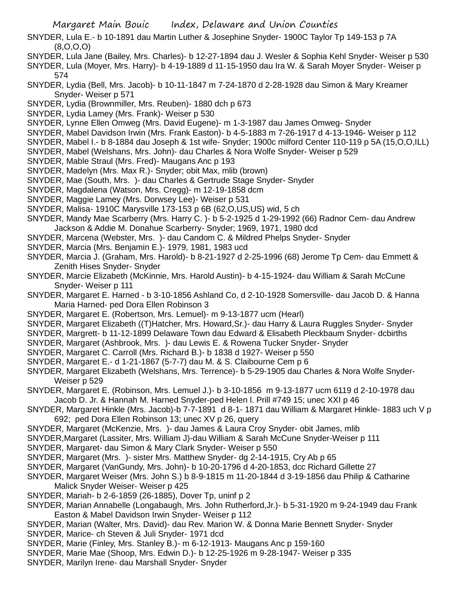- SNYDER, Lula E.- b 10-1891 dau Martin Luther & Josephine Snyder- 1900C Taylor Tp 149-153 p 7A (8,O,O,O)
- SNYDER, Lula Jane (Bailey, Mrs. Charles)- b 12-27-1894 dau J. Wesler & Sophia Kehl Snyder- Weiser p 530
- SNYDER, Lula (Moyer, Mrs. Harry)- b 4-19-1889 d 11-15-1950 dau Ira W. & Sarah Moyer Snyder- Weiser p 574
- SNYDER, Lydia (Bell, Mrs. Jacob)- b 10-11-1847 m 7-24-1870 d 2-28-1928 dau Simon & Mary Kreamer Snyder- Weiser p 571
- SNYDER, Lydia (Brownmiller, Mrs. Reuben)- 1880 dch p 673
- SNYDER, Lydia Lamey (Mrs. Frank)- Weiser p 530
- SNYDER, Lynne Ellen Omweg (Mrs. David Eugene)- m 1-3-1987 dau James Omweg- Snyder
- SNYDER, Mabel Davidson Irwin (Mrs. Frank Easton)- b 4-5-1883 m 7-26-1917 d 4-13-1946- Weiser p 112
- SNYDER, Mabel I.- b 8-1884 dau Joseph & 1st wife- Snyder; 1900c milford Center 110-119 p 5A (15,O,O,ILL)
- SNYDER, Mabel (Welshans, Mrs. John)- dau Charles & Nora Wolfe Snyder- Weiser p 529
- SNYDER, Mable Straul (Mrs. Fred)- Maugans Anc p 193
- SNYDER, Madelyn (Mrs. Max R.)- Snyder; obit Max, mlib (brown)
- SNYDER, Mae (South, Mrs. )- dau Charles & Gertrude Stage Snyder- Snyder
- SNYDER, Magdalena (Watson, Mrs. Cregg)- m 12-19-1858 dcm
- SNYDER, Maggie Lamey (Mrs. Dorwsey Lee)- Weiser p 531
- SNYDER, Malisa- 1910C Marysville 173-153 p 6B (62,O,US,US) wid, 5 ch
- SNYDER, Mandy Mae Scarberry (Mrs. Harry C. )- b 5-2-1925 d 1-29-1992 (66) Radnor Cem- dau Andrew Jackson & Addie M. Donahue Scarberry- Snyder; 1969, 1971, 1980 dcd
- SNYDER, Marcena (Webster, Mrs. )- dau Candom C. & Mildred Phelps Snyder- Snyder
- SNYDER, Marcia (Mrs. Benjamin E.)- 1979, 1981, 1983 ucd
- SNYDER, Marcia J. (Graham, Mrs. Harold)- b 8-21-1927 d 2-25-1996 (68) Jerome Tp Cem- dau Emmett & Zenith Hises Snyder- Snyder
- SNYDER, Marcie Elizabeth (McKinnie, Mrs. Harold Austin)- b 4-15-1924- dau William & Sarah McCune Snyder- Weiser p 111
- SNYDER, Margaret E. Harned b 3-10-1856 Ashland Co, d 2-10-1928 Somersville- dau Jacob D. & Hanna Maria Harned- ped Dora Ellen Robinson 3
- SNYDER, Margaret E. (Robertson, Mrs. Lemuel)- m 9-13-1877 ucm (Hearl)
- SNYDER, Margaret Elizabeth ((T)Hatcher, Mrs. Howard,Sr.)- dau Harry & Laura Ruggles Snyder- Snyder
- SNYDER, Margrett- b 11-12-1899 Delaware Town dau Edward & Elisabeth Pleckbaum Snyder- dcbirths
- SNYDER, Margaret (Ashbrook, Mrs. )- dau Lewis E. & Rowena Tucker Snyder- Snyder
- SNYDER, Margaret C. Carroll (Mrs. Richard B.)- b 1838 d 1927- Weiser p 550
- SNYDER, Margaret E.- d 1-21-1867 (5-7-7) dau M. & S. Claibourne Cem p 6
- SNYDER, Margaret Elizabeth (Welshans, Mrs. Terrence)- b 5-29-1905 dau Charles & Nora Wolfe Snyder-Weiser p 529
- SNYDER, Margaret E. (Robinson, Mrs. Lemuel J.)- b 3-10-1856 m 9-13-1877 ucm 6119 d 2-10-1978 dau Jacob D. Jr. & Hannah M. Harned Snyder-ped Helen l. Prill #749 15; unec XXI p 46
- SNYDER, Margaret Hinkle (Mrs. Jacob)-b 7-7-1891 d 8-1- 1871 dau William & Margaret Hinkle- 1883 uch V p 692; ped Dora Ellen Robinson 13; unec XV p 26, query
- SNYDER, Margaret (McKenzie, Mrs. )- dau James & Laura Croy Snyder- obit James, mlib
- SNYDER,Margaret (Lassiter, Mrs. William J)-dau William & Sarah McCune Snyder-Weiser p 111
- SNYDER, Margaret- dau Simon & Mary Clark Snyder- Weiser p 550
- SNYDER, Margaret (Mrs. )- sister Mrs. Matthew Snyder- dg 2-14-1915, Cry Ab p 65
- SNYDER, Margaret (VanGundy, Mrs. John)- b 10-20-1796 d 4-20-1853, dcc Richard Gillette 27
- SNYDER, Margaret Weiser (Mrs. John S.) b 8-9-1815 m 11-20-1844 d 3-19-1856 dau Philip & Catharine Malick Snyder Weiser- Weiser p 425
- SNYDER, Mariah- b 2-6-1859 (26-1885), Dover Tp, uninf p 2
- SNYDER, Marian Annabelle (Longabaugh, Mrs. John Rutherford,Jr.)- b 5-31-1920 m 9-24-1949 dau Frank Easton & Mabel Davidson Irwin Snyder- Weiser p 112
- SNYDER, Marian (Walter, Mrs. David)- dau Rev. Marion W. & Donna Marie Bennett Snyder- Snyder SNYDER, Marice- ch Steven & Juli Snyder- 1971 dcd
- SNYDER, Marie (Finley, Mrs. Stanley B.)- m 6-12-1913- Maugans Anc p 159-160
- SNYDER, Marie Mae (Shoop, Mrs. Edwin D.)- b 12-25-1926 m 9-28-1947- Weiser p 335
- SNYDER, Marilyn Irene- dau Marshall Snyder- Snyder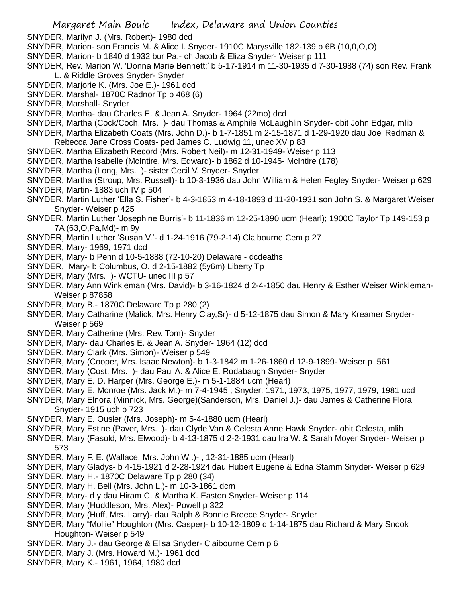- SNYDER, Marilyn J. (Mrs. Robert)- 1980 dcd
- SNYDER, Marion- son Francis M. & Alice I. Snyder- 1910C Marysville 182-139 p 6B (10,0,O,O)
- SNYDER, Marion- b 1840 d 1932 bur Pa.- ch Jacob & Eliza Snyder- Weiser p 111
- SNYDER, Rev. Marion W. 'Donna Marie Bennett;' b 5-17-1914 m 11-30-1935 d 7-30-1988 (74) son Rev. Frank L. & Riddle Groves Snyder- Snyder
- SNYDER, Marjorie K. (Mrs. Joe E.)- 1961 dcd
- SNYDER, Marshal- 1870C Radnor Tp p 468 (6)
- SNYDER, Marshall- Snyder
- SNYDER, Martha- dau Charles E. & Jean A. Snyder- 1964 (22mo) dcd
- SNYDER, Martha (Cock/Coch, Mrs. )- dau Thomas & Amphile McLaughlin Snyder- obit John Edgar, mlib
- SNYDER, Martha Elizabeth Coats (Mrs. John D.)- b 1-7-1851 m 2-15-1871 d 1-29-1920 dau Joel Redman & Rebecca Jane Cross Coats- ped James C. Ludwig 11, unec XV p 83
- SNYDER, Martha Elizabeth Record (Mrs. Robert Neil)- m 12-31-1949- Weiser p 113
- SNYDER, Martha Isabelle (McIntire, Mrs. Edward)- b 1862 d 10-1945- McIntire (178)
- SNYDER, Martha (Long, Mrs. )- sister Cecil V. Snyder- Snyder
- SNYDER, Martha (Stroup, Mrs. Russell)- b 10-3-1936 dau John William & Helen Fegley Snyder- Weiser p 629 SNYDER, Martin- 1883 uch IV p 504
- SNYDER, Martin Luther 'Ella S. Fisher'- b 4-3-1853 m 4-18-1893 d 11-20-1931 son John S. & Margaret Weiser Snyder- Weiser p 425
- SNYDER, Martin Luther 'Josephine Burris'- b 11-1836 m 12-25-1890 ucm (Hearl); 1900C Taylor Tp 149-153 p 7A (63,O,Pa,Md)- m 9y
- SNYDER, Martin Luther 'Susan V.'- d 1-24-1916 (79-2-14) Claibourne Cem p 27
- SNYDER, Mary- 1969, 1971 dcd
- SNYDER, Mary- b Penn d 10-5-1888 (72-10-20) Delaware dcdeaths
- SNYDER, Mary- b Columbus, O. d 2-15-1882 (5y6m) Liberty Tp
- SNYDER, Mary (Mrs. )- WCTU- unec III p 57
- SNYDER, Mary Ann Winkleman (Mrs. David)- b 3-16-1824 d 2-4-1850 dau Henry & Esther Weiser Winkleman-Weiser p 87858
- SNYDER, Mary B.- 1870C Delaware Tp p 280 (2)
- SNYDER, Mary Catharine (Malick, Mrs. Henry Clay,Sr)- d 5-12-1875 dau Simon & Mary Kreamer Snyder-Weiser p 569
- SNYDER, Mary Catherine (Mrs. Rev. Tom)- Snyder
- SNYDER, Mary- dau Charles E. & Jean A. Snyder- 1964 (12) dcd
- SNYDER, Mary Clark (Mrs. Simon)- Weiser p 549
- SNYDER, Mary (Cooper, Mrs. Isaac Newton)- b 1-3-1842 m 1-26-1860 d 12-9-1899- Weiser p 561
- SNYDER, Mary (Cost, Mrs. )- dau Paul A. & Alice E. Rodabaugh Snyder- Snyder
- SNYDER, Mary E. D. Harper (Mrs. George E.)- m 5-1-1884 ucm (Hearl)
- SNYDER, Mary E. Monroe (Mrs. Jack M.)- m 7-4-1945 ; Snyder; 1971, 1973, 1975, 1977, 1979, 1981 ucd
- SNYDER, Mary Elnora (Minnick, Mrs. George)(Sanderson, Mrs. Daniel J.)- dau James & Catherine Flora Snyder- 1915 uch p 723
- SNYDER, Mary E. Ousler (Mrs. Joseph)- m 5-4-1880 ucm (Hearl)
- SNYDER, Mary Estine (Paver, Mrs. )- dau Clyde Van & Celesta Anne Hawk Snyder- obit Celesta, mlib
- SNYDER, Mary (Fasold, Mrs. Elwood)- b 4-13-1875 d 2-2-1931 dau Ira W. & Sarah Moyer Snyder- Weiser p 573
- SNYDER, Mary F. E. (Wallace, Mrs. John W,.)- , 12-31-1885 ucm (Hearl)
- SNYDER, Mary Gladys- b 4-15-1921 d 2-28-1924 dau Hubert Eugene & Edna Stamm Snyder- Weiser p 629
- SNYDER, Mary H.- 1870C Delaware Tp p 280 (34)
- SNYDER, Mary H. Bell (Mrs. John L.)- m 10-3-1861 dcm
- SNYDER, Mary- d y dau Hiram C. & Martha K. Easton Snyder- Weiser p 114
- SNYDER, Mary (Huddleson, Mrs. Alex)- Powell p 322
- SNYDER, Mary (Huff, Mrs. Larry)- dau Ralph & Bonnie Breece Snyder- Snyder
- SNYDER, Mary "Mollie" Houghton (Mrs. Casper)- b 10-12-1809 d 1-14-1875 dau Richard & Mary Snook Houghton- Weiser p 549
- SNYDER, Mary J.- dau George & Elisa Snyder- Claibourne Cem p 6
- SNYDER, Mary J. (Mrs. Howard M.)- 1961 dcd
- SNYDER, Mary K.- 1961, 1964, 1980 dcd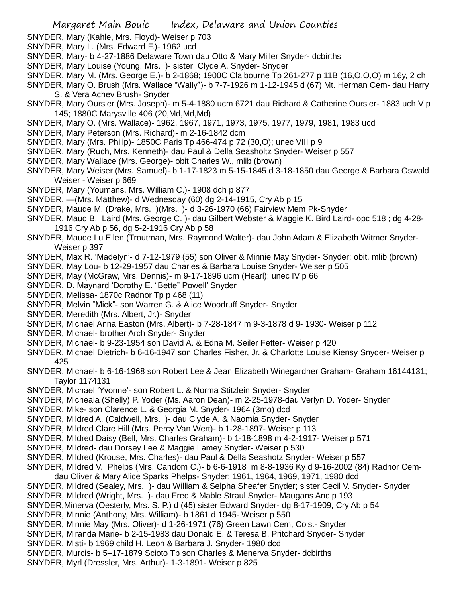- SNYDER, Mary (Kahle, Mrs. Floyd)- Weiser p 703
- SNYDER, Mary L. (Mrs. Edward F.)- 1962 ucd
- SNYDER, Mary- b 4-27-1886 Delaware Town dau Otto & Mary Miller Snyder- dcbirths
- SNYDER, Mary Louise (Young, Mrs. )- sister Clyde A. Snyder- Snyder
- SNYDER, Mary M. (Mrs. George E.)- b 2-1868; 1900C Claibourne Tp 261-277 p 11B (16,O,O,O) m 16y, 2 ch
- SNYDER, Mary O. Brush (Mrs. Wallace "Wally")- b 7-7-1926 m 1-12-1945 d (67) Mt. Herman Cem- dau Harry S. & Vera Achev Brush- Snyder
- SNYDER, Mary Oursler (Mrs. Joseph)- m 5-4-1880 ucm 6721 dau Richard & Catherine Oursler- 1883 uch V p 145; 1880C Marysville 406 (20,Md,Md,Md)
- SNYDER, Mary O. (Mrs. Wallace)- 1962, 1967, 1971, 1973, 1975, 1977, 1979, 1981, 1983 ucd
- SNYDER, Mary Peterson (Mrs. Richard)- m 2-16-1842 dcm
- SNYDER, Mary (Mrs. Philip)- 1850C Paris Tp 466-474 p 72 (30,O); unec VIII p 9
- SNYDER, Mary (Ruch, Mrs. Kenneth)- dau Paul & Della Seasholtz Snyder- Weiser p 557
- SNYDER, Mary Wallace (Mrs. George)- obit Charles W., mlib (brown)
- SNYDER, Mary Weiser (Mrs. Samuel)- b 1-17-1823 m 5-15-1845 d 3-18-1850 dau George & Barbara Oswald Weiser - Weiser p 669
- SNYDER, Mary (Youmans, Mrs. William C.)- 1908 dch p 877
- SNYDER, —(Mrs. Matthew)- d Wednesday (60) dg 2-14-1915, Cry Ab p 15
- SNYDER, Maude M. (Drake, Mrs. )(Mrs. )- d 3-26-1970 (66) Fairview Mem Pk-Snyder
- SNYDER, Maud B. Laird (Mrs. George C. )- dau Gilbert Webster & Maggie K. Bird Laird- opc 518 ; dg 4-28- 1916 Cry Ab p 56, dg 5-2-1916 Cry Ab p 58
- SNYDER, Maude Lu Ellen (Troutman, Mrs. Raymond Walter)- dau John Adam & Elizabeth Witmer Snyder-Weiser p 397
- SNYDER, Max R. 'Madelyn'- d 7-12-1979 (55) son Oliver & Minnie May Snyder- Snyder; obit, mlib (brown)
- SNYDER, May Lou- b 12-29-1957 dau Charles & Barbara Louise Snyder- Weiser p 505
- SNYDER, May (McGraw, Mrs. Dennis)- m 9-17-1896 ucm (Hearl); unec IV p 66
- SNYDER, D. Maynard 'Dorothy E. "Bette" Powell' Snyder
- SNYDER, Melissa- 1870c Radnor Tp p 468 (11)
- SNYDER, Melvin "Mick"- son Warren G. & Alice Woodruff Snyder- Snyder
- SNYDER, Meredith (Mrs. Albert, Jr.)- Snyder
- SNYDER, Michael Anna Easton (Mrs. Albert)- b 7-28-1847 m 9-3-1878 d 9- 1930- Weiser p 112
- SNYDER, Michael- brother Arch Snyder- Snyder
- SNYDER, Michael- b 9-23-1954 son David A. & Edna M. Seiler Fetter- Weiser p 420
- SNYDER, Michael Dietrich- b 6-16-1947 son Charles Fisher, Jr. & Charlotte Louise Kiensy Snyder- Weiser p 425
- SNYDER, Michael- b 6-16-1968 son Robert Lee & Jean Elizabeth Winegardner Graham- Graham 16144131; Taylor 1174131
- SNYDER, Michael 'Yvonne'- son Robert L. & Norma Stitzlein Snyder- Snyder
- SNYDER, Micheala (Shelly) P. Yoder (Ms. Aaron Dean)- m 2-25-1978-dau Verlyn D. Yoder- Snyder
- SNYDER, Mike- son Clarence L. & Georgia M. Snyder- 1964 (3mo) dcd
- SNYDER, Mildred A. (Caldwell, Mrs. )- dau Clyde A. & Naomia Snyder- Snyder
- SNYDER, Mildred Clare Hill (Mrs. Percy Van Wert)- b 1-28-1897- Weiser p 113
- SNYDER, Mildred Daisy (Bell, Mrs. Charles Graham)- b 1-18-1898 m 4-2-1917- Weiser p 571
- SNYDER, Mildred- dau Dorsey Lee & Maggie Lamey Snyder- Weiser p 530
- SNYDER, Mildred (Krouse, Mrs. Charles)- dau Paul & Della Seashotz Snyder- Weiser p 557
- SNYDER, Mildred V. Phelps (Mrs. Candom C.)- b 6-6-1918 m 8-8-1936 Ky d 9-16-2002 (84) Radnor Cem-
- dau Oliver & Mary Alice Sparks Phelps- Snyder; 1961, 1964, 1969, 1971, 1980 dcd
- SNYDER, Mildred (Sealey, Mrs. )- dau William & Selpha Sheafer Snyder; sister Cecil V. Snyder- Snyder
- SNYDER, Mildred (Wright, Mrs. )- dau Fred & Mable Straul Snyder- Maugans Anc p 193
- SNYDER,Minerva (Oesterly, Mrs. S. P.) d (45) sister Edward Snyder- dg 8-17-1909, Cry Ab p 54
- SNYDER, Minnie (Anthony, Mrs. William)- b 1861 d 1945- Weiser p 550
- SNYDER, Minnie May (Mrs. Oliver)- d 1-26-1971 (76) Green Lawn Cem, Cols.- Snyder
- SNYDER, Miranda Marie- b 2-15-1983 dau Donald E. & Teresa B. Pritchard Snyder- Snyder
- SNYDER, Misti- b 1969 child H. Leon & Barbara J. Snyder- 1980 dcd
- SNYDER, Murcis- b 5–17-1879 Scioto Tp son Charles & Menerva Snyder- dcbirths
- SNYDER, Myrl (Dressler, Mrs. Arthur)- 1-3-1891- Weiser p 825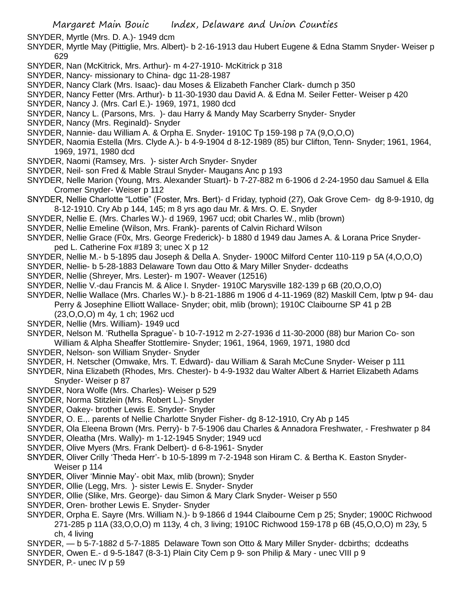SNYDER, Myrtle (Mrs. D. A.)- 1949 dcm

- SNYDER, Myrtle May (Pittiglie, Mrs. Albert)- b 2-16-1913 dau Hubert Eugene & Edna Stamm Snyder- Weiser p 629
- SNYDER, Nan (McKitrick, Mrs. Arthur)- m 4-27-1910- McKitrick p 318
- SNYDER, Nancy- missionary to China- dgc 11-28-1987
- SNYDER, Nancy Clark (Mrs. Isaac)- dau Moses & Elizabeth Fancher Clark- dumch p 350
- SNYDER, Nancy Fetter (Mrs. Arthur)- b 11-30-1930 dau David A. & Edna M. Seiler Fetter- Weiser p 420
- SNYDER, Nancy J. (Mrs. Carl E.)- 1969, 1971, 1980 dcd
- SNYDER, Nancy L. (Parsons, Mrs. )- dau Harry & Mandy May Scarberry Snyder- Snyder
- SNYDER, Nancy (Mrs. Reginald)- Snyder
- SNYDER, Nannie- dau William A. & Orpha E. Snyder- 1910C Tp 159-198 p 7A (9,O,O,O)
- SNYDER, Naomia Estella (Mrs. Clyde A.)- b 4-9-1904 d 8-12-1989 (85) bur Clifton, Tenn- Snyder; 1961, 1964, 1969, 1971, 1980 dcd
- SNYDER, Naomi (Ramsey, Mrs. )- sister Arch Snyder- Snyder
- SNYDER, Neil- son Fred & Mable Straul Snyder- Maugans Anc p 193
- SNYDER, Nelle Marion (Young, Mrs. Alexander Stuart)- b 7-27-882 m 6-1906 d 2-24-1950 dau Samuel & Ella Cromer Snyder- Weiser p 112
- SNYDER, Nellie Charlotte "Lottie" (Foster, Mrs. Bert)- d Friday, typhoid (27), Oak Grove Cem- dg 8-9-1910, dg 8-12-1910. Cry Ab p 144, 145; m 8 yrs ago dau Mr. & Mrs. O. E. Snyder
- SNYDER, Nellie E. (Mrs. Charles W.)- d 1969, 1967 ucd; obit Charles W., mlib (brown)
- SNYDER, Nellie Emeline (Wilson, Mrs. Frank)- parents of Calvin Richard Wilson
- SNYDER, Nellie Grace (F0x, Mrs. George Frederick)- b 1880 d 1949 dau James A. & Lorana Price Snyderped L. Catherine Fox #189 3; unec X p 12
- SNYDER, Nellie M.- b 5-1895 dau Joseph & Della A. Snyder- 1900C Milford Center 110-119 p 5A (4,O,O,O)
- SNYDER, Nellie- b 5-28-1883 Delaware Town dau Otto & Mary Miller Snyder- dcdeaths
- SNYDER, Nellie (Shreyer, Mrs. Lester)- m 1907- Weaver (12516)
- SNYDER, Nellie V.-dau Francis M. & Alice I. Snyder- 1910C Marysville 182-139 p 6B (20,O,O,O)
- SNYDER, Nellie Wallace (Mrs. Charles W.)- b 8-21-1886 m 1906 d 4-11-1969 (82) Maskill Cem, lptw p 94- dau Perry & Josephine Elliott Wallace- Snyder; obit, mlib (brown); 1910C Claibourne SP 41 p 2B (23,O,O,O) m 4y, 1 ch; 1962 ucd
- SNYDER, Nellie (Mrs. William)- 1949 ucd
- SNYDER, Nelson M. 'Ruthella Sprague'- b 10-7-1912 m 2-27-1936 d 11-30-2000 (88) bur Marion Co- son William & Alpha Sheaffer Stottlemire- Snyder; 1961, 1964, 1969, 1971, 1980 dcd
- SNYDER, Nelson- son William Snyder- Snyder
- SNYDER, H. Netscher (Omwake, Mrs. T. Edward)- dau William & Sarah McCune Snyder- Weiser p 111
- SNYDER, Nina Elizabeth (Rhodes, Mrs. Chester)- b 4-9-1932 dau Walter Albert & Harriet Elizabeth Adams Snyder- Weiser p 87
- SNYDER, Nora Wolfe (Mrs. Charles)- Weiser p 529
- SNYDER, Norma Stitzlein (Mrs. Robert L.)- Snyder
- SNYDER, Oakey- brother Lewis E. Snyder- Snyder
- SNYDER, O. E.,. parents of Nellie Charlotte Snyder Fisher- dg 8-12-1910, Cry Ab p 145
- SNYDER, Ola Eleena Brown (Mrs. Perry)- b 7-5-1906 dau Charles & Annadora Freshwater, Freshwater p 84
- SNYDER, Oleatha (Mrs. Wally)- m 1-12-1945 Snyder; 1949 ucd
- SNYDER, Olive Myers (Mrs. Frank Delbert)- d 6-8-1961- Snyder
- SNYDER, Oliver Crilly 'Theda Herr'- b 10-5-1899 m 7-2-1948 son Hiram C. & Bertha K. Easton Snyder-Weiser p 114
- SNYDER, Oliver 'Minnie May'- obit Max, mlib (brown); Snyder
- SNYDER, Ollie (Legg, Mrs. )- sister Lewis E. Snyder- Snyder
- SNYDER, Ollie (Slike, Mrs. George)- dau Simon & Mary Clark Snyder- Weiser p 550
- SNYDER, Oren- brother Lewis E. Snyder- Snyder
- SNYDER, Orpha E. Sayre (Mrs. William N.)- b 9-1866 d 1944 Claibourne Cem p 25; Snyder; 1900C Richwood 271-285 p 11A (33,O,O,O) m 113y, 4 ch, 3 living; 1910C Richwood 159-178 p 6B (45,O,O,O) m 23y, 5 ch, 4 living
- SNYDER, b 5-7-1882 d 5-7-1885 Delaware Town son Otto & Mary Miller Snyder- dcbirths; dcdeaths
- SNYDER, Owen E.- d 9-5-1847 (8-3-1) Plain City Cem p 9- son Philip & Mary unec VIII p 9
- SNYDER, P.- unec IV p 59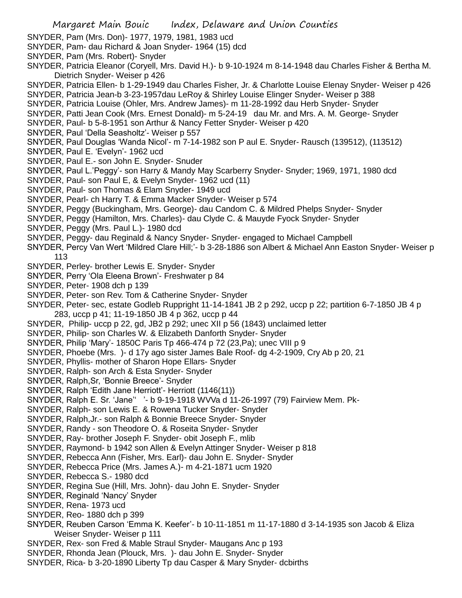- SNYDER, Pam (Mrs. Don)- 1977, 1979, 1981, 1983 ucd
- SNYDER, Pam- dau Richard & Joan Snyder- 1964 (15) dcd
- SNYDER, Pam (Mrs. Robert)- Snyder
- SNYDER, Patricia Eleanor (Coryell, Mrs. David H.)- b 9-10-1924 m 8-14-1948 dau Charles Fisher & Bertha M. Dietrich Snyder- Weiser p 426
- SNYDER, Patricia Ellen- b 1-29-1949 dau Charles Fisher, Jr. & Charlotte Louise Elenay Snyder- Weiser p 426
- SNYDER, Patricia Jean-b 3-23-1957dau LeRoy & Shirley Louise Elinger Snyder- Weiser p 388
- SNYDER, Patricia Louise (Ohler, Mrs. Andrew James)- m 11-28-1992 dau Herb Snyder- Snyder
- SNYDER, Patti Jean Cook (Mrs. Ernest Donald)- m 5-24-19 dau Mr. and Mrs. A. M. George- Snyder
- SNYDER, Paul- b 5-8-1951 son Arthur & Nancy Fetter Snyder- Weiser p 420
- SNYDER, Paul 'Della Seasholtz'- Weiser p 557
- SNYDER, Paul Douglas 'Wanda Nicol'- m 7-14-1982 son P aul E. Snyder- Rausch (139512), (113512)
- SNYDER, Paul E. 'Evelyn'- 1962 ucd
- SNYDER, Paul E.- son John E. Snyder- Snuder
- SNYDER, Paul L.'Peggy'- son Harry & Mandy May Scarberry Snyder- Snyder; 1969, 1971, 1980 dcd
- SNYDER, Paul- son Paul E, & Evelyn Snyder- 1962 ucd (11)
- SNYDER, Paul- son Thomas & Elam Snyder- 1949 ucd
- SNYDER, Pearl- ch Harry T. & Emma Macker Snyder- Weiser p 574
- SNYDER, Peggy (Buckingham, Mrs. George)- dau Candom C. & Mildred Phelps Snyder- Snyder
- SNYDER, Peggy (Hamilton, Mrs. Charles)- dau Clyde C. & Mauyde Fyock Snyder- Snyder
- SNYDER, Peggy (Mrs. Paul L.)- 1980 dcd
- SNYDER, Peggy- dau Reginald & Nancy Snyder- Snyder- engaged to Michael Campbell
- SNYDER, Percy Van Wert 'Mildred Clare Hill;'- b 3-28-1886 son Albert & Michael Ann Easton Snyder- Weiser p 113
- SNYDER, Perley- brother Lewis E. Snyder- Snyder
- SNYDER, Perry 'Ola Eleena Brown'- Freshwater p 84
- SNYDER, Peter- 1908 dch p 139
- SNYDER, Peter- son Rev. Tom & Catherine Snyder- Snyder
- SNYDER, Peter- sec, estate Godleb Ruppright 11-14-1841 JB 2 p 292, uccp p 22; partition 6-7-1850 JB 4 p 283, uccp p 41; 11-19-1850 JB 4 p 362, uccp p 44
- SNYDER, Philip- uccp p 22, gd, JB2 p 292; unec XII p 56 (1843) unclaimed letter
- SNYDER, Philip- son Charles W. & Elizabeth Danforth Snyder- Snyder
- SNYDER, Philip 'Mary'- 1850C Paris Tp 466-474 p 72 (23,Pa); unec VIII p 9
- SNYDER, Phoebe (Mrs. )- d 17y ago sister James Bale Roof- dg 4-2-1909, Cry Ab p 20, 21
- SNYDER, Phyllis- mother of Sharon Hope Ellars- Snyder
- SNYDER, Ralph- son Arch & Esta Snyder- Snyder
- SNYDER, Ralph,Sr, 'Bonnie Breece'- Snyder
- SNYDER, Ralph 'Edith Jane Herriott'- Herriott (1146(11))
- SNYDER, Ralph E. Sr. 'Jane'' '- b 9-19-1918 WVVa d 11-26-1997 (79) Fairview Mem. Pk-
- SNYDER, Ralph- son Lewis E. & Rowena Tucker Snyder- Snyder
- SNYDER, Ralph,Jr.- son Ralph & Bonnie Breece Snyder- Snyder
- SNYDER, Randy son Theodore O. & Roseita Snyder- Snyder
- SNYDER, Ray- brother Joseph F. Snyder- obit Joseph F., mlib
- SNYDER, Raymond- b 1942 son Allen & Evelyn Attinger Snyder- Weiser p 818
- SNYDER, Rebecca Ann (Fisher, Mrs. Earl)- dau John E. Snyder- Snyder
- SNYDER, Rebecca Price (Mrs. James A.)- m 4-21-1871 ucm 1920
- SNYDER, Rebecca S.- 1980 dcd
- SNYDER, Regina Sue (Hill, Mrs. John)- dau John E. Snyder- Snyder
- SNYDER, Reginald 'Nancy' Snyder
- SNYDER, Rena- 1973 ucd
- SNYDER, Reo- 1880 dch p 399
- SNYDER, Reuben Carson 'Emma K. Keefer'- b 10-11-1851 m 11-17-1880 d 3-14-1935 son Jacob & Eliza Weiser Snyder- Weiser p 111
- SNYDER, Rex- son Fred & Mable Straul Snyder- Maugans Anc p 193
- SNYDER, Rhonda Jean (Plouck, Mrs. )- dau John E. Snyder- Snyder
- SNYDER, Rica- b 3-20-1890 Liberty Tp dau Casper & Mary Snyder- dcbirths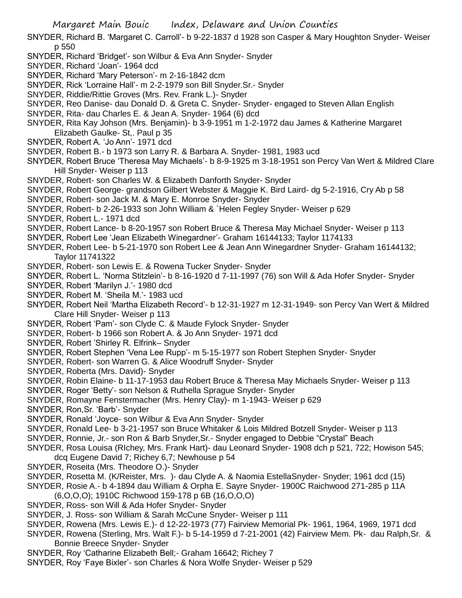- SNYDER, Richard B. 'Margaret C. Carroll'- b 9-22-1837 d 1928 son Casper & Mary Houghton Snyder- Weiser p 550
- SNYDER, Richard 'Bridget'- son Wilbur & Eva Ann Snyder- Snyder
- SNYDER, Richard 'Joan'- 1964 dcd
- SNYDER, Richard 'Mary Peterson'- m 2-16-1842 dcm
- SNYDER, Rick 'Lorraine Hall'- m 2-2-1979 son Bill Snyder.Sr.- Snyder
- SNYDER, Riddie/Rittie Groves (Mrs. Rev. Frank L.)- Snyder
- SNYDER, Reo Danise- dau Donald D. & Greta C. Snyder- Snyder- engaged to Steven Allan English
- SNYDER, Rita- dau Charles E. & Jean A. Snyder- 1964 (6) dcd
- SNYDER, Rita Kay Johson (Mrs. Benjamin)- b 3-9-1951 m 1-2-1972 dau James & Katherine Margaret Elizabeth Gaulke- St,. Paul p 35
- SNYDER, Robert A. 'Jo Ann'- 1971 dcd
- SNYDER, Robert B.- b 1973 son Larry R. & Barbara A. Snyder- 1981, 1983 ucd
- SNYDER, Robert Bruce 'Theresa May Michaels'- b 8-9-1925 m 3-18-1951 son Percy Van Wert & Mildred Clare Hill Snyder- Weiser p 113
- SNYDER, Robert- son Charles W. & Elizabeth Danforth Snyder- Snyder
- SNYDER, Robert George- grandson Gilbert Webster & Maggie K. Bird Laird- dg 5-2-1916, Cry Ab p 58
- SNYDER, Robert- son Jack M. & Mary E. Monroe Snyder- Snyder
- SNYDER, Robert- b 2-26-1933 son John William & `Helen Fegley Snyder- Weiser p 629
- SNYDER, Robert L.- 1971 dcd
- SNYDER, Robert Lance- b 8-20-1957 son Robert Bruce & Theresa May Michael Snyder- Weiser p 113
- SNYDER, Robert Lee 'Jean Elizabeth Winegardner'- Graham 16144133; Taylor 1174133
- SNYDER, Robert Lee- b 5-21-1970 son Robert Lee & Jean Ann Winegardner Snyder- Graham 16144132; Taylor 11741322
- SNYDER, Robert- son Lewis E. & Rowena Tucker Snyder- Snyder
- SNYDER, Robert L. 'Norma Stitzlein'- b 8-16-1920 d 7-11-1997 (76) son Will & Ada Hofer Snyder- Snyder
- SNYDER, Robert 'Marilyn J.'- 1980 dcd
- SNYDER, Robert M. 'Sheila M.'- 1983 ucd
- SNYDER, Robert Neil 'Martha Elizabeth Record'- b 12-31-1927 m 12-31-1949- son Percy Van Wert & Mildred Clare Hill Snyder- Weiser p 113
- SNYDER, Robert 'Pam'- son Clyde C. & Maude Fylock Snyder- Snyder
- SNYDER, Robert- b 1966 son Robert A. & Jo Ann Snyder- 1971 dcd
- SNYDER, Robert 'Shirley R. Elfrink– Snyder
- SNYDER, Robert Stephen 'Vena Lee Rupp'- m 5-15-1977 son Robert Stephen Snyder- Snyder
- SNYDER, Robert- son Warren G. & Alice Woodruff Snyder- Snyder
- SNYDER, Roberta (Mrs. David)- Snyder
- SNYDER, Robin Elaine- b 11-17-1953 dau Robert Bruce & Theresa May Michaels Snyder- Weiser p 113
- SNYDER, Roger 'Betty'- son Nelson & Ruthella Sprague Snyder- Snyder
- SNYDER, Romayne Fenstermacher (Mrs. Henry Clay)- m 1-1943- Weiser p 629
- SNYDER, Ron,Sr. 'Barb'- Snyder
- SNYDER, Ronald 'Joyce- son Wilbur & Eva Ann Snyder- Snyder
- SNYDER, Ronald Lee- b 3-21-1957 son Bruce Whitaker & Lois Mildred Botzell Snyder- Weiser p 113
- SNYDER, Ronnie, Jr.- son Ron & Barb Snyder,Sr.- Snyder engaged to Debbie "Crystal" Beach
- SNYDER, Rosa Louisa (RIchey, Mrs. Frank Hart)- dau Leonard Snyder- 1908 dch p 521, 722; Howison 545; dcq Eugene David 7; Richey 6,7; Newhouse p 54
- SNYDER, Roseita (Mrs. Theodore O.)- Snyder
- SNYDER, Rosetta M. (K/Reister, Mrs. )- dau Clyde A. & Naomia EstellaSnyder- Snyder; 1961 dcd (15)
- SNYDER, Rosie A.- b 4-1894 dau William & Orpha E. Sayre Snyder- 1900C Raichwood 271-285 p 11A
- (6,O,O,O); 1910C Richwood 159-178 p 6B (16,O,O,O)
- SNYDER, Ross- son Will & Ada Hofer Snyder- Snyder
- SNYDER, J. Ross- son William & Sarah McCune Snyder- Weiser p 111
- SNYDER, Rowena (Mrs. Lewis E.)- d 12-22-1973 (77) Fairview Memorial Pk- 1961, 1964, 1969, 1971 dcd
- SNYDER, Rowena (Sterling, Mrs. Walt F.)- b 5-14-1959 d 7-21-2001 (42) Fairview Mem. Pk- dau Ralph,Sr. & Bonnie Breece Snyder- Snyder
- SNYDER, Roy 'Catharine Elizabeth Bell;- Graham 16642; Richey 7
- SNYDER, Roy 'Faye Bixler'- son Charles & Nora Wolfe Snyder- Weiser p 529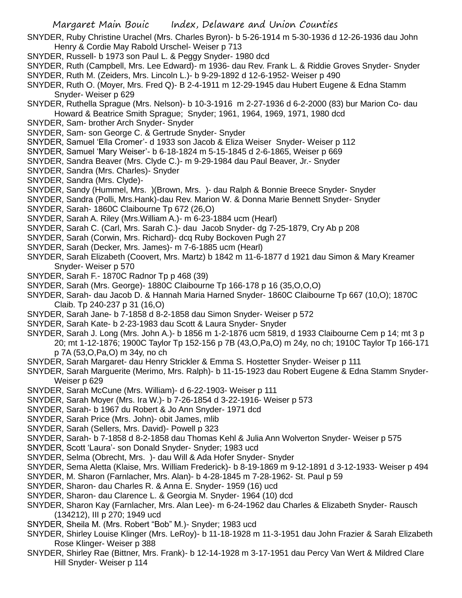- SNYDER, Ruby Christine Urachel (Mrs. Charles Byron)- b 5-26-1914 m 5-30-1936 d 12-26-1936 dau John Henry & Cordie May Rabold Urschel- Weiser p 713
- SNYDER, Russell- b 1973 son Paul L. & Peggy Snyder- 1980 dcd
- SNYDER, Ruth (Campbell, Mrs. Lee Edward)- m 1936- dau Rev. Frank L. & Riddie Groves Snyder- Snyder
- SNYDER, Ruth M. (Zeiders, Mrs. Lincoln L.)- b 9-29-1892 d 12-6-1952- Weiser p 490
- SNYDER, Ruth O. (Moyer, Mrs. Fred Q)- B 2-4-1911 m 12-29-1945 dau Hubert Eugene & Edna Stamm Snyder- Weiser p 629
- SNYDER, Ruthella Sprague (Mrs. Nelson)- b 10-3-1916 m 2-27-1936 d 6-2-2000 (83) bur Marion Co- dau Howard & Beatrice Smith Sprague; Snyder; 1961, 1964, 1969, 1971, 1980 dcd
- SNYDER, Sam- brother Arch Snyder- Snyder
- SNYDER, Sam- son George C. & Gertrude Snyder- Snyder
- SNYDER, Samuel 'Ella Cromer'- d 1933 son Jacob & Eliza Weiser Snyder- Weiser p 112
- SNYDER, Samuel 'Mary Weiser'- b 6-18-1824 m 5-15-1845 d 2-6-1865, Weiser p 669
- SNYDER, Sandra Beaver (Mrs. Clyde C.)- m 9-29-1984 dau Paul Beaver, Jr.- Snyder
- SNYDER, Sandra (Mrs. Charles)- Snyder
- SNYDER, Sandra (Mrs. Clyde)-
- SNYDER, Sandy (Hummel, Mrs. )(Brown, Mrs. )- dau Ralph & Bonnie Breece Snyder- Snyder
- SNYDER, Sandra (Polli, Mrs.Hank)-dau Rev. Marion W. & Donna Marie Bennett Snyder- Snyder
- SNYDER, Sarah- 1860C Claibourne Tp 672 (26,O)
- SNYDER, Sarah A. Riley (Mrs.William A.)- m 6-23-1884 ucm (Hearl)
- SNYDER, Sarah C. (Carl, Mrs. Sarah C.)- dau Jacob Snyder- dg 7-25-1879, Cry Ab p 208
- SNYDER, Sarah (Corwin, Mrs. Richard)- dcq Ruby Bockoven Pugh 27
- SNYDER, Sarah (Decker, Mrs. James)- m 7-6-1885 ucm (Hearl)
- SNYDER, Sarah Elizabeth (Coovert, Mrs. Martz) b 1842 m 11-6-1877 d 1921 dau Simon & Mary Kreamer Snyder- Weiser p 570
- SNYDER, Sarah F.- 1870C Radnor Tp p 468 (39)
- SNYDER, Sarah (Mrs. George)- 1880C Claibourne Tp 166-178 p 16 (35,O,O,O)
- SNYDER, Sarah- dau Jacob D. & Hannah Maria Harned Snyder- 1860C Claibourne Tp 667 (10,O); 1870C Claib. Tp 240-237 p 31 (16,O)
- SNYDER, Sarah Jane- b 7-1858 d 8-2-1858 dau Simon Snyder- Weiser p 572
- SNYDER, Sarah Kate- b 2-23-1983 dau Scott & Laura Snyder- Snyder
- SNYDER, Sarah J. Long (Mrs. John A.)- b 1856 m 1-2-1876 ucm 5819, d 1933 Claibourne Cem p 14; mt 3 p 20; mt 1-12-1876; 1900C Taylor Tp 152-156 p 7B (43,O,Pa,O) m 24y, no ch; 1910C Taylor Tp 166-171 p 7A (53,O,Pa,O) m 34y, no ch
- SNYDER, Sarah Margaret- dau Henry Strickler & Emma S. Hostetter Snyder- Weiser p 111
- SNYDER, Sarah Marguerite (Merimo, Mrs. Ralph)- b 11-15-1923 dau Robert Eugene & Edna Stamm Snyder-Weiser p 629
- SNYDER, Sarah McCune (Mrs. William)- d 6-22-1903- Weiser p 111
- SNYDER, Sarah Moyer (Mrs. Ira W.)- b 7-26-1854 d 3-22-1916- Weiser p 573
- SNYDER, Sarah- b 1967 du Robert & Jo Ann Snyder- 1971 dcd
- SNYDER, Sarah Price (Mrs. John)- obit James, mlib
- SNYDER, Sarah (Sellers, Mrs. David)- Powell p 323
- SNYDER, Sarah- b 7-1858 d 8-2-1858 dau Thomas Kehl & Julia Ann Wolverton Snyder- Weiser p 575
- SNYDER, Scott 'Laura'- son Donald Snyder- Snyder; 1983 ucd
- SNYDER, Selma (Obrecht, Mrs. )- dau Will & Ada Hofer Snyder- Snyder
- SNYDER, Sema Aletta (Klaise, Mrs. William Frederick)- b 8-19-1869 m 9-12-1891 d 3-12-1933- Weiser p 494
- SNYDER, M. Sharon (Farnlacher, Mrs. Alan)- b 4-28-1845 m 7-28-1962- St. Paul p 59
- SNYDER, Sharon- dau Charles R. & Anna E. Snyder- 1959 (16) ucd
- SNYDER, Sharon- dau Clarence L. & Georgia M. Snyder- 1964 (10) dcd
- SNYDER, Sharon Kay (Farnlacher, Mrs. Alan Lee)- m 6-24-1962 dau Charles & Elizabeth Snyder- Rausch (134212), III p 270; 1949 ucd
- SNYDER, Sheila M. (Mrs. Robert "Bob" M.)- Snyder; 1983 ucd
- SNYDER, Shirley Louise Klinger (Mrs. LeRoy)- b 11-18-1928 m 11-3-1951 dau John Frazier & Sarah Elizabeth Rose Klinger- Weiser p 388
- SNYDER, Shirley Rae (Bittner, Mrs. Frank)- b 12-14-1928 m 3-17-1951 dau Percy Van Wert & Mildred Clare Hill Snyder- Weiser p 114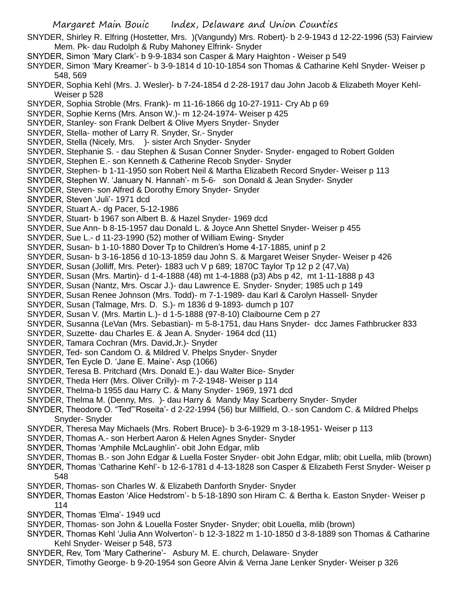- SNYDER, Shirley R. Elfring (Hostetter, Mrs. )(Vangundy) Mrs. Robert)- b 2-9-1943 d 12-22-1996 (53) Fairview Mem. Pk- dau Rudolph & Ruby Mahoney Elfrink- Snyder
- SNYDER, Simon 'Mary Clark'- b 9-9-1834 son Casper & Mary Haighton Weiser p 549
- SNYDER, Simon 'Mary Kreamer'- b 3-9-1814 d 10-10-1854 son Thomas & Catharine Kehl Snyder- Weiser p 548, 569
- SNYDER, Sophia Kehl (Mrs. J. Wesler)- b 7-24-1854 d 2-28-1917 dau John Jacob & Elizabeth Moyer Kehl-Weiser p 528
- SNYDER, Sophia Stroble (Mrs. Frank)- m 11-16-1866 dg 10-27-1911- Cry Ab p 69
- SNYDER, Sophie Kerns (Mrs. Anson W.)- m 12-24-1974- Weiser p 425
- SNYDER, Stanley- son Frank Delbert & Olive Myers Snyder- Snyder
- SNYDER, Stella- mother of Larry R. Snyder, Sr.- Snyder
- SNYDER, Stella (Nicely, Mrs. )- sister Arch Snyder- Snyder
- SNYDER, Stephanie S. dau Stephen & Susan Conner Snyder- Snyder- engaged to Robert Golden
- SNYDER, Stephen E.- son Kenneth & Catherine Recob Snyder- Snyder
- SNYDER, Stephen- b 1-11-1950 son Robert Neil & Martha Elizabeth Record Snyder- Weiser p 113
- SNYDER, Stephen W. 'January N. Hannah'- m 5-6- son Donald & Jean Snyder- Snyder
- SNYDER, Steven- son Alfred & Dorothy Emory Snyder- Snyder
- SNYDER, Steven 'Juli'- 1971 dcd
- SNYDER, Stuart A.- dg Pacer, 5-12-1986
- SNYDER, Stuart- b 1967 son Albert B. & Hazel Snyder- 1969 dcd
- SNYDER, Sue Ann- b 8-15-1957 dau Donald L. & Joyce Ann Shettel Snyder- Weiser p 455
- SNYDER, Sue L.- d 11-23-1990 (52) mother of William Ewing- Snyder
- SNYDER, Susan- b 1-10-1880 Dover Tp to Children's Home 4-17-1885, uninf p 2
- SNYDER, Susan- b 3-16-1856 d 10-13-1859 dau John S. & Margaret Weiser Snyder- Weiser p 426
- SNYDER, Susan (Jolliff, Mrs. Peter)- 1883 uch V p 689; 1870C Taylor Tp 12 p 2 (47,Va)
- SNYDER, Susan (Mrs. Martin)- d 1-4-1888 (48) mt 1-4-1888 (p3) Abs p 42, mt 1-11-1888 p 43
- SNYDER, Susan (Nantz, Mrs. Oscar J.)- dau Lawrence E. Snyder- Snyder; 1985 uch p 149
- SNYDER, Susan Renee Johnson (Mrs. Todd)- m 7-1-1989- dau Karl & Carolyn Hassell- Snyder
- SNYDER, Susan (Talmage, Mrs. D. S.)- m 1836 d 9-1893- dumch p 107
- SNYDER, Susan V. (Mrs. Martin L.)- d 1-5-1888 (97-8-10) Claibourne Cem p 27
- SNYDER, Susanna (LeVan (Mrs. Sebastian)- m 5-8-1751, dau Hans Snyder- dcc James Fathbrucker 833
- SNYDER, Suzette- dau Charles E. & Jean A. Snyder- 1964 dcd (11)
- SNYDER, Tamara Cochran (Mrs. David,Jr.)- Snyder
- SNYDER, Ted- son Candom O. & Mildred V. Phelps Snyder- Snyder
- SNYDER, Ten Eycle D. 'Jane E. Maine'- Asp (1066)
- SNYDER, Teresa B. Pritchard (Mrs. Donald E.)- dau Walter Bice- Snyder
- SNYDER, Theda Herr (Mrs. Oliver Crilly)- m 7-2-1948- Weiser p 114
- SNYDER, Thelma-b 1955 dau Harry C. & Many Snyder- 1969, 1971 dcd
- SNYDER, Thelma M. (Denny, Mrs. )- dau Harry & Mandy May Scarberry Snyder- Snyder
- SNYDER, Theodore O. "Ted"'Roseita'- d 2-22-1994 (56) bur Millfield, O.- son Candom C. & Mildred Phelps Snyder- Snyder
- SNYDER, Theresa May Michaels (Mrs. Robert Bruce)- b 3-6-1929 m 3-18-1951- Weiser p 113
- SNYDER, Thomas A.- son Herbert Aaron & Helen Agnes Snyder- Snyder
- SNYDER, Thomas 'Amphile McLaughlin'- obit John Edgar, mlib
- SNYDER, Thomas B.- son John Edgar & Luella Foster Snyder- obit John Edgar, mlib; obit Luella, mlib (brown)
- SNYDER, Thomas 'Catharine Kehl'- b 12-6-1781 d 4-13-1828 son Casper & Elizabeth Ferst Snyder- Weiser p 548
- SNYDER, Thomas- son Charles W. & Elizabeth Danforth Snyder- Snyder
- SNYDER, Thomas Easton 'Alice Hedstrom'- b 5-18-1890 son Hiram C. & Bertha k. Easton Snyder- Weiser p 114
- SNYDER, Thomas 'Elma'- 1949 ucd
- SNYDER, Thomas- son John & Louella Foster Snyder- Snyder; obit Louella, mlib (brown)
- SNYDER, Thomas Kehl 'Julia Ann Wolverton'- b 12-3-1822 m 1-10-1850 d 3-8-1889 son Thomas & Catharine Kehl Snyder- Weiser p 548, 573
- SNYDER, Rev, Tom 'Mary Catherine'- Asbury M. E. church, Delaware- Snyder
- SNYDER, Timothy George- b 9-20-1954 son Geore Alvin & Verna Jane Lenker Snyder- Weiser p 326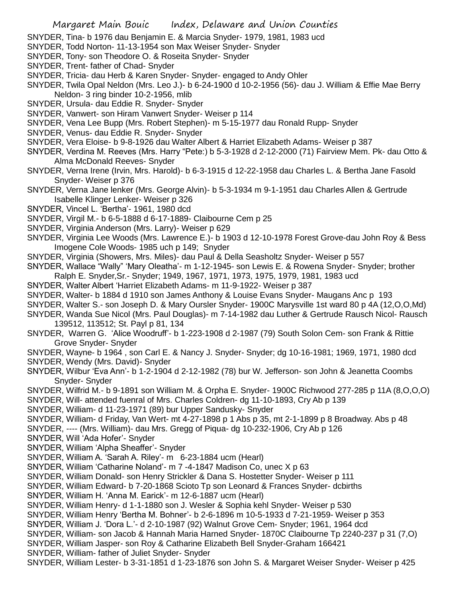SNYDER, Tina- b 1976 dau Benjamin E. & Marcia Snyder- 1979, 1981, 1983 ucd

- SNYDER, Todd Norton- 11-13-1954 son Max Weiser Snyder- Snyder
- SNYDER, Tony- son Theodore O. & Roseita Snyder- Snyder
- SNYDER, Trent- father of Chad- Snyder
- SNYDER, Tricia- dau Herb & Karen Snyder- Snyder- engaged to Andy Ohler

SNYDER, Twila Opal Neldon (Mrs. Leo J.)- b 6-24-1900 d 10-2-1956 (56)- dau J. William & Effie Mae Berry Neldon- 3 ring binder 10-2-1956, mlib

- SNYDER, Ursula- dau Eddie R. Snyder- Snyder
- SNYDER, Vanwert- son Hiram Vanwert Snyder- Weiser p 114
- SNYDER, Vena Lee Bupp (Mrs. Robert Stephen)- m 5-15-1977 dau Ronald Rupp- Snyder
- SNYDER, Venus- dau Eddie R. Snyder- Snyder
- SNYDER, Vera Eloise- b 9-8-1926 dau Walter Albert & Harriet Elizabeth Adams- Weiser p 387
- SNYDER, Verdina M. Reeves (Mrs. Harry "Pete:) b 5-3-1928 d 2-12-2000 (71) Fairview Mem. Pk- dau Otto & Alma McDonald Reeves- Snyder
- SNYDER, Verna Irene (Irvin, Mrs. Harold)- b 6-3-1915 d 12-22-1958 dau Charles L. & Bertha Jane Fasold Snyder- Weiser p 376
- SNYDER, Verna Jane lenker (Mrs. George Alvin)- b 5-3-1934 m 9-1-1951 dau Charles Allen & Gertrude Isabelle Klinger Lenker- Weiser p 326
- SNYDER, Vincel L. 'Bertha'- 1961, 1980 dcd
- SNYDER, Virgil M.- b 6-5-1888 d 6-17-1889- Claibourne Cem p 25
- SNYDER, Virginia Anderson (Mrs. Larry)- Weiser p 629
- SNYDER, Virginia Lee Woods (Mrs. Lawrence E.)- b 1903 d 12-10-1978 Forest Grove-dau John Roy & Bess Imogene Cole Woods- 1985 uch p 149; Snyder
- SNYDER, Virginia (Showers, Mrs. Miles)- dau Paul & Della Seasholtz Snyder- Weiser p 557
- SNYDER, Wallace "Wally" 'Mary Oleatha'- m 1-12-1945- son Lewis E. & Rowena Snyder- Snyder; brother Ralph E. Snyder,Sr.- Snyder; 1949, 1967, 1971, 1973, 1975, 1979, 1981, 1983 ucd
- SNYDER, Walter Albert 'Harriet Elizabeth Adams- m 11-9-1922- Weiser p 387
- SNYDER, Walter- b 1884 d 1910 son James Anthony & Louise Evans Snyder- Maugans Anc p 193
- SNYDER, Walter S.- son Joseph D. & Mary Oursler Snyder- 1900C Marysville 1st ward 80 p 4A (12,O,O,Md)
- SNYDER, Wanda Sue Nicol (Mrs. Paul Douglas)- m 7-14-1982 dau Luther & Gertrude Rausch Nicol- Rausch 139512, 113512; St. Payl p 81, 134
- SNYDER, Warren G. 'Alice Woodruff'- b 1-223-1908 d 2-1987 (79) South Solon Cem- son Frank & Rittie Grove Snyder- Snyder

SNYDER, Wayne- b 1964 , son Carl E. & Nancy J. Snyder- Snyder; dg 10-16-1981; 1969, 1971, 1980 dcd SNYDER, Wendy (Mrs. David)- Snyder

- 
- SNYDER, Wilbur 'Eva Ann'- b 1-2-1904 d 2-12-1982 (78) bur W. Jefferson- son John & Jeanetta Coombs Snyder- Snyder
- SNYDER, Wilfrid M.- b 9-1891 son William M. & Orpha E. Snyder- 1900C Richwood 277-285 p 11A (8,O,O,O)
- SNYDER, Will- attended fuenral of Mrs. Charles Coldren- dg 11-10-1893, Cry Ab p 139
- SNYDER, William- d 11-23-1971 (89) bur Upper Sandusky- Snyder
- SNYDER, William- d Friday, Van Wert- mt 4-27-1898 p 1 Abs p 35, mt 2-1-1899 p 8 Broadway. Abs p 48
- SNYDER, ---- (Mrs. William)- dau Mrs. Gregg of Piqua- dg 10-232-1906, Cry Ab p 126

SNYDER, Will 'Ada Hofer'- Snyder

- SNYDER, William 'Alpha Sheaffer'- Snyder
- SNYDER, William A. 'Sarah A. Riley'- m 6-23-1884 ucm (Hearl)
- SNYDER, William 'Catharine Noland'- m 7 -4-1847 Madison Co, unec X p 63
- SNYDER, William Donald- son Henry Strickler & Dana S. Hostetter Snyder- Weiser p 111
- SNYDER, William Edward- b 7-20-1868 Scioto Tp son Leonard & Frances Snyder- dcbirths
- SNYDER, William H. 'Anna M. Earick'- m 12-6-1887 ucm (Hearl)
- SNYDER, William Henry- d 1-1-1880 son J. Wesler & Sophia kehl Snyder- Weiser p 530
- SNYDER, William Henry 'Bertha M. Bohner'- b 2-6-1896 m 10-5-1933 d 7-21-1959- Weiser p 353
- SNYDER, William J. 'Dora L.'- d 2-10-1987 (92) Walnut Grove Cem- Snyder; 1961, 1964 dcd
- SNYDER, William- son Jacob & Hannah Maria Harned Snyder- 1870C Claibourne Tp 2240-237 p 31 (7,O)
- SNYDER, William Jasper- son Roy & Catharine Elizabeth Bell Snyder-Graham 166421
- SNYDER, William- father of Juliet Snyder- Snyder
- SNYDER, William Lester- b 3-31-1851 d 1-23-1876 son John S. & Margaret Weiser Snyder- Weiser p 425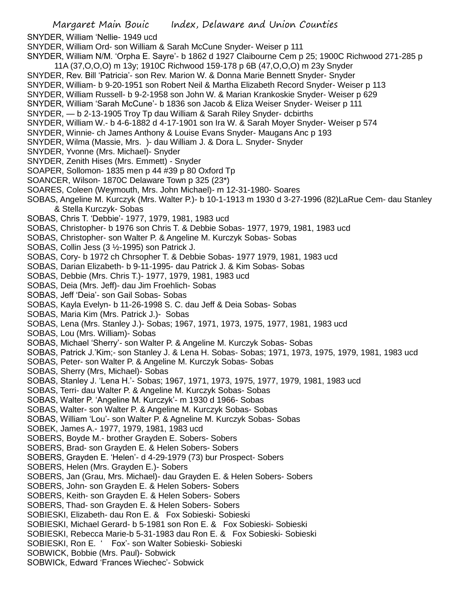Margaret Main Bouic Index, Delaware and Union Counties SNYDER, William 'Nellie- 1949 ucd SNYDER, William Ord- son William & Sarah McCune Snyder- Weiser p 111 SNYDER, William N/M. 'Orpha E. Sayre'- b 1862 d 1927 Claibourne Cem p 25; 1900C Richwood 271-285 p 11A (37,O,O,O) m 13y; 1910C Richwood 159-178 p 6B (47,O,O,O) m 23y Snyder SNYDER, Rev. Bill 'Patricia'- son Rev. Marion W. & Donna Marie Bennett Snyder- Snyder SNYDER, William- b 9-20-1951 son Robert Neil & Martha Elizabeth Record Snyder- Weiser p 113 SNYDER, William Russell- b 9-2-1958 son John W. & Marian Krankoskie Snyder- Weiser p 629 SNYDER, William 'Sarah McCune'- b 1836 son Jacob & Eliza Weiser Snyder- Weiser p 111 SNYDER, — b 2-13-1905 Troy Tp dau William & Sarah Riley Snyder- dcbirths SNYDER, William W.- b 4-6-1882 d 4-17-1901 son Ira W. & Sarah Moyer Snyder- Weiser p 574 SNYDER, Winnie- ch James Anthony & Louise Evans Snyder- Maugans Anc p 193 SNYDER, Wilma (Massie, Mrs. )- dau William J. & Dora L. Snyder- Snyder SNYDER, Yvonne (Mrs. Michael)- Snyder SNYDER, Zenith Hises (Mrs. Emmett) - Snyder SOAPER, Sollomon- 1835 men p 44 #39 p 80 Oxford Tp SOANCER, Wilson- 1870C Delaware Town p 325 (23\*) SOARES, Coleen (Weymouth, Mrs. John Michael)- m 12-31-1980- Soares SOBAS, Angeline M. Kurczyk (Mrs. Walter P.)- b 10-1-1913 m 1930 d 3-27-1996 (82)LaRue Cem- dau Stanley & Stella Kurczyk- Sobas SOBAS, Chris T. 'Debbie'- 1977, 1979, 1981, 1983 ucd SOBAS, Christopher- b 1976 son Chris T. & Debbie Sobas- 1977, 1979, 1981, 1983 ucd SOBAS, Christopher- son Walter P. & Angeline M. Kurczyk Sobas- Sobas SOBAS, Collin Jess (3 ½-1995) son Patrick J. SOBAS, Cory- b 1972 ch Chrsopher T. & Debbie Sobas- 1977 1979, 1981, 1983 ucd SOBAS, Darian Elizabeth- b 9-11-1995- dau Patrick J. & Kim Sobas- Sobas SOBAS, Debbie (Mrs. Chris T.)- 1977, 1979, 1981, 1983 ucd SOBAS, Deia (Mrs. Jeff)- dau Jim Froehlich- Sobas SOBAS, Jeff 'Deia'- son Gail Sobas- Sobas SOBAS, Kayla Evelyn- b 11-26-1998 S. C. dau Jeff & Deia Sobas- Sobas SOBAS, Maria Kim (Mrs. Patrick J.)- Sobas SOBAS, Lena (Mrs. Stanley J.)- Sobas; 1967, 1971, 1973, 1975, 1977, 1981, 1983 ucd SOBAS, Lou (Mrs. William)- Sobas SOBAS, Michael 'Sherry'- son Walter P. & Angeline M. Kurczyk Sobas- Sobas SOBAS, Patrick J.'Kim;- son Stanley J. & Lena H. Sobas- Sobas; 1971, 1973, 1975, 1979, 1981, 1983 ucd SOBAS, Peter- son Walter P. & Angeline M. Kurczyk Sobas- Sobas SOBAS, Sherry (Mrs, Michael)- Sobas SOBAS, Stanley J. 'Lena H.'- Sobas; 1967, 1971, 1973, 1975, 1977, 1979, 1981, 1983 ucd SOBAS, Terri- dau Walter P. & Angeline M. Kurczyk Sobas- Sobas SOBAS, Walter P. 'Angeline M. Kurczyk'- m 1930 d 1966- Sobas SOBAS, Walter- son Walter P. & Angeline M. Kurczyk Sobas- Sobas SOBAS, William 'Lou'- son Walter P. & Agneline M. Kurczyk Sobas- Sobas SOBEK, James A.- 1977, 1979, 1981, 1983 ucd SOBERS, Boyde M.- brother Grayden E. Sobers- Sobers SOBERS, Brad- son Grayden E. & Helen Sobers- Sobers SOBERS, Grayden E. 'Helen'- d 4-29-1979 (73) bur Prospect- Sobers SOBERS, Helen (Mrs. Grayden E.)- Sobers SOBERS, Jan (Grau, Mrs. Michael)- dau Grayden E. & Helen Sobers- Sobers SOBERS, John- son Grayden E. & Helen Sobers- Sobers SOBERS, Keith- son Grayden E. & Helen Sobers- Sobers SOBERS, Thad- son Grayden E. & Helen Sobers- Sobers SOBIESKI, Elizabeth- dau Ron E. & Fox Sobieski- Sobieski SOBIESKI, Michael Gerard- b 5-1981 son Ron E. & Fox Sobieski- Sobieski SOBIESKI, Rebecca Marie-b 5-31-1983 dau Ron E. & Fox Sobieski- Sobieski SOBIESKI, Ron E. ' Fox'- son Walter Sobieski- Sobieski SOBWICK, Bobbie (Mrs. Paul)- Sobwick SOBWICk, Edward 'Frances Wiechec'- Sobwick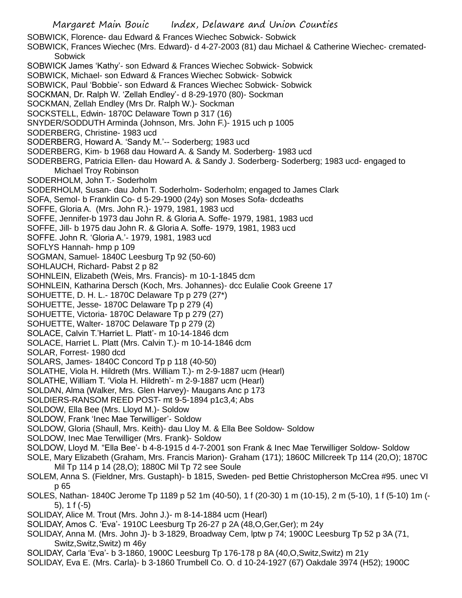SOBWICK, Florence- dau Edward & Frances Wiechec Sobwick- Sobwick

SOBWICK, Frances Wiechec (Mrs. Edward)- d 4-27-2003 (81) dau Michael & Catherine Wiechec- cremated-**Sobwick** 

- SOBWICK James 'Kathy'- son Edward & Frances Wiechec Sobwick- Sobwick
- SOBWICK, Michael- son Edward & Frances Wiechec Sobwick- Sobwick
- SOBWICK, Paul 'Bobbie'- son Edward & Frances Wiechec Sobwick- Sobwick
- SOCKMAN, Dr. Ralph W. 'Zellah Endley'- d 8-29-1970 (80)- Sockman
- SOCKMAN, Zellah Endley (Mrs Dr. Ralph W.)- Sockman
- SOCKSTELL, Edwin- 1870C Delaware Town p 317 (16)
- SNYDER/SODDUTH Arminda (Johnson, Mrs. John F.)- 1915 uch p 1005
- SODERBERG, Christine- 1983 ucd
- SODERBERG, Howard A. 'Sandy M.'-- Soderberg; 1983 ucd
- SODERBERG, Kim- b 1968 dau Howard A. & Sandy M. Soderberg- 1983 ucd
- SODERBERG, Patricia Ellen- dau Howard A. & Sandy J. Soderberg- Soderberg; 1983 ucd- engaged to Michael Troy Robinson
- SODERHOLM, John T.- Soderholm
- SODERHOLM, Susan- dau John T. Soderholm- Soderholm; engaged to James Clark
- SOFA, Semol- b Franklin Co- d 5-29-1900 (24y) son Moses Sofa- dcdeaths
- SOFFE, Gloria A. (Mrs. John R.)- 1979, 1981, 1983 ucd
- SOFFE, Jennifer-b 1973 dau John R. & Gloria A. Soffe- 1979, 1981, 1983 ucd
- SOFFE, Jill- b 1975 dau John R. & Gloria A. Soffe- 1979, 1981, 1983 ucd
- SOFFE. John R. 'Gloria A.'- 1979, 1981, 1983 ucd
- SOFLYS Hannah- hmp p 109
- SOGMAN, Samuel- 1840C Leesburg Tp 92 (50-60)
- SOHLAUCH, Richard- Pabst 2 p 82
- SOHNLEIN, Elizabeth (Weis, Mrs. Francis)- m 10-1-1845 dcm
- SOHNLEIN, Katharina Dersch (Koch, Mrs. Johannes)- dcc Eulalie Cook Greene 17
- SOHUETTE, D. H. L.- 1870C Delaware Tp p 279 (27\*)
- SOHUETTE, Jesse- 1870C Delaware Tp p 279 (4)
- SOHUETTE, Victoria- 1870C Delaware Tp p 279 (27)
- SOHUETTE, Walter- 1870C Delaware Tp p 279 (2)
- SOLACE, Calvin T.'Harriet L. Platt'- m 10-14-1846 dcm
- SOLACE, Harriet L. Platt (Mrs. Calvin T.)- m 10-14-1846 dcm
- SOLAR, Forrest- 1980 dcd
- SOLARS, James- 1840C Concord Tp p 118 (40-50)
- SOLATHE, Viola H. Hildreth (Mrs. William T.)- m 2-9-1887 ucm (Hearl)
- SOLATHE, William T. 'Viola H. Hildreth'- m 2-9-1887 ucm (Hearl)
- SOLDAN, Alma (Walker, Mrs. Glen Harvey)- Maugans Anc p 173
- SOLDIERS-RANSOM REED POST- mt 9-5-1894 p1c3,4; Abs
- SOLDOW, Ella Bee (Mrs. Lloyd M.)- Soldow
- SOLDOW, Frank 'Inec Mae Terwilliger'- Soldow
- SOLDOW, Gloria (Shaull, Mrs. Keith)- dau Lloy M. & Ella Bee Soldow- Soldow
- SOLDOW, Inec Mae Terwilliger (Mrs. Frank)- Soldow
- SOLDOW, Lloyd M. "Ella Bee'- b 4-8-1915 d 4-7-2001 son Frank & Inec Mae Terwilliger Soldow- Soldow
- SOLE, Mary Elizabeth (Graham, Mrs. Francis Marion)- Graham (171); 1860C Millcreek Tp 114 (20,O); 1870C Mil Tp 114 p 14 (28,O); 1880C Mil Tp 72 see Soule
- SOLEM, Anna S. (Fieldner, Mrs. Gustaph)- b 1815, Sweden- ped Bettie Christopherson McCrea #95. unec VI p 65
- SOLES, Nathan- 1840C Jerome Tp 1189 p 52 1m (40-50), 1 f (20-30) 1 m (10-15), 2 m (5-10), 1 f (5-10) 1m (- 5), 1 f (-5)
- SOLIDAY, Alice M. Trout (Mrs. John J.)- m 8-14-1884 ucm (Hearl)
- SOLIDAY, Amos C. 'Eva'- 1910C Leesburg Tp 26-27 p 2A (48,O,Ger,Ger); m 24y
- SOLIDAY, Anna M. (Mrs. John J)- b 3-1829, Broadway Cem, lptw p 74; 1900C Leesburg Tp 52 p 3A (71, Switz,Switz,Switz) m 46y
- SOLIDAY, Carla 'Eva'- b 3-1860, 1900C Leesburg Tp 176-178 p 8A (40,O,Switz,Switz) m 21y
- SOLIDAY, Eva E. (Mrs. Carla)- b 3-1860 Trumbell Co. O. d 10-24-1927 (67) Oakdale 3974 (H52); 1900C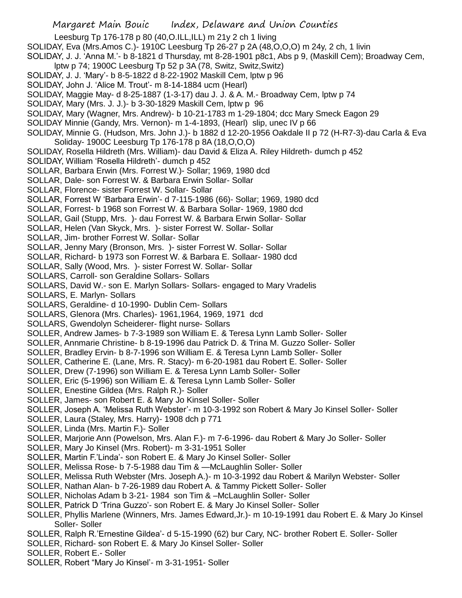- Leesburg Tp 176-178 p 80 (40,O.ILL,ILL) m 21y 2 ch 1 living
- SOLIDAY, Eva (Mrs.Amos C.)- 1910C Leesburg Tp 26-27 p 2A (48,O,O,O) m 24y, 2 ch, 1 livin
- SOLIDAY, J. J. 'Anna M.'- b 8-1821 d Thursday, mt 8-28-1901 p8c1, Abs p 9, (Maskill Cem); Broadway Cem, lptw p 74; 1900C Leesburg Tp 52 p 3A (78, Switz, Switz,Switz)
- SOLIDAY, J. J. 'Mary'- b 8-5-1822 d 8-22-1902 Maskill Cem, lptw p 96
- SOLIDAY, John J. 'Alice M. Trout'- m 8-14-1884 ucm (Hearl)
- SOLIDAY, Maggie May- d 8-25-1887 (1-3-17) dau J. J. & A. M.- Broadway Cem, lptw p 74
- SOLIDAY, Mary (Mrs. J. J.)- b 3-30-1829 Maskill Cem, lptw p 96
- SOLIDAY, Mary (Wagner, Mrs. Andrew)- b 10-21-1783 m 1-29-1804; dcc Mary Smeck Eagon 29
- SOLIDAY Minnie (Gandy, Mrs. Vernon)- m 1-4-1893, (Hearl) slip, unec IV p 66
- SOLIDAY, Minnie G. (Hudson, Mrs. John J.)- b 1882 d 12-20-1956 Oakdale II p 72 (H-R7-3)-dau Carla & Eva Soliday- 1900C Leesburg Tp 176-178 p 8A (18,O,O,O)
- SOLIDAY, Rosella Hildreth (Mrs. William)- dau David & Eliza A. Riley Hildreth- dumch p 452
- SOLIDAY, William 'Rosella Hildreth'- dumch p 452
- SOLLAR, Barbara Erwin (Mrs. Forrest W.)- Sollar; 1969, 1980 dcd
- SOLLAR, Dale- son Forrest W. & Barbara Erwin Sollar- Sollar
- SOLLAR, Florence- sister Forrest W. Sollar- Sollar
- SOLLAR, Forrest W 'Barbara Erwin'- d 7-115-1986 (66)- Sollar; 1969, 1980 dcd
- SOLLAR, Forrest- b 1968 son Forrest W. & Barbara Sollar- 1969, 1980 dcd
- SOLLAR, Gail (Stupp, Mrs. )- dau Forrest W. & Barbara Erwin Sollar- Sollar
- SOLLAR, Helen (Van Skyck, Mrs. )- sister Forrest W. Sollar- Sollar
- SOLLAR, Jim- brother Forrest W. Sollar- Sollar
- SOLLAR, Jenny Mary (Bronson, Mrs. )- sister Forrest W. Sollar- Sollar
- SOLLAR, Richard- b 1973 son Forrest W. & Barbara E. Sollaar- 1980 dcd
- SOLLAR, Sally (Wood, Mrs. )- sister Forrest W. Sollar- Sollar
- SOLLARS, Carroll- son Geraldine Sollars- Sollars
- SOLLARS, David W.- son E. Marlyn Sollars- Sollars- engaged to Mary Vradelis
- SOLLARS, E. Marlyn- Sollars
- SOLLARS, Geraldine- d 10-1990- Dublin Cem- Sollars
- SOLLARS, Glenora (Mrs. Charles)- 1961,1964, 1969, 1971 dcd
- SOLLARS, Gwendolyn Scheiderer- flight nurse- Sollars
- SOLLER, Andrew James- b 7-3-1989 son William E. & Teresa Lynn Lamb Soller- Soller
- SOLLER, Annmarie Christine- b 8-19-1996 dau Patrick D. & Trina M. Guzzo Soller- Soller
- SOLLER, Bradley Ervin- b 8-7-1996 son William E. & Teresa Lynn Lamb Soller- Soller
- SOLLER, Catherine E. (Lane, Mrs. R. Stacy)- m 6-20-1981 dau Robert E. Soller- Soller
- SOLLER, Drew (7-1996) son William E. & Teresa Lynn Lamb Soller- Soller
- SOLLER, Eric (5-1996) son William E. & Teresa Lynn Lamb Soller- Soller
- SOLLER, Enestine Gildea (Mrs. Ralph R.)- Soller
- SOLLER, James- son Robert E. & Mary Jo Kinsel Soller- Soller
- SOLLER, Joseph A. 'Melissa Ruth Webster'- m 10-3-1992 son Robert & Mary Jo Kinsel Soller- Soller
- SOLLER, Laura (Staley, Mrs. Harry)- 1908 dch p 771
- SOLLER, Linda (Mrs. Martin F.)- Soller
- SOLLER, Marjorie Ann (Powelson, Mrs. Alan F.)- m 7-6-1996- dau Robert & Mary Jo Soller- Soller
- SOLLER, Mary Jo Kinsel (Mrs. Robert)- m 3-31-1951 Soller
- SOLLER, Martin F.'Linda'- son Robert E. & Mary Jo Kinsel Soller- Soller
- SOLLER, Melissa Rose- b 7-5-1988 dau Tim & —McLaughlin Soller- Soller
- SOLLER, Melissa Ruth Webster (Mrs. Joseph A.)- m 10-3-1992 dau Robert & Marilyn Webster- Soller
- SOLLER, Nathan Alan- b 7-26-1989 dau Robert A. & Tammy Pickett Soller- Soller
- SOLLER, Nicholas Adam b 3-21- 1984 son Tim & –McLaughlin Soller- Soller
- SOLLER, Patrick D 'Trina Guzzo'- son Robert E. & Mary Jo Kinsel Soller- Soller
- SOLLER, Phyllis Marlene (Winners, Mrs. James Edward,Jr.)- m 10-19-1991 dau Robert E. & Mary Jo Kinsel Soller- Soller
- SOLLER, Ralph R.'Ernestine Gildea'- d 5-15-1990 (62) bur Cary, NC- brother Robert E. Soller- Soller
- SOLLER, Richard- son Robert E. & Mary Jo Kinsel Soller- Soller
- SOLLER, Robert E.- Soller
- SOLLER, Robert "Mary Jo Kinsel'- m 3-31-1951- Soller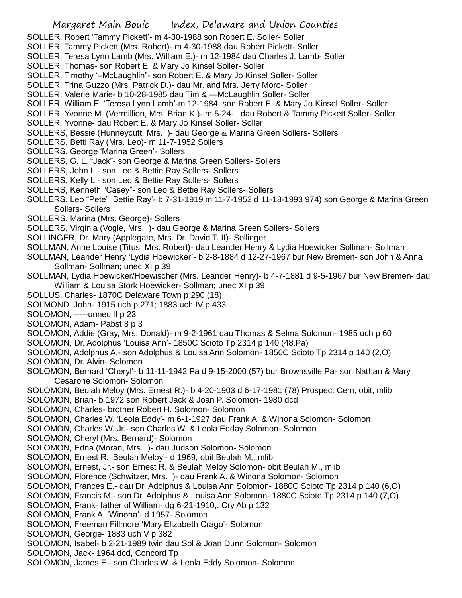- SOLLER, Robert 'Tammy Pickett'- m 4-30-1988 son Robert E. Soller- Soller
- SOLLER, Tammy Pickett (Mrs. Robert)- m 4-30-1988 dau Robert Pickett- Soller
- SOLLER, Teresa Lynn Lamb (Mrs. William E.)- m 12-1984 dau Charles J. Lamb- Soller
- SOLLER, Thomas- son Robert E. & Mary Jo Kinsel Soller- Soller
- SOLLER, Timothy '–McLaughlin"- son Robert E. & Mary Jo Kinsel Soller- Soller
- SOLLER, Trina Guzzo (Mrs. Patrick D.)- dau Mr. and Mrs. Jerry Moro- Soller
- SOLLER, Valerie Marie- b 10-28-1985 dau Tim & —McLaughlin Soller- Soller
- SOLLER, William E. 'Teresa Lynn Lamb'-m 12-1984 son Robert E. & Mary Jo Kinsel Soller- Soller
- SOLLER, Yvonne M. (Vermillion, Mrs. Brian K.)- m 5-24- dau Robert & Tammy Pickett Soller- Soller
- SOLLER, Yvonne- dau Robert E. & Mary Jo Kinsel Soller- Soller
- SOLLERS, Bessie (Hunneycutt, Mrs. )- dau George & Marina Green Sollers- Sollers
- SOLLERS, Betti Ray (Mrs. Leo)- m 11-7-1952 Sollers
- SOLLERS, George 'Marina Green'- Sollers
- SOLLERS, G. L. "Jack"- son George & Marina Green Sollers- Sollers
- SOLLERS, John L.- son Leo & Bettie Ray Sollers- Sollers
- SOLLERS, Kelly L.- son Leo & Bettie Ray Sollers- Sollers
- SOLLERS, Kenneth "Casey"- son Leo & Bettie Ray Sollers- Sollers
- SOLLERS, Leo "Pete" 'Bettie Ray'- b 7-31-1919 m 11-7-1952 d 11-18-1993 974) son George & Marina Green Sollers- Sollers
- SOLLERS, Marina (Mrs. George)- Sollers
- SOLLERS, Virginia (Vogle, Mrs. )- dau George & Marina Green Sollers- Sollers
- SOLLINGER, Dr. Mary (Applegate, Mrs. Dr. David T. II)- Sollinger
- SOLLMAN, Anne Louise (Titus, Mrs. Robert)- dau Leander Henry & Lydia Hoewicker Sollman- Sollman
- SOLLMAN, Leander Henry 'Lydia Hoewicker'- b 2-8-1884 d 12-27-1967 bur New Bremen- son John & Anna Sollman- Sollman; unec XI p 39
- SOLLMAN, Lydia Hoewicker/Hoewischer (Mrs. Leander Henry)- b 4-7-1881 d 9-5-1967 bur New Bremen- dau William & Louisa Stork Hoewicker- Sollman; unec XI p 39
- SOLLUS, Charles- 1870C Delaware Town p 290 (18)
- SOLMOND, John- 1915 uch p 271; 1883 uch IV p 433
- SOLOMON, -----unnec II p 23
- SOLOMON, Adam- Pabst 8 p 3
- SOLOMON, Addie (Gray, Mrs. Donald)- m 9-2-1961 dau Thomas & Selma Solomon- 1985 uch p 60
- SOLOMON, Dr. Adolphus 'Louisa Ann'- 1850C Scioto Tp 2314 p 140 (48,Pa)
- SOLOMON, Adolphus A.- son Adolphus & Louisa Ann Solomon- 1850C Scioto Tp 2314 p 140 (2,O)
- SOLOMON, Dr. Alvin- Solomon
- SOLOMON, Bernard 'Cheryl'- b 11-11-1942 Pa d 9-15-2000 (57) bur Brownsville,Pa- son Nathan & Mary Cesarone Solomon- Solomon
- SOLOMON, Beulah Meloy (Mrs. Ernest R.)- b 4-20-1903 d 6-17-1981 (78) Prospect Cem, obit, mlib
- SOLOMON, Brian- b 1972 son Robert Jack & Joan P. Solomon- 1980 dcd
- SOLOMON, Charles- brother Robert H. Solomon- Solomon
- SOLOMON, Charles W. 'Leola Eddy'- m 6-1-1927 dau Frank A. & Winona Solomon- Solomon
- SOLOMON, Charles W. Jr.- son Charles W. & Leola Edday Solomon- Solomon
- SOLOMON, Cheryl (Mrs. Bernard)- Solomon
- SOLOMON, Edna (Moran, Mrs. )- dau Judson Solomon- Solomon
- SOLOMON, Ernest R. 'Beulah Meloy'- d 1969, obit Beulah M., mlib
- SOLOMON, Ernest, Jr.- son Ernest R. & Beulah Meloy Solomon- obit Beulah M., mlib
- SOLOMON, Florence (Schwitzer, Mrs. )- dau Frank A. & Winona Solomon- Solomon
- SOLOMON, Frances E.- dau Dr. Adolphus & Louisa Ann Solomon- 1880C Scioto Tp 2314 p 140 (6,O)
- SOLOMON, Francis M.- son Dr. Adolphus & Louisa Ann Solomon- 1880C Scioto Tp 2314 p 140 (7,O)
- SOLOMON, Frank- father of William- dg 6-21-1910,. Cry Ab p 132
- SOLOMON, Frank A. 'Winona'- d 1957- Solomon
- SOLOMON, Freeman Fillmore 'Mary Elizabeth Crago'- Solomon
- SOLOMON, George- 1883 uch V p 382
- SOLOMON, Isabel- b 2-21-1989 twin dau Sol & Joan Dunn Solomon- Solomon
- SOLOMON, Jack- 1964 dcd, Concord Tp
- SOLOMON, James E.- son Charles W. & Leola Eddy Solomon- Solomon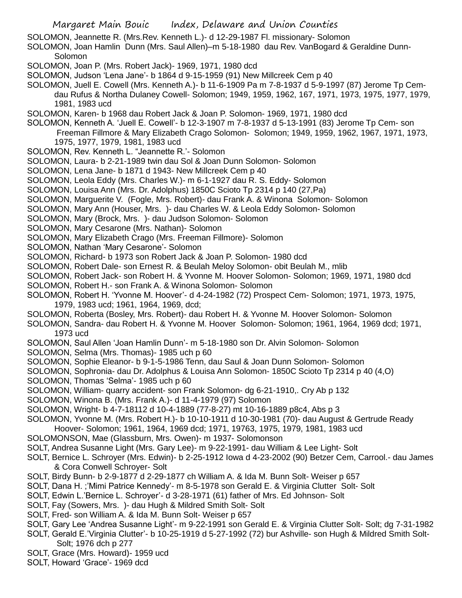- SOLOMON, Jeannette R. (Mrs.Rev. Kenneth L.)- d 12-29-1987 Fl. missionary- Solomon
- SOLOMON, Joan Hamlin Dunn (Mrs. Saul Allen)–m 5-18-1980 dau Rev. VanBogard & Geraldine Dunn-Solomon
- SOLOMON, Joan P. (Mrs. Robert Jack)- 1969, 1971, 1980 dcd
- SOLOMON, Judson 'Lena Jane'- b 1864 d 9-15-1959 (91) New Millcreek Cem p 40
- SOLOMON, Juell E. Cowell (Mrs. Kenneth A.)- b 11-6-1909 Pa m 7-8-1937 d 5-9-1997 (87) Jerome Tp Cemdau Rufus & Northa Dulaney Cowell- Solomon; 1949, 1959, 1962, 167, 1971, 1973, 1975, 1977, 1979, 1981, 1983 ucd
- SOLOMON, Karen- b 1968 dau Robert Jack & Joan P. Solomon- 1969, 1971, 1980 dcd
- SOLOMON, Kenneth A. 'Juell E. Cowell'- b 12-3-1907 m 7-8-1937 d 5-13-1991 (83) Jerome Tp Cem- son Freeman Fillmore & Mary Elizabeth Crago Solomon- Solomon; 1949, 1959, 1962, 1967, 1971, 1973,
	- 1975, 1977, 1979, 1981, 1983 ucd
- SOLOMON, Rev. Kenneth L. "Jeannette R.'- Solomon
- SOLOMON, Laura- b 2-21-1989 twin dau Sol & Joan Dunn Solomon- Solomon
- SOLOMON, Lena Jane- b 1871 d 1943- New Millcreek Cem p 40
- SOLOMON, Leola Eddy (Mrs. Charles W.)- m 6-1-1927 dau R. S. Eddy- Solomon
- SOLOMON, Louisa Ann (Mrs. Dr. Adolphus) 1850C Scioto Tp 2314 p 140 (27,Pa)
- SOLOMON, Marguerite V. (Fogle, Mrs. Robert)- dau Frank A. & Winona Solomon- Solomon
- SOLOMON, Mary Ann (Houser, Mrs. )- dau Charles W. & Leola Eddy Solomon- Solomon
- SOLOMON, Mary (Brock, Mrs. )- dau Judson Solomon- Solomon
- SOLOMON, Mary Cesarone (Mrs. Nathan)- Solomon
- SOLOMON, Mary Elizabeth Crago (Mrs. Freeman Fillmore)- Solomon
- SOLOMON, Nathan 'Mary Cesarone'- Solomon
- SOLOMON, Richard- b 1973 son Robert Jack & Joan P. Solomon- 1980 dcd
- SOLOMON, Robert Dale- son Ernest R. & Beulah Meloy Solomon- obit Beulah M., mlib
- SOLOMON, Robert Jack- son Robert H. & Yvonne M. Hoover Solomon- Solomon; 1969, 1971, 1980 dcd
- SOLOMON, Robert H.- son Frank A. & Winona Solomon- Solomon
- SOLOMON, Robert H. 'Yvonne M. Hoover'- d 4-24-1982 (72) Prospect Cem- Solomon; 1971, 1973, 1975, 1979, 1983 ucd; 1961, 1964, 1969, dcd;
- SOLOMON, Roberta (Bosley, Mrs. Robert)- dau Robert H. & Yvonne M. Hoover Solomon- Solomon
- SOLOMON, Sandra- dau Robert H. & Yvonne M. Hoover Solomon- Solomon; 1961, 1964, 1969 dcd; 1971, 1973 ucd
- SOLOMON, Saul Allen 'Joan Hamlin Dunn'- m 5-18-1980 son Dr. Alvin Solomon- Solomon
- SOLOMON, Selma (Mrs. Thomas)- 1985 uch p 60
- SOLOMON, Sophie Eleanor- b 9-1-5-1986 Tenn, dau Saul & Joan Dunn Solomon- Solomon
- SOLOMON, Sophronia- dau Dr. Adolphus & Louisa Ann Solomon- 1850C Scioto Tp 2314 p 40 (4,O)
- SOLOMON, Thomas 'Selma'- 1985 uch p 60
- SOLOMON, William- quarry accident- son Frank Solomon- dg 6-21-1910,. Cry Ab p 132
- SOLOMON, Winona B. (Mrs. Frank A.)- d 11-4-1979 (97) Solomon
- SOLOMON, Wright- b 4-7-18112 d 10-4-1889 (77-8-27) mt 10-16-1889 p8c4, Abs p 3
- SOLOMON, Yvonne M. (Mrs. Robert H.)- b 10-10-1911 d 10-30-1981 (70)- dau August & Gertrude Ready
- Hoover- Solomon; 1961, 1964, 1969 dcd; 1971, 19763, 1975, 1979, 1981, 1983 ucd
- SOLOMONSON, Mae (Glassburn, Mrs. Owen)- m 1937- Solomonson
- SOLT, Andrea Susanne Light (Mrs. Gary Lee)- m 9-22-1991- dau William & Lee Light- Solt
- SOLT, Bernice L. Schroyer (Mrs. Edwin)- b 2-25-1912 Iowa d 4-23-2002 (90) Betzer Cem, Carrool.- dau James & Cora Conwell Schroyer- Solt
- SOLT, Birdy Bunn- b 2-9-1877 d 2-29-1877 ch William A. & Ida M. Bunn Solt- Weiser p 657
- SOLT, Dana H. ;'Mimi Patrice Kennedy'- m 8-5-1978 son Gerald E. & Virginia Clutter Solt- Solt
- SOLT, Edwin L.'Bernice L. Schroyer'- d 3-28-1971 (61) father of Mrs. Ed Johnson- Solt
- SOLT, Fay (Sowers, Mrs. )- dau Hugh & Mildred Smith Solt- Solt
- SOLT, Fred- son William A. & Ida M. Bunn Solt- Weiser p 657
- SOLT, Gary Lee 'Andrea Susanne Light'- m 9-22-1991 son Gerald E. & Virginia Clutter Solt- Solt; dg 7-31-1982
- SOLT, Gerald E.'Virginia Clutter'- b 10-25-1919 d 5-27-1992 (72) bur Ashville- son Hugh & Mildred Smith Solt-Solt; 1976 dch p 277
- SOLT, Grace (Mrs. Howard)- 1959 ucd
- SOLT, Howard 'Grace'- 1969 dcd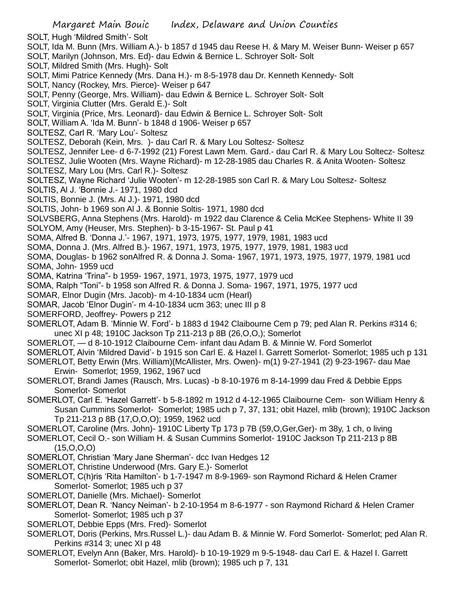- SOLT, Hugh 'Mildred Smith'- Solt
- SOLT, Ida M. Bunn (Mrs. William A.)- b 1857 d 1945 dau Reese H. & Mary M. Weiser Bunn- Weiser p 657
- SOLT, Marilyn (Johnson, Mrs. Ed)- dau Edwin & Bernice L. Schroyer Solt- Solt
- SOLT, Mildred Smith (Mrs. Hugh)- Solt
- SOLT, Mimi Patrice Kennedy (Mrs. Dana H.)- m 8-5-1978 dau Dr. Kenneth Kennedy- Solt
- SOLT, Nancy (Rockey, Mrs. Pierce)- Weiser p 647
- SOLT, Penny (George, Mrs. William)- dau Edwin & Bernice L. Schroyer Solt- Solt
- SOLT, Virginia Clutter (Mrs. Gerald E.)- Solt
- SOLT, Virginia (Price, Mrs. Leonard)- dau Edwin & Bernice L. Schroyer Solt- Solt
- SOLT, William A. 'Ida M. Bunn'- b 1848 d 1906- Weiser p 657
- SOLTESZ, Carl R. 'Mary Lou'- Soltesz
- SOLTESZ, Deborah (Kein, Mrs. )- dau Carl R. & Mary Lou Soltesz- Soltesz
- SOLTESZ, Jennifer Lee- d 6-7-1992 (21) Forest Lawn Mem. Gard.- dau Carl R. & Mary Lou Soltecz- Soltesz
- SOLTESZ, Julie Wooten (Mrs. Wayne Richard)- m 12-28-1985 dau Charles R. & Anita Wooten- Soltesz
- SOLTESZ, Mary Lou (Mrs. Carl R.)- Soltesz
- SOLTESZ, Wayne Richard 'Julie Wooten'- m 12-28-1985 son Carl R. & Mary Lou Soltesz- Soltesz
- SOLTIS, Al J. 'Bonnie J.- 1971, 1980 dcd
- SOLTIS, Bonnie J. (Mrs. Al J.)- 1971, 1980 dcd
- SOLTIS, John- b 1969 son Al J. & Bonnie Soltis- 1971, 1980 dcd
- SOLVSBERG, Anna Stephens (Mrs. Harold)- m 1922 dau Clarence & Celia McKee Stephens- White II 39 SOLYOM, Amy (Heuser, Mrs. Stephen)- b 3-15-1967- St. Paul p 41
- SOMA, Alfred B. 'Donna J.'- 1967, 1971, 1973, 1975, 1977, 1979, 1981, 1983 ucd
- SOMA, Donna J. (Mrs. Alfred B.)- 1967, 1971, 1973, 1975, 1977, 1979, 1981, 1983 ucd
- SOMA, Douglas- b 1962 sonAlfred R. & Donna J. Soma- 1967, 1971, 1973, 1975, 1977, 1979, 1981 ucd SOMA, John- 1959 ucd
- SOMA, Katrina 'Trina"- b 1959- 1967, 1971, 1973, 1975, 1977, 1979 ucd
- SOMA, Ralph "Toni"- b 1958 son Alfred R. & Donna J. Soma- 1967, 1971, 1975, 1977 ucd
- SOMAR, Elnor Dugin (Mrs. Jacob)- m 4-10-1834 ucm (Hearl)
- SOMAR, Jacob 'Elnor Dugin'- m 4-10-1834 ucm 363; unec III p 8
- SOMERFORD, Jeoffrey- Powers p 212
- SOMERLOT, Adam B. 'Minnie W. Ford'- b 1883 d 1942 Claibourne Cem p 79; ped Alan R. Perkins #314 6; unec XI p 48; 1910C Jackson Tp 211-213 p 8B (26,O,O,); Somerlot
- SOMERLOT, d 8-10-1912 Claibourne Cem- infant dau Adam B. & Minnie W. Ford Somerlot
- SOMERLOT, Alvin 'Mildred David'- b 1915 son Carl E. & Hazel I. Garrett Somerlot- Somerlot; 1985 uch p 131
- SOMERLOT, Betty Erwin (Mrs. William)(McAllister, Mrs. Owen)- m(1) 9-27-1941 (2) 9-23-1967- dau Mae Erwin- Somerlot; 1959, 1962, 1967 ucd
- SOMERLOT, Brandi James (Rausch, Mrs. Lucas) -b 8-10-1976 m 8-14-1999 dau Fred & Debbie Epps Somerlot- Somerlot
- SOMERLOT, Carl E. 'Hazel Garrett'- b 5-8-1892 m 1912 d 4-12-1965 Claibourne Cem- son William Henry & Susan Cummins Somerlot- Somerlot; 1985 uch p 7, 37, 131; obit Hazel, mlib (brown); 1910C Jackson Tp 211-213 p 8B (17,O,O,O); 1959, 1962 ucd
- SOMERLOT, Caroline (Mrs. John)- 1910C Liberty Tp 173 p 7B (59,O,Ger,Ger)- m 38y, 1 ch, o living
- SOMERLOT, Cecil O.- son William H. & Susan Cummins Somerlot- 1910C Jackson Tp 211-213 p 8B (15,O,O,O)
- SOMERLOT, Christian 'Mary Jane Sherman'- dcc Ivan Hedges 12
- SOMERLOT, Christine Underwood (Mrs. Gary E.)- Somerlot
- SOMERLOT, C(h)ris 'Rita Hamilton'- b 1-7-1947 m 8-9-1969- son Raymond Richard & Helen Cramer Somerlot- Somerlot; 1985 uch p 37
- SOMERLOT, Danielle (Mrs. Michael)- Somerlot
- SOMERLOT, Dean R. 'Nancy Neiman'- b 2-10-1954 m 8-6-1977 son Raymond Richard & Helen Cramer Somerlot- Somerlot; 1985 uch p 37
- SOMERLOT, Debbie Epps (Mrs. Fred)- Somerlot
- SOMERLOT, Doris (Perkins, Mrs.Russel L.)- dau Adam B. & Minnie W. Ford Somerlot- Somerlot; ped Alan R. Perkins #314 3; unec XI p 48
- SOMERLOT, Evelyn Ann (Baker, Mrs. Harold)- b 10-19-1929 m 9-5-1948- dau Carl E. & Hazel I. Garrett Somerlot- Somerlot; obit Hazel, mlib (brown); 1985 uch p 7, 131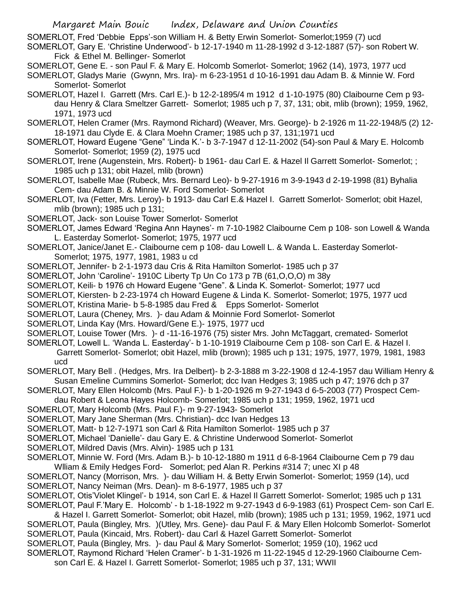SOMERLOT, Fred 'Debbie Epps'-son William H. & Betty Erwin Somerlot- Somerlot;1959 (7) ucd

- SOMERLOT, Gary E. 'Christine Underwood'- b 12-17-1940 m 11-28-1992 d 3-12-1887 (57)- son Robert W. Fick & Ethel M. Bellinger- Somerlot
- SOMERLOT, Gene E. son Paul F. & Mary E. Holcomb Somerlot- Somerlot; 1962 (14), 1973, 1977 ucd
- SOMERLOT, Gladys Marie (Gwynn, Mrs. Ira)- m 6-23-1951 d 10-16-1991 dau Adam B. & Minnie W. Ford Somerlot- Somerlot
- SOMERLOT, Hazel I. Garrett (Mrs. Carl E.)- b 12-2-1895/4 m 1912 d 1-10-1975 (80) Claibourne Cem p 93 dau Henry & Clara Smeltzer Garrett- Somerlot; 1985 uch p 7, 37, 131; obit, mlib (brown); 1959, 1962, 1971, 1973 ucd
- SOMERLOT, Helen Cramer (Mrs. Raymond Richard) (Weaver, Mrs. George)- b 2-1926 m 11-22-1948/5 (2) 12- 18-1971 dau Clyde E. & Clara Moehn Cramer; 1985 uch p 37, 131;1971 ucd
- SOMERLOT, Howard Eugene "Gene" 'Linda K.'- b 3-7-1947 d 12-11-2002 (54)-son Paul & Mary E. Holcomb Somerlot- Somerlot; 1959 (2), 1975 ucd
- SOMERLOT, Irene (Augenstein, Mrs. Robert)- b 1961- dau Carl E. & Hazel Il Garrett Somerlot- Somerlot; ; 1985 uch p 131; obit Hazel, mlib (brown)
- SOMERLOT, Isabelle Mae (Rubeck, Mrs. Bernard Leo)- b 9-27-1916 m 3-9-1943 d 2-19-1998 (81) Byhalia Cem- dau Adam B. & Minnie W. Ford Somerlot- Somerlot
- SOMERLOT, Iva (Fetter, Mrs. Leroy)- b 1913- dau Carl E.& Hazel I. Garrett Somerlot- Somerlot; obit Hazel, mlib (brown); 1985 uch p 131;
- SOMERLOT, Jack- son Louise Tower Somerlot- Somerlot
- SOMERLOT, James Edward 'Regina Ann Haynes'- m 7-10-1982 Claibourne Cem p 108- son Lowell & Wanda L. Easterday Somerlot- Somerlot; 1975, 1977 ucd
- SOMERLOT, Janice/Janet E.- Claibourne cem p 108- dau Lowell L. & Wanda L. Easterday Somerlot-Somerlot; 1975, 1977, 1981, 1983 u cd
- SOMERLOT, Jennifer- b 2-1-1973 dau Cris & Rita Hamilton Somerlot- 1985 uch p 37
- SOMERLOT, John 'Caroline'- 1910C Liberty Tp Un Co 173 p 7B (61,O,O,O) m 38y
- SOMERLOT, Keili- b 1976 ch Howard Eugene "Gene". & Linda K. Somerlot- Somerlot; 1977 ucd
- SOMERLOT, Kiersten- b 2-23-1974 ch Howard Eugene & Linda K. Somerlot- Somerlot; 1975, 1977 ucd
- SOMERLOT, Kristina Marie- b 5-8-1985 dau Fred & Epps Somerlot- Somerlot
- SOMERLOT, Laura (Cheney, Mrs. )- dau Adam & Moinnie Ford Somerlot- Somerlot
- SOMERLOT, Linda Kay (Mrs. Howard/Gene E.)- 1975, 1977 ucd
- SOMERLOT, Louise Tower (Mrs. )- d -11-16-1976 (75) sister Mrs. John McTaggart, cremated- Somerlot
- SOMERLOT, Lowell L. 'Wanda L. Easterday'- b 1-10-1919 Claibourne Cem p 108- son Carl E. & Hazel I. Garrett Somerlot- Somerlot; obit Hazel, mlib (brown); 1985 uch p 131; 1975, 1977, 1979, 1981, 1983 ucd
- SOMERLOT, Mary Bell . (Hedges, Mrs. Ira Delbert)- b 2-3-1888 m 3-22-1908 d 12-4-1957 dau William Henry & Susan Emeline Cummins Somerlot- Somerlot; dcc Ivan Hedges 3; 1985 uch p 47; 1976 dch p 37
- SOMERLOT, Mary Ellen Holcomb (Mrs. Paul F.)- b 1-20-1926 m 9-27-1943 d 6-5-2003 (77) Prospect Cem-
- dau Robert & Leona Hayes Holcomb- Somerlot; 1985 uch p 131; 1959, 1962, 1971 ucd
- SOMERLOT, Mary Holcomb (Mrs. Paul F.)- m 9-27-1943- Somerlot
- SOMERLOT, Mary Jane Sherman (Mrs. Christian)- dcc Ivan Hedges 13
- SOMERLOT, Matt- b 12-7-1971 son Carl & Rita Hamilton Somerlot- 1985 uch p 37
- SOMERLOT, Michael 'Danielle'- dau Gary E. & Christine Underwood Somerlot- Somerlot
- SOMERLOT, Mildred Davis (Mrs. Alvin)- 1985 uch p 131
- SOMERLOT, Minnie W. Ford (Mrs. Adam B.)- b 10-12-1880 m 1911 d 6-8-1964 Claibourne Cem p 79 dau William & Emily Hedges Ford- Somerlot; ped Alan R. Perkins #314 7; unec XI p 48
- SOMERLOT, Nancy (Morrison, Mrs. )- dau William H. & Betty Erwin Somerlot- Somerlot; 1959 (14), ucd SOMERLOT, Nancy Neiman (Mrs. Dean)- m 8-6-1977, 1985 uch p 37
- SOMERLOT, Otis'Violet Klingel'- b 1914, son Carl E. & Hazel Il Garrett Somerlot- Somerlot; 1985 uch p 131 SOMERLOT, Paul F.'Mary E. Holcomb' - b 1-18-1922 m 9-27-1943 d 6-9-1983 (61) Prospect Cem- son Carl E.
- & Hazel I. Garrett Somerlot- Somerlot; obit Hazel, mlib (brown); 1985 uch p 131; 1959, 1962, 1971 ucd
- SOMERLOT, Paula (Bingley, Mrs. )(Utley, Mrs. Gene)- dau Paul F. & Mary Ellen Holcomb Somerlot- Somerlot SOMERLOT, Paula (Kincaid, Mrs. Robert)- dau Carl & Hazel Garrett Somerlot- Somerlot
- SOMERLOT, Paula (Bingley, Mrs. )- dau Paul & Mary Somerlot- Somerlot; 1959 (10), 1962 ucd
- SOMERLOT, Raymond Richard 'Helen Cramer'- b 1-31-1926 m 11-22-1945 d 12-29-1960 Claibourne Cem
	- son Carl E. & Hazel I. Garrett Somerlot- Somerlot; 1985 uch p 37, 131; WWII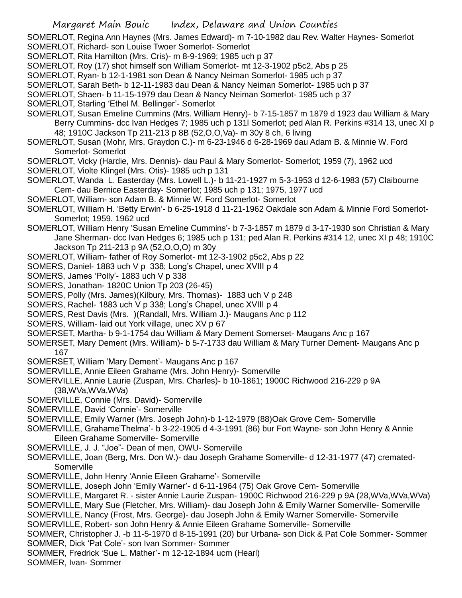SOMERLOT, Regina Ann Haynes (Mrs. James Edward)- m 7-10-1982 dau Rev. Walter Haynes- Somerlot

SOMERLOT, Richard- son Louise Twoer Somerlot- Somerlot

- SOMERLOT, Rita Hamilton (Mrs. Cris)- m 8-9-1969; 1985 uch p 37
- SOMERLOT, Roy (17) shot himself son William Somerlot- mt 12-3-1902 p5c2, Abs p 25
- SOMERLOT, Ryan- b 12-1-1981 son Dean & Nancy Neiman Somerlot- 1985 uch p 37
- SOMERLOT, Sarah Beth- b 12-11-1983 dau Dean & Nancy Neiman Somerlot- 1985 uch p 37
- SOMERLOT, Shaen- b 11-15-1979 dau Dean & Nancy Neiman Somerlot- 1985 uch p 37
- SOMERLOT, Starling 'Ethel M. Bellinger'- Somerlot
- SOMERLOT, Susan Emeline Cummins (Mrs. William Henry)- b 7-15-1857 m 1879 d 1923 dau William & Mary Berry Cummins- dcc Ivan Hedges 7; 1985 uch p 131l Somerlot; ped Alan R. Perkins #314 13, unec XI p 48; 1910C Jackson Tp 211-213 p 8B (52,O,O,Va)- m 30y 8 ch, 6 living
- SOMERLOT, Susan (Mohr, Mrs. Graydon C.)- m 6-23-1946 d 6-28-1969 dau Adam B. & Minnie W. Ford Somerlot- Somerlot
- SOMERLOT, Vicky (Hardie, Mrs. Dennis)- dau Paul & Mary Somerlot- Somerlot; 1959 (7), 1962 ucd
- SOMERLOT, Violte Klingel (Mrs. Otis)- 1985 uch p 131
- SOMERLOT, Wanda L. Easterday (Mrs. Lowell L.)- b 11-21-1927 m 5-3-1953 d 12-6-1983 (57) Claibourne Cem- dau Bernice Easterday- Somerlot; 1985 uch p 131; 1975, 1977 ucd
- SOMERLOT, William- son Adam B. & Minnie W. Ford Somerlot- Somerlot
- SOMERLOT, William H. 'Betty Erwin'- b 6-25-1918 d 11-21-1962 Oakdale son Adam & Minnie Ford Somerlot-Somerlot; 1959. 1962 ucd
- SOMERLOT, William Henry 'Susan Emeline Cummins'- b 7-3-1857 m 1879 d 3-17-1930 son Christian & Mary Jane Sherman- dcc Ivan Hedges 6; 1985 uch p 131; ped Alan R. Perkins #314 12, unec XI p 48; 1910C Jackson Tp 211-213 p 9A (52,O,O,O) m 30y
- SOMERLOT, William- father of Roy Somerlot- mt 12-3-1902 p5c2, Abs p 22
- SOMERS, Daniel- 1883 uch V p 338; Long's Chapel, unec XVIII p 4
- SOMERS, James 'Polly'- 1883 uch V p 338
- SOMERS, Jonathan- 1820C Union Tp 203 (26-45)
- SOMERS, Polly (Mrs. James)(Kilbury, Mrs. Thomas)- 1883 uch V p 248
- SOMERS, Rachel- 1883 uch V p 338; Long's Chapel, unec XVIII p 4
- SOMERS, Rest Davis (Mrs. )(Randall, Mrs. William J.)- Maugans Anc p 112
- SOMERS, William- laid out York village, unec XV p 67
- SOMERSET, Martha- b 9-1-1754 dau William & Mary Dement Somerset- Maugans Anc p 167
- SOMERSET, Mary Dement (Mrs. William)- b 5-7-1733 dau William & Mary Turner Dement- Maugans Anc p 167
- SOMERSET, William 'Mary Dement'- Maugans Anc p 167
- SOMERVILLE, Annie Eileen Grahame (Mrs. John Henry)- Somerville
- SOMERVILLE, Annie Laurie (Zuspan, Mrs. Charles)- b 10-1861; 1900C Richwood 216-229 p 9A (38,WVa,WVa,WVa)
- SOMERVILLE, Connie (Mrs. David)- Somerville
- SOMERVILLE, David 'Connie'- Somerville
- SOMERVILLE, Emily Warner (Mrs. Joseph John)-b 1-12-1979 (88)Oak Grove Cem- Somerville
- SOMERVILLE, Grahame'Thelma'- b 3-22-1905 d 4-3-1991 (86) bur Fort Wayne- son John Henry & Annie Eileen Grahame Somerville- Somerville
- SOMERVILLE, J. J. "Joe"- Dean of men, OWU- Somerville
- SOMERVILLE, Joan (Berg, Mrs. Don W.)- dau Joseph Grahame Somerville- d 12-31-1977 (47) cremated-**Somerville**
- SOMERVILLE, John Henry 'Annie Eileen Grahame'- Somerville

SOMERVILLE, Joseph John 'Emily Warner'- d 6-11-1964 (75) Oak Grove Cem- Somerville

SOMERVILLE, Margaret R. - sister Annie Laurie Zuspan- 1900C Richwood 216-229 p 9A (28,WVa,WVa,WVa)

SOMERVILLE, Mary Sue (Fletcher, Mrs. William)- dau Joseph John & Emily Warner Somerville- Somerville

SOMERVILLE, Nancy (Frost, Mrs. George)- dau Joseph John & Emily Warner Somerville- Somerville SOMERVILLE, Robert- son John Henry & Annie Eileen Grahame Somerville- Somerville

- SOMMER, Christopher J. -b 11-5-1970 d 8-15-1991 (20) bur Urbana- son Dick & Pat Cole Sommer- Sommer SOMMER, Dick 'Pat Cole'- son Ivan Sommer- Sommer
- SOMMER, Fredrick 'Sue L. Mather'- m 12-12-1894 ucm (Hearl)
- SOMMER, Ivan- Sommer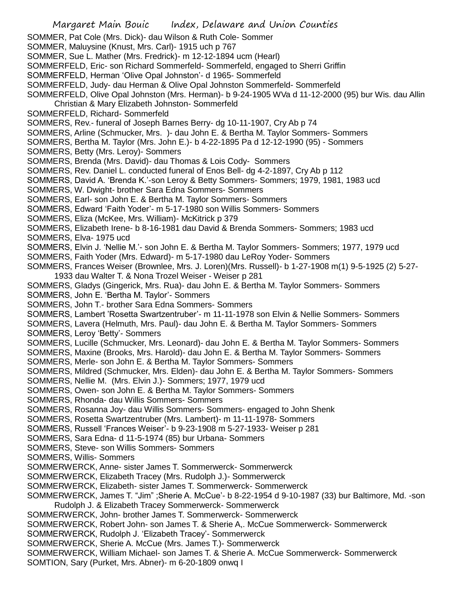- SOMMER, Pat Cole (Mrs. Dick)- dau Wilson & Ruth Cole- Sommer
- SOMMER, Maluysine (Knust, Mrs. Carl)- 1915 uch p 767
- SOMMER, Sue L. Mather (Mrs. Fredrick)- m 12-12-1894 ucm (Hearl)
- SOMMERFELD, Eric- son Richard Sommerfeld- Sommerfeld, engaged to Sherri Griffin
- SOMMERFELD, Herman 'Olive Opal Johnston'- d 1965- Sommerfeld
- SOMMERFELD, Judy- dau Herman & Olive Opal Johnston Sommerfeld- Sommerfeld
- SOMMERFELD, Olive Opal Johnston (Mrs. Herman)- b 9-24-1905 WVa d 11-12-2000 (95) bur Wis. dau Allin
- Christian & Mary Elizabeth Johnston- Sommerfeld
- SOMMERFELD, Richard- Sommerfeld
- SOMMERS, Rev.- funeral of Joseph Barnes Berry- dg 10-11-1907, Cry Ab p 74
- SOMMERS, Arline (Schmucker, Mrs. )- dau John E. & Bertha M. Taylor Sommers- Sommers
- SOMMERS, Bertha M. Taylor (Mrs. John E.)- b 4-22-1895 Pa d 12-12-1990 (95) Sommers
- SOMMERS, Betty (Mrs. Leroy)- Sommers
- SOMMERS, Brenda (Mrs. David)- dau Thomas & Lois Cody- Sommers
- SOMMERS, Rev. Daniel L. conducted funeral of Enos Bell- dg 4-2-1897, Cry Ab p 112
- SOMMERS, David A. 'Brenda K.'-son Leroy & Betty Sommers- Sommers; 1979, 1981, 1983 ucd
- SOMMERS, W. Dwight- brother Sara Edna Sommers- Sommers
- SOMMERS, Earl- son John E. & Bertha M. Taylor Sommers- Sommers
- SOMMERS, Edward 'Faith Yoder'- m 5-17-1980 son Willis Sommers- Sommers
- SOMMERS, Eliza (McKee, Mrs. William)- McKitrick p 379
- SOMMERS, Elizabeth Irene- b 8-16-1981 dau David & Brenda Sommers- Sommers; 1983 ucd
- SOMMERS, Elva- 1975 ucd
- SOMMERS, Elvin J. 'Nellie M.'- son John E. & Bertha M. Taylor Sommers- Sommers; 1977, 1979 ucd
- SOMMERS, Faith Yoder (Mrs. Edward)- m 5-17-1980 dau LeRoy Yoder- Sommers
- SOMMERS, Frances Weiser (Brownlee, Mrs. J. Loren)(Mrs. Russell)- b 1-27-1908 m(1) 9-5-1925 (2) 5-27- 1933 dau Walter T. & Nona Trozel Weiser - Weiser p 281
- SOMMERS, Gladys (Gingerick, Mrs. Rua)- dau John E. & Bertha M. Taylor Sommers- Sommers
- SOMMERS, John E. 'Bertha M. Taylor'- Sommers
- SOMMERS, John T.- brother Sara Edna Sommers- Sommers
- SOMMERS, Lambert 'Rosetta Swartzentruber'- m 11-11-1978 son Elvin & Nellie Sommers- Sommers
- SOMMERS, Lavera (Helmuth, Mrs. Paul)- dau John E. & Bertha M. Taylor Sommers- Sommers
- SOMMERS, Leroy 'Betty'- Sommers
- SOMMERS, Lucille (Schmucker, Mrs. Leonard)- dau John E. & Bertha M. Taylor Sommers- Sommers
- SOMMERS, Maxine (Brooks, Mrs. Harold)- dau John E. & Bertha M. Taylor Sommers- Sommers
- SOMMERS, Merle- son John E. & Bertha M. Taylor Sommers- Sommers
- SOMMERS, Mildred (Schmucker, Mrs. Elden)- dau John E. & Bertha M. Taylor Sommers- Sommers
- SOMMERS, Nellie M. (Mrs. Elvin J.)- Sommers; 1977, 1979 ucd
- SOMMERS, Owen- son John E. & Bertha M. Taylor Sommers- Sommers
- SOMMERS, Rhonda- dau Willis Sommers- Sommers
- SOMMERS, Rosanna Joy- dau Willis Sommers- Sommers- engaged to John Shenk
- SOMMERS, Rosetta Swartzentruber (Mrs. Lambert)- m 11-11-1978- Sommers
- SOMMERS, Russell 'Frances Weiser'- b 9-23-1908 m 5-27-1933- Weiser p 281
- SOMMERS, Sara Edna- d 11-5-1974 (85) bur Urbana- Sommers
- SOMMERS, Steve- son Willis Sommers- Sommers
- SOMMERS, Willis- Sommers
- SOMMERWERCK, Anne- sister James T. Sommerwerck- Sommerwerck
- SOMMERWERCK, Elizabeth Tracey (Mrs. Rudolph J.)- Sommerwerck
- SOMMERWERCK, Elizabeth- sister James T. Sommerwerck- Sommerwerck
- SOMMERWERCK, James T. "Jim" ;Sherie A. McCue'- b 8-22-1954 d 9-10-1987 (33) bur Baltimore, Md. -son Rudolph J. & Elizabeth Tracey Sommerwerck- Sommerwerck
- SOMMERWERCK, John- brother James T. Sommerwerck- Sommerwerck
- SOMMERWERCK, Robert John- son James T. & Sherie A,. McCue Sommerwerck- Sommerwerck
- SOMMERWERCK, Rudolph J. 'Elizabeth Tracey'- Sommerwerck
- SOMMERWERCK, Sherie A. McCue (Mrs. James T.)- Sommerwerck
- SOMMERWERCK, William Michael- son James T. & Sherie A. McCue Sommerwerck- Sommerwerck
- SOMTION, Sary (Purket, Mrs. Abner)- m 6-20-1809 onwq I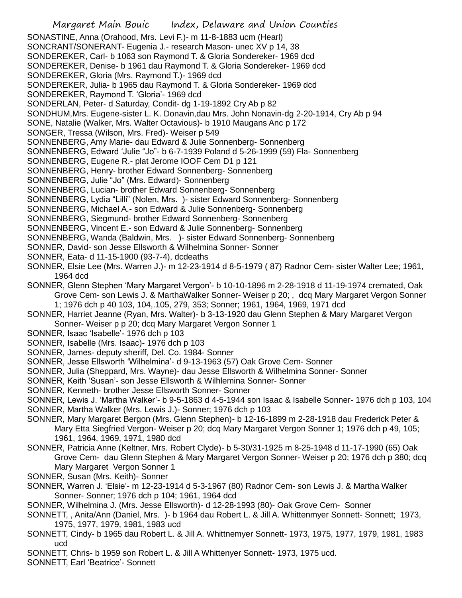Margaret Main Bouic Index, Delaware and Union Counties SONASTINE, Anna (Orahood, Mrs. Levi F.)- m 11-8-1883 ucm (Hearl) SONCRANT/SONERANT- Eugenia J.- research Mason- unec XV p 14, 38 SONDEREKER, Carl- b 1063 son Raymond T. & Gloria Sondereker- 1969 dcd SONDEREKER, Denise- b 1961 dau Raymond T. & Gloria Sondereker- 1969 dcd SONDEREKER, Gloria (Mrs. Raymond T.)- 1969 dcd SONDEREKER, Julia- b 1965 dau Raymond T. & Gloria Sondereker- 1969 dcd SONDEREKER, Raymond T. 'Gloria'- 1969 dcd SONDERLAN, Peter- d Saturday, Condit- dg 1-19-1892 Cry Ab p 82 SONDHUM,Mrs. Eugene-sister L. K. Donavin,dau Mrs. John Nonavin-dg 2-20-1914, Cry Ab p 94 SONE, Natalie (Walker, Mrs. Walter Octavious)- b 1910 Maugans Anc p 172 SONGER, Tressa (Wilson, Mrs. Fred)- Weiser p 549 SONNENBERG, Amy Marie- dau Edward & Julie Sonnenberg- Sonnenberg SONNENBERG, Edward 'Julie "Jo"- b 6-7-1939 Poland d 5-26-1999 (59) Fla- Sonnenberg SONNENBERG, Eugene R.- plat Jerome IOOF Cem D1 p 121 SONNENBERG, Henry- brother Edward Sonnenberg- Sonnenberg SONNENBERG, Julie "Jo" (Mrs. Edward)- Sonnenberg SONNENBERG, Lucian- brother Edward Sonnenberg- Sonnenberg SONNENBERG, Lydia "Lilli" (Nolen, Mrs. )- sister Edward Sonnenberg- Sonnenberg SONNENBERG, Michael A.- son Edward & Julie Sonnenberg- Sonnenberg SONNENBERG, Siegmund- brother Edward Sonnenberg- Sonnenberg SONNENBERG, Vincent E.- son Edward & Julie Sonnenberg- Sonnenberg SONNENBERG, Wanda (Baldwin, Mrs. )- sister Edward Sonnenberg- Sonnenberg SONNER, David- son Jesse Ellsworth & Wilhelmina Sonner- Sonner SONNER, Eata- d 11-15-1900 (93-7-4), dcdeaths SONNER, Elsie Lee (Mrs. Warren J.)- m 12-23-1914 d 8-5-1979 ( 87) Radnor Cem- sister Walter Lee; 1961, 1964 dcd SONNER, Glenn Stephen 'Mary Margaret Vergon'- b 10-10-1896 m 2-28-1918 d 11-19-1974 cremated, Oak Grove Cem- son Lewis J. & MarthaWalker Sonner- Weiser p 20; , dcq Mary Margaret Vergon Sonner 1; 1976 dch p 40 103, 104,.105, 279, 353; Sonner; 1961, 1964, 1969, 1971 dcd SONNER, Harriet Jeanne (Ryan, Mrs. Walter)- b 3-13-1920 dau Glenn Stephen & Mary Margaret Vergon Sonner- Weiser p p 20; dcq Mary Margaret Vergon Sonner 1 SONNER, Isaac 'Isabelle'- 1976 dch p 103 SONNER, Isabelle (Mrs. Isaac)- 1976 dch p 103 SONNER, James- deputy sheriff, Del. Co. 1984- Sonner SONNER, Jesse Ellsworth 'Wilhelmina'- d 9-13-1963 (57) Oak Grove Cem- Sonner SONNER, Julia (Sheppard, Mrs. Wayne)- dau Jesse Ellsworth & Wilhelmina Sonner- Sonner SONNER, Keith 'Susan'- son Jesse Ellsworth & Wilhlemina Sonner- Sonner SONNER, Kenneth- brother Jesse Ellsworth Sonner- Sonner SONNER, Lewis J. 'Martha Walker'- b 9-5-1863 d 4-5-1944 son Isaac & Isabelle Sonner- 1976 dch p 103, 104 SONNER, Martha Walker (Mrs. Lewis J.)- Sonner; 1976 dch p 103 SONNER, Mary Margaret Bergon (Mrs. Glenn Stephen)- b 12-16-1899 m 2-28-1918 dau Frederick Peter & Mary Etta Siegfried Vergon- Weiser p 20; dcq Mary Margaret Vergon Sonner 1; 1976 dch p 49, 105; 1961, 1964, 1969, 1971, 1980 dcd SONNER, Patricia Anne (Keltner, Mrs. Robert Clyde)- b 5-30/31-1925 m 8-25-1948 d 11-17-1990 (65) Oak Grove Cem- dau Glenn Stephen & Mary Margaret Vergon Sonner- Weiser p 20; 1976 dch p 380; dcq Mary Margaret Vergon Sonner 1 SONNER, Susan (Mrs. Keith)- Sonner SONNER, Warren J. 'Elsie'- m 12-23-1914 d 5-3-1967 (80) Radnor Cem- son Lewis J. & Martha Walker Sonner- Sonner; 1976 dch p 104; 1961, 1964 dcd

SONNER, Wilhelmina J. (Mrs. Jesse Ellsworth)- d 12-28-1993 (80)- Oak Grove Cem- Sonner

- SONNETT, , Anita/Ann (Daniel, Mrs. )- b 1964 dau Robert L. & Jill A. Whittenmyer Sonnett- Sonnett; 1973, 1975, 1977, 1979, 1981, 1983 ucd
- SONNETT, Cindy- b 1965 dau Robert L. & Jill A. Whittnemyer Sonnett- 1973, 1975, 1977, 1979, 1981, 1983 ucd

SONNETT, Chris- b 1959 son Robert L. & Jill A Whittenyer Sonnett- 1973, 1975 ucd.

SONNETT, Earl 'Beatrice'- Sonnett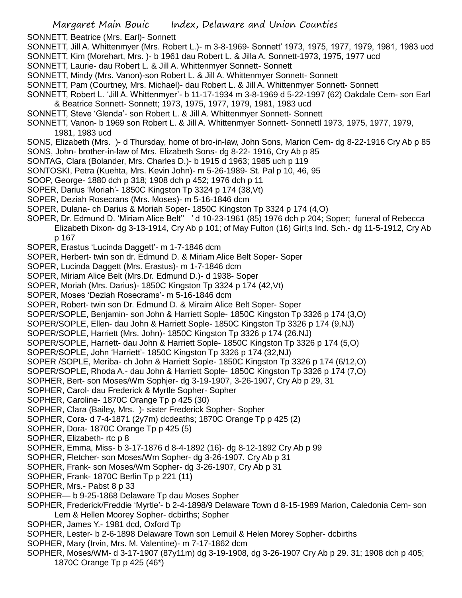- SONNETT, Beatrice (Mrs. Earl)- Sonnett
- SONNETT, Jill A. Whittenmyer (Mrs. Robert L.)- m 3-8-1969- Sonnett' 1973, 1975, 1977, 1979, 1981, 1983 ucd
- SONNETT, Kim (Morehart, Mrs. )- b 1961 dau Robert L. & Jilla A. Sonnett-1973, 1975, 1977 ucd
- SONNETT, Laurie- dau Robert L. & Jill A. Whittenmyer Sonnett- Sonnett
- SONNETT, Mindy (Mrs. Vanon)-son Robert L. & Jill A. Whittenmyer Sonnett- Sonnett
- SONNETT, Pam (Courtney, Mrs. Michael)- dau Robert L. & Jill A. Whittenmyer Sonnett- Sonnett
- SONNETT, Robert L. 'Jill A. Whittenmyer'- b 11-17-1934 m 3-8-1969 d 5-22-1997 (62) Oakdale Cem- son Earl & Beatrice Sonnett- Sonnett; 1973, 1975, 1977, 1979, 1981, 1983 ucd
- SONNETT, Steve 'Glenda'- son Robert L. & Jill A. Whittenmyer Sonnett- Sonnett
- SONNETT, Vanon- b 1969 son Robert L. & Jill A. Whittenmyer Sonnett- Sonnettl 1973, 1975, 1977, 1979, 1981, 1983 ucd
- SONS, Elizabeth (Mrs. )- d Thursday, home of bro-in-law, John Sons, Marion Cem- dg 8-22-1916 Cry Ab p 85 SONS, John- brother-in-law of Mrs. Elizabeth Sons- dg 8-22- 1916, Cry Ab p 85
- SONTAG, Clara (Bolander, Mrs. Charles D.)- b 1915 d 1963; 1985 uch p 119
- SONTOSKI, Petra (Kuehta, Mrs. Kevin John)- m 5-26-1989- St. Pal p 10, 46, 95
- SOOP, George- 1880 dch p 318; 1908 dch p 452; 1976 dch p 11
- SOPER, Darius 'Moriah'- 1850C Kingston Tp 3324 p 174 (38,Vt)
- SOPER, Deziah Rosecrans (Mrs. Moses)- m 5-16-1846 dcm
- SOPER, Dulana- ch Darius & Moriah Soper- 1850C Kingston Tp 3324 p 174 (4,O)
- SOPER, Dr. Edmund D. 'Miriam Alice Belt'' ' d 10-23-1961 (85) 1976 dch p 204; Soper; funeral of Rebecca
	- Elizabeth Dixon- dg 3-13-1914, Cry Ab p 101; of May Fulton (16) Girl;s Ind. Sch.- dg 11-5-1912, Cry Ab p 167
- SOPER, Erastus 'Lucinda Daggett'- m 1-7-1846 dcm
- SOPER, Herbert- twin son dr. Edmund D. & Miriam Alice Belt Soper- Soper
- SOPER, Lucinda Daggett (Mrs. Erastus)- m 1-7-1846 dcm
- SOPER, Miriam Alice Belt (Mrs.Dr. Edmund D.)- d 1938- Soper
- SOPER, Moriah (Mrs. Darius)- 1850C Kingston Tp 3324 p 174 (42,Vt)
- SOPER, Moses 'Deziah Rosecrams'- m 5-16-1846 dcm
- SOPER, Robert- twin son Dr. Edmund D. & Miraim Alice Belt Soper- Soper
- SOPER/SOPLE, Benjamin- son John & Harriett Sople- 1850C Kingston Tp 3326 p 174 (3,O)
- SOPER/SOPLE, Ellen- dau John & Harriett Sople- 1850C Kingston Tp 3326 p 174 (9,NJ)
- SOPER/SOPLE, Harriett (Mrs. John)- 1850C Kingston Tp 3326 p 174 (26.NJ)
- SOPER/SOPLE, Harriett- dau John & Harriett Sople- 1850C Kingston Tp 3326 p 174 (5,O)
- SOPER/SOPLE, John 'Harriett'- 1850C Kingston Tp 3326 p 174 (32,NJ)
- SOPER /SOPLE, Meriba- ch John & Harriett Sople- 1850C Kingston Tp 3326 p 174 (6/12,O)
- SOPER/SOPLE, Rhoda A.- dau John & Harriett Sople- 1850C Kingston Tp 3326 p 174 (7,O)
- SOPHER, Bert- son Moses/Wm Sophjer- dg 3-19-1907, 3-26-1907, Cry Ab p 29, 31
- SOPHER, Carol- dau Frederick & Myrtle Sopher- Sopher
- SOPHER, Caroline- 1870C Orange Tp p 425 (30)
- SOPHER, Clara (Bailey, Mrs. )- sister Frederick Sopher- Sopher
- SOPHER, Cora- d 7-4-1871 (2y7m) dcdeaths; 1870C Orange Tp p 425 (2)
- SOPHER, Dora- 1870C Orange Tp p 425 (5)
- SOPHER, Elizabeth- rtc p 8
- SOPHER, Emma, Miss- b 3-17-1876 d 8-4-1892 (16)- dg 8-12-1892 Cry Ab p 99
- SOPHER, Fletcher- son Moses/Wm Sopher- dg 3-26-1907. Cry Ab p 31
- SOPHER, Frank- son Moses/Wm Sopher- dg 3-26-1907, Cry Ab p 31
- SOPHER, Frank- 1870C Berlin Tp p 221 (11)
- SOPHER, Mrs.- Pabst 8 p 33
- SOPHER— b 9-25-1868 Delaware Tp dau Moses Sopher
- SOPHER, Frederick/Freddie 'Myrtle'- b 2-4-1898/9 Delaware Town d 8-15-1989 Marion, Caledonia Cem- son Lem & Hellen Moorey Sopher- dcbirths; Sopher
- SOPHER, James Y.- 1981 dcd, Oxford Tp
- SOPHER, Lester- b 2-6-1898 Delaware Town son Lemuil & Helen Morey Sopher- dcbirths
- SOPHER, Mary (Irvin, Mrs. M. Valentine)- m 7-17-1862 dcm
- SOPHER, Moses/WM- d 3-17-1907 (87y11m) dg 3-19-1908, dg 3-26-1907 Cry Ab p 29. 31; 1908 dch p 405; 1870C Orange Tp p 425 (46\*)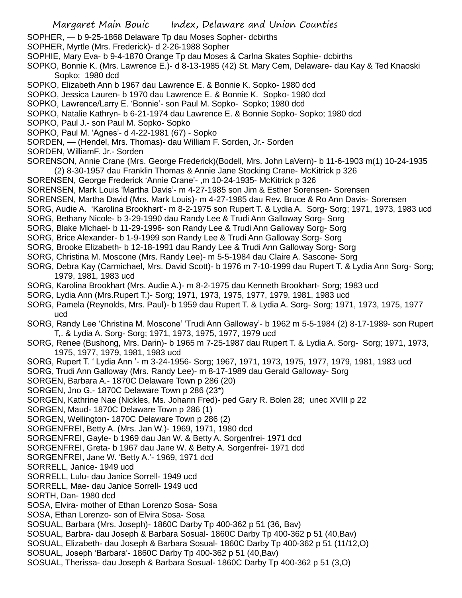- SOPHER, b 9-25-1868 Delaware Tp dau Moses Sopher- dcbirths
- SOPHER, Myrtle (Mrs. Frederick)- d 2-26-1988 Sopher
- SOPHIE, Mary Eva- b 9-4-1870 Orange Tp dau Moses & Carlna Skates Sophie- dcbirths
- SOPKO, Bonnie K. (Mrs. Lawrence E.)- d 8-13-1985 (42) St. Mary Cem, Delaware- dau Kay & Ted Knaoski Sopko; 1980 dcd
- SOPKO, Elizabeth Ann b 1967 dau Lawrence E. & Bonnie K. Sopko- 1980 dcd
- SOPKO, Jessica Lauren- b 1970 dau Lawrence E. & Bonnie K. Sopko- 1980 dcd
- SOPKO, Lawrence/Larry E. 'Bonnie'- son Paul M. Sopko- Sopko; 1980 dcd
- SOPKO, Natalie Kathryn- b 6-21-1974 dau Lawrence E. & Bonnie Sopko- Sopko; 1980 dcd
- SOPKO, Paul J.- son Paul M. Sopko- Sopko
- SOPKO, Paul M. 'Agnes'- d 4-22-1981 (67) Sopko
- SORDEN, (Hendel, Mrs. Thomas)- dau William F. Sorden, Jr.- Sorden
- SORDEN, WilliamF. Jr.- Sorden
- SORENSON, Annie Crane (Mrs. George Frederick)(Bodell, Mrs. John LaVern)- b 11-6-1903 m(1) 10-24-1935 (2) 8-30-1957 dau Franklin Thomas & Annie Jane Stocking Crane- McKitrick p 326
- SORENSEN, George Frederick 'Annie Crane'- ,m 10-24-1935- McKitrick p 326
- SORENSEN, Mark Louis 'Martha Davis'- m 4-27-1985 son Jim & Esther Sorensen- Sorensen
- SORENSEN, Martha David (Mrs. Mark Louis)- m 4-27-1985 dau Rev. Bruce & Ro Ann Davis- Sorensen
- SORG, Audie A. 'Karolina Brookhart'- m 8-2-1975 son Rupert T. & Lydia A. Sorg- Sorg; 1971, 1973, 1983 ucd
- SORG, Bethany Nicole- b 3-29-1990 dau Randy Lee & Trudi Ann Galloway Sorg- Sorg
- SORG, Blake Michael- b 11-29-1996- son Randy Lee & Trudi Ann Galloway Sorg- Sorg
- SORG, Brice Alexander- b 1-9-1999 son Randy Lee & Trudi Ann Galloway Sorg- Sorg
- SORG, Brooke Elizabeth- b 12-18-1991 dau Randy Lee & Trudi Ann Galloway Sorg- Sorg
- SORG, Christina M. Moscone (Mrs. Randy Lee)- m 5-5-1984 dau Claire A. Sascone- Sorg
- SORG, Debra Kay (Carmichael, Mrs. David Scott)- b 1976 m 7-10-1999 dau Rupert T. & Lydia Ann Sorg- Sorg; 1979, 1981, 1983 ucd
- SORG, Karolina Brookhart (Mrs. Audie A.)- m 8-2-1975 dau Kenneth Brookhart- Sorg; 1983 ucd
- SORG, Lydia Ann (Mrs.Rupert T.)- Sorg; 1971, 1973, 1975, 1977, 1979, 1981, 1983 ucd
- SORG, Pamela (Reynolds, Mrs. Paul)- b 1959 dau Rupert T. & Lydia A. Sorg- Sorg; 1971, 1973, 1975, 1977 ucd
- SORG, Randy Lee 'Christina M. Moscone' 'Trudi Ann Galloway'- b 1962 m 5-5-1984 (2) 8-17-1989- son Rupert T,. & Lydia A. Sorg- Sorg; 1971, 1973, 1975, 1977, 1979 ucd
- SORG, Renee (Bushong, Mrs. Darin)- b 1965 m 7-25-1987 dau Rupert T. & Lydia A. Sorg- Sorg; 1971, 1973, 1975, 1977, 1979, 1981, 1983 ucd
- SORG, Rupert T. ' Lydia Ann '- m 3-24-1956- Sorg; 1967, 1971, 1973, 1975, 1977, 1979, 1981, 1983 ucd
- SORG, Trudi Ann Galloway (Mrs. Randy Lee)- m 8-17-1989 dau Gerald Galloway- Sorg
- SORGEN, Barbara A.- 1870C Delaware Town p 286 (20)
- SORGEN, Jno G.- 1870C Delaware Town p 286 (23\*)
- SORGEN, Kathrine Nae (Nickles, Ms. Johann Fred)- ped Gary R. Bolen 28; unec XVIII p 22
- SORGEN, Maud- 1870C Delaware Town p 286 (1)
- SORGEN, Wellington- 1870C Delaware Town p 286 (2)
- SORGENFREI, Betty A. (Mrs. Jan W.)- 1969, 1971, 1980 dcd
- SORGENFREI, Gayle- b 1969 dau Jan W. & Betty A. Sorgenfrei- 1971 dcd
- SORGENFREI, Greta- b 1967 dau Jane W. & Betty A. Sorgenfrei- 1971 dcd
- SORGENFREI, Jane W. 'Betty A.'- 1969, 1971 dcd
- SORRELL, Janice- 1949 ucd
- SORRELL, Lulu- dau Janice Sorrell- 1949 ucd
- SORRELL, Mae- dau Janice Sorrell- 1949 ucd
- SORTH, Dan- 1980 dcd
- SOSA, Elvira- mother of Ethan Lorenzo Sosa- Sosa
- SOSA, Ethan Lorenzo- son of Elvira Sosa- Sosa
- SOSUAL, Barbara (Mrs. Joseph)- 1860C Darby Tp 400-362 p 51 (36, Bav)
- SOSUAL, Barbra- dau Joseph & Barbara Sosual- 1860C Darby Tp 400-362 p 51 (40,Bav)
- SOSUAL, Elizabeth- dau Joseph & Barbara Sosual- 1860C Darby Tp 400-362 p 51 (11/12,O)
- SOSUAL, Joseph 'Barbara'- 1860C Darby Tp 400-362 p 51 (40,Bav)
- SOSUAL, Therissa- dau Joseph & Barbara Sosual- 1860C Darby Tp 400-362 p 51 (3,O)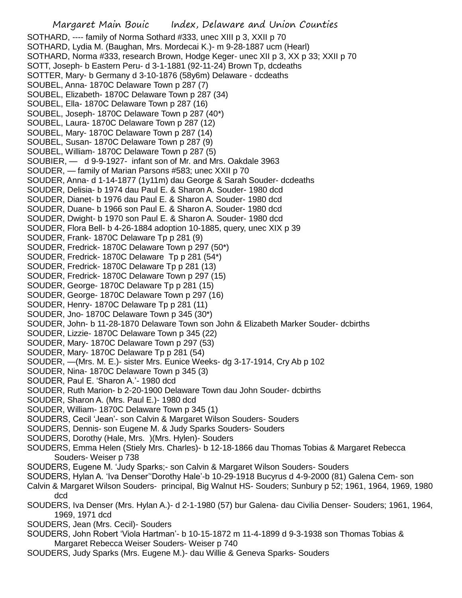SOTHARD, ---- family of Norma Sothard #333, unec XIII p 3, XXII p 70 SOTHARD, Lydia M. (Baughan, Mrs. Mordecai K.)- m 9-28-1887 ucm (Hearl) SOTHARD, Norma #333, research Brown, Hodge Keger- unec XII p 3, XX p 33; XXII p 70 SOTT, Joseph- b Eastern Peru- d 3-1-1881 (92-11-24) Brown Tp, dcdeaths SOTTER, Mary- b Germany d 3-10-1876 (58y6m) Delaware - dcdeaths SOUBEL, Anna- 1870C Delaware Town p 287 (7) SOUBEL, Elizabeth- 1870C Delaware Town p 287 (34) SOUBEL, Ella- 1870C Delaware Town p 287 (16) SOUBEL, Joseph- 1870C Delaware Town p 287 (40\*) SOUBEL, Laura- 1870C Delaware Town p 287 (12) SOUBEL, Mary- 1870C Delaware Town p 287 (14) SOUBEL, Susan- 1870C Delaware Town p 287 (9) SOUBEL, William- 1870C Delaware Town p 287 (5) SOUBIER, — d 9-9-1927- infant son of Mr. and Mrs. Oakdale 3963 SOUDER, — family of Marian Parsons #583; unec XXII p 70 SOUDER, Anna- d 1-14-1877 (1y11m) dau George & Sarah Souder- dcdeaths SOUDER, Delisia- b 1974 dau Paul E. & Sharon A. Souder- 1980 dcd SOUDER, Dianet- b 1976 dau Paul E. & Sharon A. Souder- 1980 dcd SOUDER, Duane- b 1966 son Paul E. & Sharon A. Souder- 1980 dcd SOUDER, Dwight- b 1970 son Paul E. & Sharon A. Souder- 1980 dcd SOUDER, Flora Bell- b 4-26-1884 adoption 10-1885, query, unec XIX p 39 SOUDER, Frank- 1870C Delaware Tp p 281 (9) SOUDER, Fredrick- 1870C Delaware Town p 297 (50\*) SOUDER, Fredrick- 1870C Delaware Tp p 281 (54\*) SOUDER, Fredrick- 1870C Delaware Tp p 281 (13) SOUDER, Fredrick- 1870C Delaware Town p 297 (15) SOUDER, George- 1870C Delaware Tp p 281 (15) SOUDER, George- 1870C Delaware Town p 297 (16) SOUDER, Henry- 1870C Delaware Tp p 281 (11) SOUDER, Jno- 1870C Delaware Town p 345 (30\*) SOUDER, John- b 11-28-1870 Delaware Town son John & Elizabeth Marker Souder- dcbirths SOUDER, Lizzie- 1870C Delaware Town p 345 (22) SOUDER, Mary- 1870C Delaware Town p 297 (53) SOUDER, Mary- 1870C Delaware Tp p 281 (54) SOUDER, —(Mrs. M. E.)- sister Mrs. Eunice Weeks- dg 3-17-1914, Cry Ab p 102 SOUDER, Nina- 1870C Delaware Town p 345 (3) SOUDER, Paul E. 'Sharon A.'- 1980 dcd SOUDER, Ruth Marion- b 2-20-1900 Delaware Town dau John Souder- dcbirths SOUDER, Sharon A. (Mrs. Paul E.)- 1980 dcd SOUDER, William- 1870C Delaware Town p 345 (1) SOUDERS, Cecil 'Jean'- son Calvin & Margaret Wilson Souders- Souders SOUDERS, Dennis- son Eugene M. & Judy Sparks Souders- Souders SOUDERS, Dorothy (Hale, Mrs. )(Mrs. Hylen)- Souders SOUDERS, Emma Helen (Stiely Mrs. Charles)- b 12-18-1866 dau Thomas Tobias & Margaret Rebecca Souders- Weiser p 738 SOUDERS, Eugene M. 'Judy Sparks;- son Calvin & Margaret Wilson Souders- Souders SOUDERS, Hylan A. 'Iva Denser''Dorothy Hale'-b 10-29-1918 Bucyrus d 4-9-2000 (81) Galena Cem- son Calvin & Margaret Wilson Souders- principal, Big Walnut HS- Souders; Sunbury p 52; 1961, 1964, 1969, 1980 dcd SOUDERS, Iva Denser (Mrs. Hylan A.)- d 2-1-1980 (57) bur Galena- dau Civilia Denser- Souders; 1961, 1964, 1969, 1971 dcd

- SOUDERS, Jean (Mrs. Cecil)- Souders
- SOUDERS, John Robert 'Viola Hartman'- b 10-15-1872 m 11-4-1899 d 9-3-1938 son Thomas Tobias & Margaret Rebecca Weiser Souders- Weiser p 740
- SOUDERS, Judy Sparks (Mrs. Eugene M.)- dau Willie & Geneva Sparks- Souders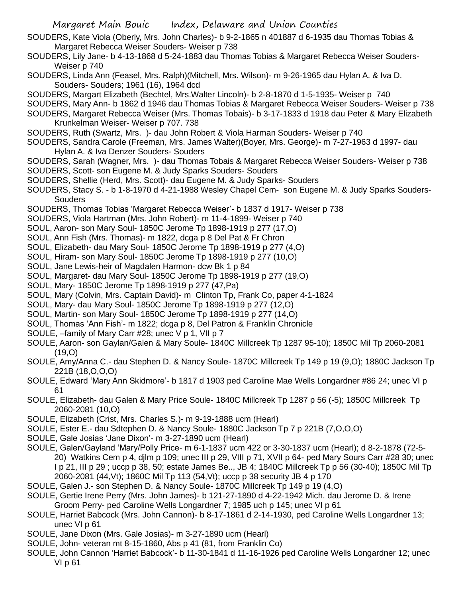- SOUDERS, Kate Viola (Oberly, Mrs. John Charles)- b 9-2-1865 n 401887 d 6-1935 dau Thomas Tobias & Margaret Rebecca Weiser Souders- Weiser p 738
- SOUDERS, Lily Jane- b 4-13-1868 d 5-24-1883 dau Thomas Tobias & Margaret Rebecca Weiser Souders-Weiser p 740
- SOUDERS, Linda Ann (Feasel, Mrs. Ralph)(Mitchell, Mrs. Wilson)- m 9-26-1965 dau Hylan A. & Iva D. Souders- Souders; 1961 (16), 1964 dcd
- SOUDERS, Margart Elizabeth (Bechtel, Mrs.Walter Lincoln)- b 2-8-1870 d 1-5-1935- Weiser p 740
- SOUDERS, Mary Ann- b 1862 d 1946 dau Thomas Tobias & Margaret Rebecca Weiser Souders- Weiser p 738
- SOUDERS, Margaret Rebecca Weiser (Mrs. Thomas Tobais)- b 3-17-1833 d 1918 dau Peter & Mary Elizabeth Krunkelman Weiser- Weiser p 707. 738
- SOUDERS, Ruth (Swartz, Mrs. )- dau John Robert & Viola Harman Souders- Weiser p 740
- SOUDERS, Sandra Carole (Freeman, Mrs. James Walter)(Boyer, Mrs. George)- m 7-27-1963 d 1997- dau Hylan A. & Iva Denzer Souders- Souders
- SOUDERS, Sarah (Wagner, Mrs. )- dau Thomas Tobais & Margaret Rebecca Weiser Souders- Weiser p 738 SOUDERS, Scott- son Eugene M. & Judy Sparks Souders- Souders
- SOUDERS, Shellie (Herd, Mrs. Scott)- dau Eugene M. & Judy Sparks- Souders
- SOUDERS, Stacy S. b 1-8-1970 d 4-21-1988 Wesley Chapel Cem- son Eugene M. & Judy Sparks Souders-**Souders**
- SOUDERS, Thomas Tobias 'Margaret Rebecca Weiser'- b 1837 d 1917- Weiser p 738
- SOUDERS, Viola Hartman (Mrs. John Robert)- m 11-4-1899- Weiser p 740
- SOUL, Aaron- son Mary Soul- 1850C Jerome Tp 1898-1919 p 277 (17,O)
- SOUL, Ann Fish (Mrs. Thomas)- m 1822, dcga p 8 Del Pat & Fr Chron
- SOUL, Elizabeth- dau Mary Soul- 1850C Jerome Tp 1898-1919 p 277 (4,O)
- SOUL, Hiram- son Mary Soul- 1850C Jerome Tp 1898-1919 p 277 (10,O)
- SOUL, Jane Lewis-heir of Magdalen Harmon- dcw Bk 1 p 84
- SOUL, Margaret- dau Mary Soul- 1850C Jerome Tp 1898-1919 p 277 (19,O)
- SOUL, Mary- 1850C Jerome Tp 1898-1919 p 277 (47,Pa)
- SOUL, Mary (Colvin, Mrs. Captain David)- m Clinton Tp, Frank Co, paper 4-1-1824
- SOUL, Mary- dau Mary Soul- 1850C Jerome Tp 1898-1919 p 277 (12,O)
- SOUL, Martin- son Mary Soul- 1850C Jerome Tp 1898-1919 p 277 (14,O)
- SOUL, Thomas 'Ann Fish'- m 1822; dcga p 8, Del Patron & Franklin Chronicle
- SOULE, –family of Mary Carr #28; unec V p 1, VII p 7
- SOULE, Aaron- son Gaylan/Galen & Mary Soule- 1840C Millcreek Tp 1287 95-10); 1850C Mil Tp 2060-2081  $(19,0)$
- SOULE, Amy/Anna C.- dau Stephen D. & Nancy Soule- 1870C Millcreek Tp 149 p 19 (9,O); 1880C Jackson Tp 221B (18,O,O,O)
- SOULE, Edward 'Mary Ann Skidmore'- b 1817 d 1903 ped Caroline Mae Wells Longardner #86 24; unec VI p 61
- SOULE, Elizabeth- dau Galen & Mary Price Soule- 1840C Millcreek Tp 1287 p 56 (-5); 1850C Millcreek Tp 2060-2081 (10,O)
- SOULE, Elizabeth (Crist, Mrs. Charles S.)- m 9-19-1888 ucm (Hearl)
- SOULE, Ester E.- dau Sdtephen D. & Nancy Soule- 1880C Jackson Tp 7 p 221B (7,O,O,O)
- SOULE, Gale Josias 'Jane Dixon'- m 3-27-1890 ucm (Hearl)
- SOULE, Galen/Gayland 'Mary/Polly Price- m 6-1-1837 ucm 422 or 3-30-1837 ucm (Hearl); d 8-2-1878 (72-5- 20) Watkins Cem p 4, djlm p 109; unec III p 29, VIII p 71, XVII p 64- ped Mary Sours Carr #28 30; unec I p 21, III p 29 ; uccp p 38, 50; estate James Be.., JB 4; 1840C Millcreek Tp p 56 (30-40); 1850C Mil Tp 2060-2081 (44,Vt); 1860C Mil Tp 113 (54,Vt); uccp p 38 security JB 4 p 170
- SOULE, Galen J.- son Stephen D. & Nancy Soule- 1870C Millcreek Tp 149 p 19 (4,O)
- SOULE, Gertie Irene Perry (Mrs. John James)- b 121-27-1890 d 4-22-1942 Mich. dau Jerome D. & Irene Groom Perry- ped Caroline Wells Longardner 7; 1985 uch p 145; unec VI p 61
- SOULE, Harriet Babcock (Mrs. John Cannon)- b 8-17-1861 d 2-14-1930, ped Caroline Wells Longardner 13; unec VI p 61
- SOULE, Jane Dixon (Mrs. Gale Josias)- m 3-27-1890 ucm (Hearl)
- SOULE, John- veteran mt 8-15-1860, Abs p 41 (81, from Franklin Co)
- SOULE, John Cannon 'Harriet Babcock'- b 11-30-1841 d 11-16-1926 ped Caroline Wells Longardner 12; unec VI p 61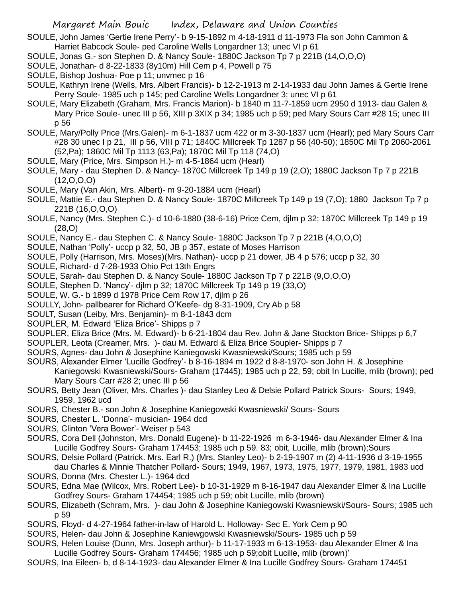SOULE, John James 'Gertie Irene Perry'- b 9-15-1892 m 4-18-1911 d 11-1973 Fla son John Cammon & Harriet Babcock Soule- ped Caroline Wells Longardner 13; unec VI p 61

- SOULE, Jonas G.- son Stephen D. & Nancy Soule- 1880C Jackson Tp 7 p 221B (14,O,O,O)
- SOULE, Jonathan- d 8-22-1833 (8y10m) Hill Cem p 4, Powell p 75
- SOULE, Bishop Joshua- Poe p 11; unvmec p 16

SOULE, Kathryn Irene (Wells, Mrs. Albert Francis)- b 12-2-1913 m 2-14-1933 dau John James & Gertie Irene Perry Soule- 1985 uch p 145; ped Caroline Wells Longardner 3; unec VI p 61

SOULE, Mary Elizabeth (Graham, Mrs. Francis Marion)- b 1840 m 11-7-1859 ucm 2950 d 1913- dau Galen & Mary Price Soule- unec III p 56, XIII p 3XIX p 34; 1985 uch p 59; ped Mary Sours Carr #28 15; unec III p 56

SOULE, Mary/Polly Price (Mrs.Galen)- m 6-1-1837 ucm 422 or m 3-30-1837 ucm (Hearl); ped Mary Sours Carr #28 30 unec I p 21, III p 56, VIII p 71; 1840C Millcreek Tp 1287 p 56 (40-50); 1850C Mil Tp 2060-2061 (52,Pa); 1860C Mil Tp 1113 (63,Pa); 1870C Mil Tp 118 (74,O)

- SOULE, Mary (Price, Mrs. Simpson H.)- m 4-5-1864 ucm (Hearl)
- SOULE, Mary dau Stephen D. & Nancy- 1870C Millcreek Tp 149 p 19 (2,O); 1880C Jackson Tp 7 p 221B  $(12,0,0,0)$
- SOULE, Mary (Van Akin, Mrs. Albert)- m 9-20-1884 ucm (Hearl)
- SOULE, Mattie E.- dau Stephen D. & Nancy Soule- 1870C Millcreek Tp 149 p 19 (7,O); 1880 Jackson Tp 7 p 221B (16,O,O,O)
- SOULE, Nancy (Mrs. Stephen C.)- d 10-6-1880 (38-6-16) Price Cem, djlm p 32; 1870C Millcreek Tp 149 p 19 (28,O)
- SOULE, Nancy E.- dau Stephen C. & Nancy Soule- 1880C Jackson Tp 7 p 221B (4,O,O,O)
- SOULE, Nathan 'Polly'- uccp p 32, 50, JB p 357, estate of Moses Harrison
- SOULE, Polly (Harrison, Mrs. Moses)(Mrs. Nathan)- uccp p 21 dower, JB 4 p 576; uccp p 32, 30
- SOULE, Richard- d 7-28-1933 Ohio Pct 13th Engrs
- SOULE, Sarah- dau Stephen D. & Nancy Soule- 1880C Jackson Tp 7 p 221B (9,O,O,O)
- SOULE, Stephen D. 'Nancy'- djlm p 32; 1870C Millcreek Tp 149 p 19 (33,O)
- SOULE, W. G.- b 1899 d 1978 Price Cem Row 17, djlm p 26
- SOULLY, John- pallbearer for Richard O'Keefe- dg 8-31-1909, Cry Ab p 58
- SOULT, Susan (Leiby, Mrs. Benjamin)- m 8-1-1843 dcm
- SOUPLER, M. Edward 'Eliza Brice'- Shipps p 7
- SOUPLER, Eliza Brice (Mrs. M. Edward)- b 6-21-1804 dau Rev. John & Jane Stockton Brice- Shipps p 6,7
- SOUPLER, Leota (Creamer, Mrs. )- dau M. Edward & Eliza Brice Soupler- Shipps p 7
- SOURS, Agnes- dau John & Josephine Kaniegowski Kwasniewski/Sours; 1985 uch p 59
- SOURS, Alexander Elmer 'Lucille Godfrey'- b 8-16-1894 m 1922 d 8-8-1970- son John H. & Josephine Kaniegowski Kwasniewski/Sours- Graham (17445); 1985 uch p 22, 59; obit In Lucille, mlib (brown); ped Mary Sours Carr #28 2; unec III p 56
- SOURS, Betty Jean (Oliver, Mrs. Charles )- dau Stanley Leo & Delsie Pollard Patrick Sours- Sours; 1949, 1959, 1962 ucd
- SOURS, Chester B.- son John & Josephine Kaniegowski Kwasniewski/ Sours- Sours
- SOURS, Chester L. 'Donna'- musician- 1964 dcd
- SOURS, Clinton 'Vera Bower'- Weiser p 543
- SOURS, Cora Dell (Johnston, Mrs. Donald Eugene)- b 11-22-1926 m 6-3-1946- dau Alexander Elmer & Ina Lucille Godfrey Sours- Graham 174453; 1985 uch p 59. 83; obit, Lucille, mlib (brown);Sours
- SOURS, Delsie Pollard (Patrick. Mrs. Earl R.) (Mrs. Stanley Leo)- b 2-19-1907 m (2) 4-11-1936 d 3-19-1955 dau Charles & Minnie Thatcher Pollard- Sours; 1949, 1967, 1973, 1975, 1977, 1979, 1981, 1983 ucd
- SOURS, Donna (Mrs. Chester L.)- 1964 dcd SOURS, Edna Mae (Wilcox, Mrs. Robert Lee)- b 10-31-1929 m 8-16-1947 dau Alexander Elmer & Ina Lucille
- Godfrey Sours- Graham 174454; 1985 uch p 59; obit Lucille, mlib (brown)
- SOURS, Elizabeth (Schram, Mrs. )- dau John & Josephine Kaniegowski Kwasniewski/Sours- Sours; 1985 uch p 59
- SOURS, Floyd- d 4-27-1964 father-in-law of Harold L. Holloway- Sec E. York Cem p 90
- SOURS, Helen- dau John & Josephine Kaniewgowski Kwasniewski/Sours- 1985 uch p 59
- SOURS, Helen Louise (Dunn, Mrs. Joseph arthur)- b 11-17-1933 m 6-13-1953- dau Alexander Elmer & Ina Lucille Godfrey Sours- Graham 174456; 1985 uch p 59;obit Lucille, mlib (brown)'
- SOURS, Ina Eileen- b, d 8-14-1923- dau Alexander Elmer & Ina Lucille Godfrey Sours- Graham 174451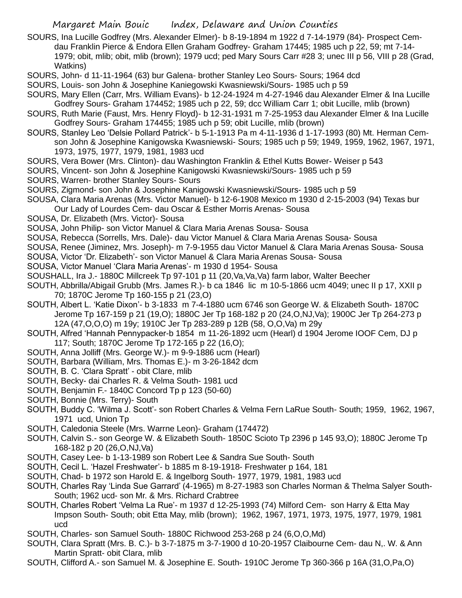- SOURS, Ina Lucille Godfrey (Mrs. Alexander Elmer)- b 8-19-1894 m 1922 d 7-14-1979 (84)- Prospect Cemdau Franklin Pierce & Endora Ellen Graham Godfrey- Graham 17445; 1985 uch p 22, 59; mt 7-14- 1979; obit, mlib; obit, mlib (brown); 1979 ucd; ped Mary Sours Carr #28 3; unec III p 56, VIII p 28 (Grad, Watkins)
- SOURS, John- d 11-11-1964 (63) bur Galena- brother Stanley Leo Sours- Sours; 1964 dcd
- SOURS, Louis- son John & Josephine Kaniegowski Kwasniewski/Sours- 1985 uch p 59
- SOURS, Mary Ellen (Carr, Mrs. William Evans)- b 12-24-1924 m 4-27-1946 dau Alexander Elmer & Ina Lucille Godfrey Sours- Graham 174452; 1985 uch p 22, 59; dcc William Carr 1; obit Lucille, mlib (brown)
- SOURS, Ruth Marie (Faust, Mrs. Henry Floyd)- b 12-31-1931 m 7-25-1953 dau Alexander Elmer & Ina Lucille Godfrey Sours- Graham 174455; 1985 uch p 59; obit Lucille, mlib (brown)
- SOURS, Stanley Leo 'Delsie Pollard Patrick'- b 5-1-1913 Pa m 4-11-1936 d 1-17-1993 (80) Mt. Herman Cemson John & Josephine Kanigowska Kwasniewski- Sours; 1985 uch p 59; 1949, 1959, 1962, 1967, 1971, 1973, 1975, 1977, 1979, 1981, 1983 ucd
- SOURS, Vera Bower (Mrs. Clinton)- dau Washington Franklin & Ethel Kutts Bower- Weiser p 543
- SOURS, Vincent- son John & Josephine Kanigowski Kwasniewski/Sours- 1985 uch p 59
- SOURS, Warren- brother Stanley Sours- Sours
- SOURS, Zigmond- son John & Josephine Kanigowski Kwasniewski/Sours- 1985 uch p 59
- SOUSA, Clara Maria Arenas (Mrs. Victor Manuel)- b 12-6-1908 Mexico m 1930 d 2-15-2003 (94) Texas bur
- Our Lady of Lourdes Cem- dau Oscar & Esther Morris Arenas- Sousa
- SOUSA, Dr. Elizabeth (Mrs. Victor)- Sousa
- SOUSA, John Philip- son Victor Manuel & Clara Maria Arenas Sousa- Sousa
- SOUSA, Rebecca (Sorrells, Mrs. Dale)- dau Victor Manuel & Clara Maria Arenas Sousa- Sousa
- SOUSA, Renee (Jiminez, Mrs. Joseph)- m 7-9-1955 dau Victor Manuel & Clara Maria Arenas Sousa- Sousa
- SOUSA, Victor 'Dr. Elizabeth'- son Victor Manuel & Clara Maria Arenas Sousa- Sousa
- SOUSA, Victor Manuel 'Clara Maria Arenas'- m 1930 d 1954- Sousa
- SOUSHALL, Ira J.- 1880C Millcreek Tp 97-101 p 11 (20,Va,Va,Va) farm labor, Walter Beecher
- SOUTH, Abbrilla/Abigail Grubb (Mrs. James R.)- b ca 1846 lic m 10-5-1866 ucm 4049; unec II p 17, XXII p 70; 1870C Jerome Tp 160-155 p 21 (23,O)
- SOUTH, Albert L. 'Katie Dixon'- b 3-1833 m 7-4-1880 ucm 6746 son George W. & Elizabeth South- 1870C Jerome Tp 167-159 p 21 (19,O); 1880C Jer Tp 168-182 p 20 (24,O,NJ,Va); 1900C Jer Tp 264-273 p 12A (47,O,O,O) m 19y; 1910C Jer Tp 283-289 p 12B (58, O,O,Va) m 29y
- SOUTH, Alfred 'Hannah Pennypacker-b 1854 m 11-26-1892 ucm (Hearl) d 1904 Jerome IOOF Cem, DJ p 117; South; 1870C Jerome Tp 172-165 p 22 (16,O);
- SOUTH, Anna Jolliff (Mrs. George W.)- m 9-9-1886 ucm (Hearl)
- SOUTH, Barbara (William, Mrs. Thomas E.)- m 3-26-1842 dcm
- SOUTH, B. C. 'Clara Spratt' obit Clare, mlib
- SOUTH, Becky- dai Charles R. & Velma South- 1981 ucd
- SOUTH, Benjamin F.- 1840C Concord Tp p 123 (50-60)
- SOUTH, Bonnie (Mrs. Terry)- South
- SOUTH, Buddy C. 'Wilma J. Scott'- son Robert Charles & Velma Fern LaRue South- South; 1959, 1962, 1967, 1971 ucd, Union Tp
- SOUTH, Caledonia Steele (Mrs. Warrne Leon)- Graham (174472)
- SOUTH, Calvin S.- son George W. & Elizabeth South- 1850C Scioto Tp 2396 p 145 93,O); 1880C Jerome Tp 168-182 p 20 (26,O,NJ,Va)
- SOUTH, Casey Lee- b 1-13-1989 son Robert Lee & Sandra Sue South- South
- SOUTH, Cecil L. 'Hazel Freshwater'- b 1885 m 8-19-1918- Freshwater p 164, 181
- SOUTH, Chad- b 1972 son Harold E. & Ingelborg South- 1977, 1979, 1981, 1983 ucd
- SOUTH, Charles Ray 'Linda Sue Garrard' (4-1965) m 8-27-1983 son Charles Norman & Thelma Salyer South-South; 1962 ucd- son Mr. & Mrs. Richard Crabtree
- SOUTH, Charles Robert 'Velma La Rue'- m 1937 d 12-25-1993 (74) Milford Cem- son Harry & Etta May Impson South- South; obit Etta May, mlib (brown); 1962, 1967, 1971, 1973, 1975, 1977, 1979, 1981 ucd
- SOUTH, Charles- son Samuel South- 1880C Richwood 253-268 p 24 (6,O,O,Md)
- SOUTH, Clara Spratt (Mrs. B. C.)- b 3-7-1875 m 3-7-1900 d 10-20-1957 Claibourne Cem- dau N,. W. & Ann Martin Spratt- obit Clara, mlib
- SOUTH, Clifford A.- son Samuel M. & Josephine E. South- 1910C Jerome Tp 360-366 p 16A (31,O,Pa,O)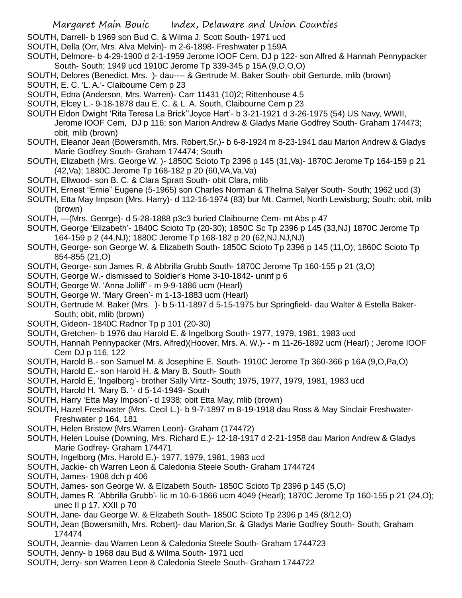SOUTH, Darrell- b 1969 son Bud C. & Wilma J. Scott South- 1971 ucd

- SOUTH, Della (Orr, Mrs. Alva Melvin)- m 2-6-1898- Freshwater p 159A
- SOUTH, Delmore- b 4-29-1900 d 2-1-1959 Jerome IOOF Cem, DJ p 122- son Alfred & Hannah Pennypacker South- South; 1949 ucd 1910C Jerome Tp 339-345 p 15A (9,O,O,O)
- SOUTH, Delores (Benedict, Mrs. )- dau---- & Gertrude M. Baker South- obit Gerturde, mlib (brown)
- SOUTH, E. C. 'L. A.'- Claibourne Cem p 23
- SOUTH, Edna (Anderson, Mrs. Warren)- Carr 11431 (10)2; Rittenhouse 4,5
- SOUTH, Elcey L.- 9-18-1878 dau E. C. & L. A. South, Claibourne Cem p 23
- SOUTH Eldon Dwight 'Rita Teresa La Brick''Joyce Hart'- b 3-21-1921 d 3-26-1975 (54) US Navy, WWII, Jerome IOOF Cem, DJ p 116; son Marion Andrew & Gladys Marie Godfrey South- Graham 174473; obit, mlib (brown)
- SOUTH, Eleanor Jean (Bowersmith, Mrs. Robert,Sr.)- b 6-8-1924 m 8-23-1941 dau Marion Andrew & Gladys Marie Godfrey South- Graham 174474; South
- SOUTH, Elizabeth (Mrs. George W. )- 1850C Scioto Tp 2396 p 145 (31,Va)- 1870C Jerome Tp 164-159 p 21 (42,Va); 1880C Jerome Tp 168-182 p 20 (60,VA,Va,Va)
- SOUTH, Ellwood- son B. C. & Clara Spratt South- obit Clara, mlib
- SOUTH, Ernest "Ernie" Eugene (5-1965) son Charles Norman & Thelma Salyer South- South; 1962 ucd (3)
- SOUTH, Etta May Impson (Mrs. Harry)- d 112-16-1974 (83) bur Mt. Carmel, North Lewisburg; South; obit, mlib (brown)
- SOUTH, —(Mrs. George)- d 5-28-1888 p3c3 buried Claibourne Cem- mt Abs p 47
- SOUTH, George 'Elizabeth'- 1840C Scioto Tp (20-30); 1850C Sc Tp 2396 p 145 (33,NJ) 1870C Jerome Tp 164-159 p 2 (44,NJ); 1880C Jerome Tp 168-182 p 20 (62,NJ,NJ,NJ)
- SOUTH, George- son George W. & Elizabeth South- 1850C Scioto Tp 2396 p 145 (11,O); 1860C Scioto Tp 854-855 (21,O)
- SOUTH, George- son James R. & Abbrilla Grubb South- 1870C Jerome Tp 160-155 p 21 (3,O)
- SOUTH, George W.- dismissed to Soldier's Home 3-10-1842- uninf p 6
- SOUTH, George W. 'Anna Jolliff' m 9-9-1886 ucm (Hearl)
- SOUTH, George W. 'Mary Green'- m 1-13-1883 ucm (Hearl)
- SOUTH, Gertrude M. Baker (Mrs. )- b 5-11-1897 d 5-15-1975 bur Springfield- dau Walter & Estella Baker-South; obit, mlib (brown)
- SOUTH, Gideon- 1840C Radnor Tp p 101 (20-30)
- SOUTH, Gretchen- b 1976 dau Harold E. & Ingelborg South- 1977, 1979, 1981, 1983 ucd
- SOUTH, Hannah Pennypacker (Mrs. Alfred)(Hoover, Mrs. A. W.)- m 11-26-1892 ucm (Hearl) ; Jerome IOOF Cem DJ p 116, 122
- SOUTH, Harold B.- son Samuel M. & Josephine E. South- 1910C Jerome Tp 360-366 p 16A (9,O,Pa,O)
- SOUTH, Harold E.- son Harold H. & Mary B. South- South
- SOUTH, Harold E, 'Ingelborg'- brother Sally Virtz- South; 1975, 1977, 1979, 1981, 1983 ucd
- SOUTH, Harold H. 'Mary B. '- d 5-14-1949- South
- SOUTH, Harry 'Etta May Impson'- d 1938; obit Etta May, mlib (brown)
- SOUTH, Hazel Freshwater (Mrs. Cecil L.)- b 9-7-1897 m 8-19-1918 dau Ross & May Sinclair Freshwater-Freshwater p 164, 181
- SOUTH, Helen Bristow (Mrs.Warren Leon)- Graham (174472)
- SOUTH, Helen Louise (Downing, Mrs. Richard E.)- 12-18-1917 d 2-21-1958 dau Marion Andrew & Gladys Marie Godfrey- Graham 174471
- SOUTH, Ingelborg (Mrs. Harold E.)- 1977, 1979, 1981, 1983 ucd
- SOUTH, Jackie- ch Warren Leon & Caledonia Steele South- Graham 1744724
- SOUTH, James- 1908 dch p 406
- SOUTH, James- son George W. & Elizabeth South- 1850C Scioto Tp 2396 p 145 (5,O)
- SOUTH, James R. 'Abbrilla Grubb'- lic m 10-6-1866 ucm 4049 (Hearl); 1870C Jerome Tp 160-155 p 21 (24,O); unec II p 17, XXII p 70
- SOUTH, Jane- dau George W. & Elizabeth South- 1850C Scioto Tp 2396 p 145 (8/12,O)
- SOUTH, Jean (Bowersmith, Mrs. Robert)- dau Marion,Sr. & Gladys Marie Godfrey South- South; Graham 174474
- SOUTH, Jeannie- dau Warren Leon & Caledonia Steele South- Graham 1744723
- SOUTH, Jenny- b 1968 dau Bud & Wilma South- 1971 ucd
- SOUTH, Jerry- son Warren Leon & Caledonia Steele South- Graham 1744722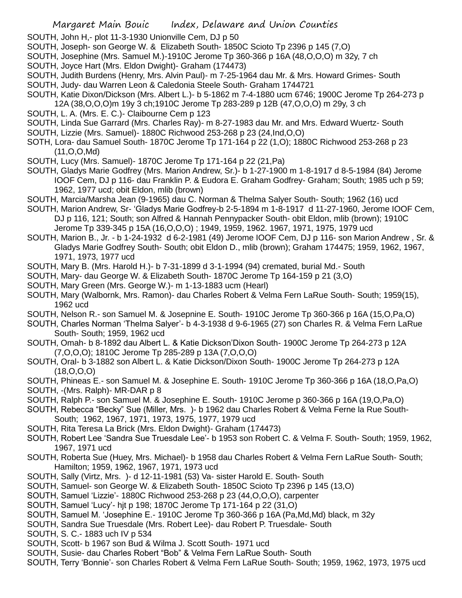SOUTH, John H,- plot 11-3-1930 Unionville Cem, DJ p 50

- SOUTH, Joseph- son George W. & Elizabeth South- 1850C Scioto Tp 2396 p 145 (7,O)
- SOUTH, Josephine (Mrs. Samuel M.)-1910C Jerome Tp 360-366 p 16A (48,O,O,O) m 32y, 7 ch SOUTH, Joyce Hart (Mrs. Eldon Dwight)- Graham (174473)
- SOUTH, Judith Burdens (Henry, Mrs. Alvin Paul)- m 7-25-1964 dau Mr. & Mrs. Howard Grimes- South SOUTH, Judy- dau Warren Leon & Caledonia Steele South- Graham 1744721
- SOUTH, Katie Dixon/Dickson (Mrs. Albert L.)- b 5-1862 m 7-4-1880 ucm 6746; 1900C Jerome Tp 264-273 p 12A (38,O,O,O)m 19y 3 ch;1910C Jerome Tp 283-289 p 12B (47,O,O,O) m 29y, 3 ch
- SOUTH, L. A. (Mrs. E. C.)- Claibourne Cem p 123
- SOUTH, Linda Sue Garrard (Mrs. Charles Ray)- m 8-27-1983 dau Mr. and Mrs. Edward Wuertz- South SOUTH, Lizzie (Mrs. Samuel)- 1880C Richwood 253-268 p 23 (24,Ind,O,O)
- SOTH, Lora- dau Samuel South- 1870C Jerome Tp 171-164 p 22 (1,O); 1880C Richwood 253-268 p 23 (11,O,O,Md)
- SOUTH, Lucy (Mrs. Samuel)- 1870C Jerome Tp 171-164 p 22 (21,Pa)
- SOUTH, Gladys Marie Godfrey (Mrs. Marion Andrew, Sr.)- b 1-27-1900 m 1-8-1917 d 8-5-1984 (84) Jerome IOOF Cem, DJ p 116- dau Franklin P. & Eudora E. Graham Godfrey- Graham; South; 1985 uch p 59; 1962, 1977 ucd; obit Eldon, mlib (brown)
- SOUTH, Marcia/Marsha Jean (9-1965) dau C. Norman & Thelma Salyer South- South; 1962 (16) ucd
- SOUTH, Marion Andrew, Sr- 'Gladys Marie Godfrey-b 2-5-1894 m 1-8-1917 d 11-27-1960, Jerome IOOF Cem, DJ p 116, 121; South; son Alfred & Hannah Pennypacker South- obit Eldon, mlib (brown); 1910C Jerome Tp 339-345 p 15A (16,O,O,O) ; 1949, 1959, 1962. 1967, 1971, 1975, 1979 ucd
- SOUTH, Marion B., Jr. b 1-24-1932 d 6-2-1981 (49) Jerome IOOF Cem, DJ p 116- son Marion Andrew , Sr. & Gladys Marie Godfrey South- South; obit Eldon D., mlib (brown); Graham 174475; 1959, 1962, 1967, 1971, 1973, 1977 ucd
- SOUTH, Mary B. (Mrs. Harold H.)- b 7-31-1899 d 3-1-1994 (94) cremated, burial Md.- South
- SOUTH, Mary- dau George W. & Elizabeth South- 1870C Jerome Tp 164-159 p 21 (3,O)
- SOUTH, Mary Green (Mrs. George W.)- m 1-13-1883 ucm (Hearl)
- SOUTH, Mary (Walbornk, Mrs. Ramon)- dau Charles Robert & Velma Fern LaRue South- South; 1959(15), 1962 ucd
- SOUTH, Nelson R.- son Samuel M. & Josepnine E. South- 1910C Jerome Tp 360-366 p 16A (15,O,Pa,O)
- SOUTH, Charles Norman 'Thelma Salyer'- b 4-3-1938 d 9-6-1965 (27) son Charles R. & Velma Fern LaRue South- South; 1959, 1962 ucd
- SOUTH, Omah- b 8-1892 dau Albert L. & Katie Dickson'Dixon South- 1900C Jerome Tp 264-273 p 12A (7,O,O,O); 1810C Jerome Tp 285-289 p 13A (7,O,O,O)
- SOUTH, Oral- b 3-1882 son Albert L. & Katie Dickson/Dixon South- 1900C Jerome Tp 264-273 p 12A (18,O,O,O)
- SOUTH, Phineas E.- son Samuel M. & Josephine E. South- 1910C Jerome Tp 360-366 p 16A (18,O,Pa,O)
- SOUTH, -(Mrs. Ralph)- MR-DAR p 8
- SOUTH, Ralph P.- son Samuel M. & Josephine E. South- 1910C Jerome p 360-366 p 16A (19,O,Pa,O)
- SOUTH, Rebecca "Becky" Sue (Miller, Mrs. )- b 1962 dau Charles Robert & Velma Ferne la Rue South-South; 1962, 1967, 1971, 1973, 1975, 1977, 1979 ucd
- SOUTH, Rita Teresa La Brick (Mrs. Eldon Dwight)- Graham (174473)
- SOUTH, Robert Lee 'Sandra Sue Truesdale Lee'- b 1953 son Robert C. & Velma F. South- South; 1959, 1962, 1967, 1971 ucd
- SOUTH, Roberta Sue (Huey, Mrs. Michael)- b 1958 dau Charles Robert & Velma Fern LaRue South- South; Hamilton; 1959, 1962, 1967, 1971, 1973 ucd
- SOUTH, Sally (Virtz, Mrs. )- d 12-11-1981 (53) Va- sister Harold E. South- South
- SOUTH, Samuel- son George W. & Elizabeth South- 1850C Scioto Tp 2396 p 145 (13,O)
- SOUTH, Samuel 'Lizzie'- 1880C Richwood 253-268 p 23 (44,O,O,O), carpenter
- SOUTH, Samuel 'Lucy'- hjt p 198; 1870C Jerome Tp 171-164 p 22 (31,O)
- SOUTH, Samuel M. 'Josephine E.- 1910C Jerome Tp 360-366 p 16A (Pa,Md,Md) black, m 32y
- SOUTH, Sandra Sue Truesdale (Mrs. Robert Lee)- dau Robert P. Truesdale- South
- SOUTH, S. C.- 1883 uch IV p 534
- SOUTH, Scott- b 1967 son Bud & Wilma J. Scott South- 1971 ucd
- SOUTH, Susie- dau Charles Robert "Bob" & Velma Fern LaRue South- South
- SOUTH, Terry 'Bonnie'- son Charles Robert & Velma Fern LaRue South- South; 1959, 1962, 1973, 1975 ucd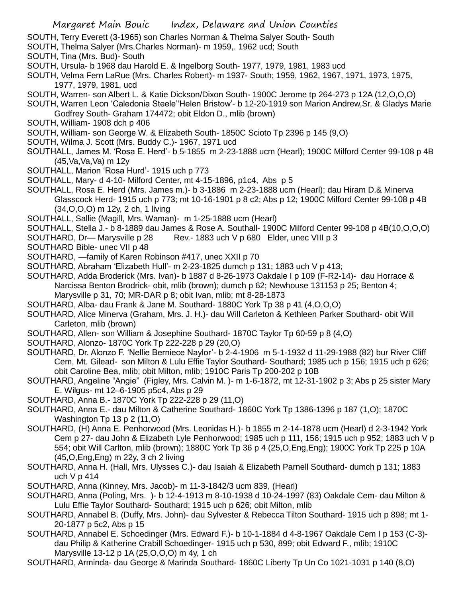- SOUTH, Terry Everett (3-1965) son Charles Norman & Thelma Salyer South- South
- SOUTH, Thelma Salyer (Mrs.Charles Norman)- m 1959,. 1962 ucd; South
- SOUTH, Tina (Mrs. Bud)- South
- SOUTH, Ursula- b 1968 dau Harold E. & Ingelborg South- 1977, 1979, 1981, 1983 ucd
- SOUTH, Velma Fern LaRue (Mrs. Charles Robert)- m 1937- South; 1959, 1962, 1967, 1971, 1973, 1975, 1977, 1979, 1981, ucd
- SOUTH, Warren- son Albert L. & Katie Dickson/Dixon South- 1900C Jerome tp 264-273 p 12A (12,O,O,O)
- SOUTH, Warren Leon 'Caledonia Steele''Helen Bristow'- b 12-20-1919 son Marion Andrew,Sr. & Gladys Marie Godfrey South- Graham 174472; obit Eldon D., mlib (brown)
- SOUTH, William- 1908 dch p 406
- SOUTH, William- son George W. & Elizabeth South- 1850C Scioto Tp 2396 p 145 (9,O)
- SOUTH, Wilma J. Scott (Mrs. Buddy C.)- 1967, 1971 ucd
- SOUTHALL, James M. 'Rosa E. Herd'- b 5-1855 m 2-23-1888 ucm (Hearl); 1900C Milford Center 99-108 p 4B (45,Va,Va,Va) m 12y
- SOUTHALL, Marion 'Rosa Hurd'- 1915 uch p 773
- SOUTHALL, Mary- d 4-10- Milford Center, mt 4-15-1896, p1c4, Abs p 5
- SOUTHALL, Rosa E. Herd (Mrs. James m.)- b 3-1886 m 2-23-1888 ucm (Hearl); dau Hiram D.& Minerva Glasscock Herd- 1915 uch p 773; mt 10-16-1901 p 8 c2; Abs p 12; 1900C Milford Center 99-108 p 4B (34,O,O,O) m 12y, 2 ch, 1 living
- SOUTHALL, Sallie (Magill, Mrs. Waman)- m 1-25-1888 ucm (Hearl)
- SOUTHALL, Stella J.- b 8-1889 dau James & Rose A. Southall- 1900C Milford Center 99-108 p 4B(10,O,O,O)
- SOUTHARD, Dr— Marysville p 28 Rev.- 1883 uch V p 680 Elder, unec VIII p 3
- SOUTHARD Bible- unec VII p 48
- SOUTHARD, —family of Karen Robinson #417, unec XXII p 70
- SOUTHARD, Abraham 'Elizabeth Hull'- m 2-23-1825 dumch p 131; 1883 uch V p 413;
- SOUTHARD, Adda Broderick (Mrs. Ivan)- b 1887 d 8-26-1973 Oakdale I p 109 (F-R2-14)- dau Horrace & Narcissa Benton Brodrick- obit, mlib (brown); dumch p 62; Newhouse 131153 p 25; Benton 4; Marysville p 31, 70; MR-DAR p 8; obit Ivan, mlib; mt 8-28-1873
- SOUTHARD, Alba- dau Frank & Jane M. Southard- 1880C York Tp 38 p 41 (4,O,O,O)
- SOUTHARD, Alice Minerva (Graham, Mrs. J. H.)- dau Will Carleton & Kethleen Parker Southard- obit Will Carleton, mlib (brown)
- SOUTHARD, Allen- son William & Josephine Southard- 1870C Taylor Tp 60-59 p 8 (4,O)
- SOUTHARD, Alonzo- 1870C York Tp 222-228 p 29 (20,O)
- SOUTHARD, Dr. Alonzo F. 'Nellie Berniece Naylor'- b 2-4-1906 m 5-1-1932 d 11-29-1988 (82) bur River Cliff Cem, Mt. Gilead- son Milton & Lulu Effie Taylor Southard- Southard; 1985 uch p 156; 1915 uch p 626; obit Caroline Bea, mlib; obit Milton, mlib; 1910C Paris Tp 200-202 p 10B
- SOUTHARD, Angeline "Angie" (Figley, Mrs. Calvin M. )- m 1-6-1872, mt 12-31-1902 p 3; Abs p 25 sister Mary E. Wilgus- mt 12–6-1905 p5c4, Abs p 29
- SOUTHARD, Anna B.- 1870C York Tp 222-228 p 29 (11,O)
- SOUTHARD, Anna E.- dau Milton & Catherine Southard- 1860C York Tp 1386-1396 p 187 (1,O); 1870C Washington Tp 13 p 2 (11,O)
- SOUTHARD, (H) Anna E. Penhorwood (Mrs. Leonidas H.)- b 1855 m 2-14-1878 ucm (Hearl) d 2-3-1942 York Cem p 27- dau John & Elizabeth Lyle Penhorwood; 1985 uch p 111, 156; 1915 uch p 952; 1883 uch V p 554; obit Will Carlton, mlib (brown); 1880C York Tp 36 p 4 (25,O,Eng,Eng); 1900C York Tp 225 p 10A (45,O,Eng,Eng) m 22y, 3 ch 2 living
- SOUTHARD, Anna H. (Hall, Mrs. Ulysses C.)- dau Isaiah & Elizabeth Parnell Southard- dumch p 131; 1883 uch V p 414
- SOUTHARD, Anna (Kinney, Mrs. Jacob)- m 11-3-1842/3 ucm 839, (Hearl)
- SOUTHARD, Anna (Poling, Mrs. )- b 12-4-1913 m 8-10-1938 d 10-24-1997 (83) Oakdale Cem- dau Milton & Lulu Effie Taylor Southard- Southard; 1915 uch p 626; obit Milton, mlib
- SOUTHARD, Annabel B. (Duffy, Mrs. John)- dau Sylvester & Rebecca Tilton Southard- 1915 uch p 898; mt 1- 20-1877 p 5c2, Abs p 15
- SOUTHARD, Annabel E. Schoedinger (Mrs. Edward F.)- b 10-1-1884 d 4-8-1967 Oakdale Cem I p 153 (C-3) dau Philip & Katherine Crabill Schoedinger- 1915 uch p 530, 899; obit Edward F., mlib; 1910C Marysville 13-12 p 1A (25,O,O,O) m 4y, 1 ch
- SOUTHARD, Arminda- dau George & Marinda Southard- 1860C Liberty Tp Un Co 1021-1031 p 140 (8,O)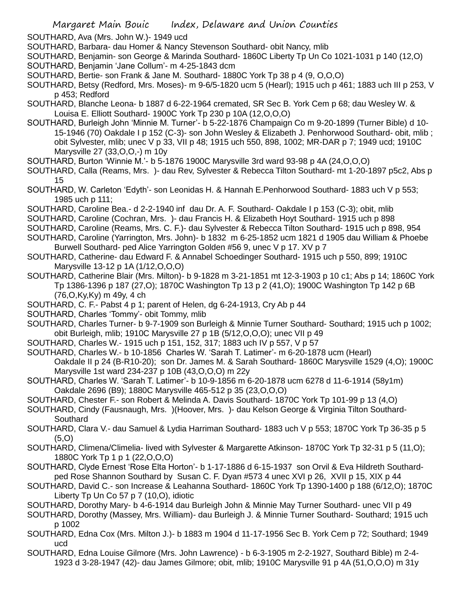SOUTHARD, Ava (Mrs. John W.)- 1949 ucd

- SOUTHARD, Barbara- dau Homer & Nancy Stevenson Southard- obit Nancy, mlib
- SOUTHARD, Benjamin- son George & Marinda Southard- 1860C Liberty Tp Un Co 1021-1031 p 140 (12,O)
- SOUTHARD, Benjamin 'Jane Collum'- m 4-25-1843 dcm
- SOUTHARD, Bertie- son Frank & Jane M. Southard- 1880C York Tp 38 p 4 (9, O,O,O)
- SOUTHARD, Betsy (Redford, Mrs. Moses)- m 9-6/5-1820 ucm 5 (Hearl); 1915 uch p 461; 1883 uch III p 253, V p 453; Redford
- SOUTHARD, Blanche Leona- b 1887 d 6-22-1964 cremated, SR Sec B. York Cem p 68; dau Wesley W. & Louisa E. Elliott Southard- 1900C York Tp 230 p 10A (12,O,O,O)
- SOUTHARD, Burleigh John 'Minnie M. Turner'- b 5-22-1876 Champaign Co m 9-20-1899 (Turner Bible) d 10- 15-1946 (70) Oakdale I p 152 (C-3)- son John Wesley & Elizabeth J. Penhorwood Southard- obit, mlib ; obit Sylvester, mlib; unec V p 33, VII p 48; 1915 uch 550, 898, 1002; MR-DAR p 7; 1949 ucd; 1910C Marysville 27 (33,O,O,-) m 10y
- SOUTHARD, Burton 'Winnie M.'- b 5-1876 1900C Marysville 3rd ward 93-98 p 4A (24,O,O,O)
- SOUTHARD, Calla (Reams, Mrs. )- dau Rev, Sylvester & Rebecca Tilton Southard- mt 1-20-1897 p5c2, Abs p 15
- SOUTHARD, W. Carleton 'Edyth'- son Leonidas H. & Hannah E.Penhorwood Southard- 1883 uch V p 553; 1985 uch p 111;
- SOUTHARD, Caroline Bea.- d 2-2-1940 inf dau Dr. A. F. Southard- Oakdale I p 153 (C-3); obit, mlib
- SOUTHARD, Caroline (Cochran, Mrs. )- dau Francis H. & Elizabeth Hoyt Southard- 1915 uch p 898
- SOUTHARD, Caroline (Reams, Mrs. C. F.)- dau Sylvester & Rebecca Tilton Southard- 1915 uch p 898, 954
- SOUTHARD, Caroline (Yarrington, Mrs. John)- b 1832 m 6-25-1852 ucm 1821 d 1905 dau William & Phoebe Burwell Southard- ped Alice Yarrington Golden #56 9, unec V p 17. XV p 7
- SOUTHARD, Catherine- dau Edward F. & Annabel Schoedinger Southard- 1915 uch p 550, 899; 1910C Marysville 13-12 p 1A (1/12,O,O,O)
- SOUTHARD, Catherine Blair (Mrs. Milton)- b 9-1828 m 3-21-1851 mt 12-3-1903 p 10 c1; Abs p 14; 1860C York Tp 1386-1396 p 187 (27,O); 1870C Washington Tp 13 p 2 (41,O); 1900C Washington Tp 142 p 6B (76,O,Ky,Ky) m 49y, 4 ch
- SOUTHARD, C. F.- Pabst 4 p 1; parent of Helen, dg 6-24-1913, Cry Ab p 44
- SOUTHARD, Charles 'Tommy'- obit Tommy, mlib
- SOUTHARD, Charles Turner- b 9-7-1909 son Burleigh & Minnie Turner Southard- Southard; 1915 uch p 1002; obit Burleigh, mlib; 1910C Marysville 27 p 1B (5/12,O,O,O); unec VII p 49
- SOUTHARD, Charles W.- 1915 uch p 151, 152, 317; 1883 uch IV p 557, V p 57
- SOUTHARD, Charles W.- b 10-1856 Charles W. 'Sarah T. Latimer'- m 6-20-1878 ucm (Hearl) Oakdale II p 24 (B-R10-20); son Dr. James M. & Sarah Southard- 1860C Marysville 1529 (4,O); 1900C Marysville 1st ward 234-237 p 10B (43,O,O,O) m 22y
- SOUTHARD, Charles W. 'Sarah T. Latimer'- b 10-9-1856 m 6-20-1878 ucm 6278 d 11-6-1914 (58y1m) Oakdale 2696 (B9); 1880C Marysville 465-512 p 35 (23,O,O,O)
- SOUTHARD, Chester F.- son Robert & Melinda A. Davis Southard- 1870C York Tp 101-99 p 13 (4,O)
- SOUTHARD, Cindy (Fausnaugh, Mrs. )(Hoover, Mrs. )- dau Kelson George & Virginia Tilton Southard-**Southard**
- SOUTHARD, Clara V.- dau Samuel & Lydia Harriman Southard- 1883 uch V p 553; 1870C York Tp 36-35 p 5 (5,O)
- SOUTHARD, Climena/Climelia- lived with Sylvester & Margarette Atkinson- 1870C York Tp 32-31 p 5 (11,O); 1880C York Tp 1 p 1 (22, O, O, O)
- SOUTHARD, Clyde Ernest 'Rose Elta Horton'- b 1-17-1886 d 6-15-1937 son Orvil & Eva Hildreth Southardped Rose Shannon Southard by Susan C. F. Dyan #573 4 unec XVI p 26, XVII p 15, XIX p 44
- SOUTHARD, David C.- son Increase & Leahanna Southard- 1860C York Tp 1390-1400 p 188 (6/12,O); 1870C Liberty Tp Un Co 57 p 7 (10,O), idiotic
- SOUTHARD, Dorothy Mary- b 4-6-1914 dau Burleigh John & Minnie May Turner Southard- unec VII p 49
- SOUTHARD, Dorothy (Massey, Mrs. William)- dau Burleigh J. & Minnie Turner Southard- Southard; 1915 uch p 1002
- SOUTHARD, Edna Cox (Mrs. Milton J.)- b 1883 m 1904 d 11-17-1956 Sec B. York Cem p 72; Southard; 1949 ucd
- SOUTHARD, Edna Louise Gilmore (Mrs. John Lawrence) b 6-3-1905 m 2-2-1927, Southard Bible) m 2-4- 1923 d 3-28-1947 (42)- dau James Gilmore; obit, mlib; 1910C Marysville 91 p 4A (51,O,O,O) m 31y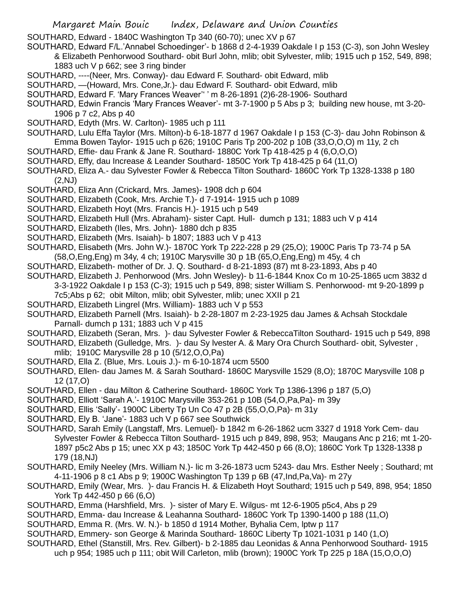- SOUTHARD, Edward 1840C Washington Tp 340 (60-70); unec XV p 67
- SOUTHARD, Edward F/L.'Annabel Schoedinger'- b 1868 d 2-4-1939 Oakdale I p 153 (C-3), son John Wesley & Elizabeth Penhorwood Southard- obit Burl John, mlib; obit Sylvester, mlib; 1915 uch p 152, 549, 898; 1883 uch V p 662; see 3 ring binder
- SOUTHARD, ----(Neer, Mrs. Conway)- dau Edward F. Southard- obit Edward, mlib
- SOUTHARD, —(Howard, Mrs. Cone,Jr.)- dau Edward F. Southard- obit Edward, mlib
- SOUTHARD, Edward F. 'Mary Frances Weaver'' ' m 8-26-1891 (2)6-28-1906- Southard
- SOUTHARD, Edwin Francis 'Mary Frances Weaver'- mt 3-7-1900 p 5 Abs p 3; building new house, mt 3-20- 1906 p 7 c2, Abs p 40
- SOUTHARD, Edyth (Mrs. W. Carlton)- 1985 uch p 111
- SOUTHARD, Lulu Effa Taylor (Mrs. Milton)-b 6-18-1877 d 1967 Oakdale I p 153 (C-3)- dau John Robinson & Emma Bowen Taylor- 1915 uch p 626; 1910C Paris Tp 200-202 p 10B (33,O,O,O) m 11y, 2 ch
- SOUTHARD, Effie- dau Frank & Jane R. Southard- 1880C York Tp 418-425 p 4 (6,O,O,O)
- SOUTHARD, Effy, dau Increase & Leander Southard- 1850C York Tp 418-425 p 64 (11,O)
- SOUTHARD, Eliza A.- dau Sylvester Fowler & Rebecca Tilton Southard- 1860C York Tp 1328-1338 p 180 (2,NJ)
- SOUTHARD, Eliza Ann (Crickard, Mrs. James)- 1908 dch p 604
- SOUTHARD, Elizabeth (Cook, Mrs. Archie T.)- d 7-1914- 1915 uch p 1089
- SOUTHARD, Elizabeth Hoyt (Mrs. Francis H.)- 1915 uch p 549
- SOUTHARD, Elizabeth Hull (Mrs. Abraham)- sister Capt. Hull- dumch p 131; 1883 uch V p 414
- SOUTHARD, Elizabeth (Iles, Mrs. John)- 1880 dch p 835
- SOUTHARD, Elizabeth (Mrs. Isaiah)- b 1807; 1883 uch V p 413
- SOUTHARD, Elisabeth (Mrs. John W.)- 1870C York Tp 222-228 p 29 (25,O); 1900C Paris Tp 73-74 p 5A (58,O,Eng,Eng) m 34y, 4 ch; 1910C Marysville 30 p 1B (65,O,Eng,Eng) m 45y, 4 ch
- SOUTHARD, Elizabeth- mother of Dr. J. Q. Southard- d 8-21-1893 (87) mt 8-23-1893, Abs p 40
- SOUTHARD, Elizabeth J. Penhorwood (Mrs. John Wesley)- b 11-6-1844 Knox Co m 10-25-1865 ucm 3832 d 3-3-1922 Oakdale I p 153 (C-3); 1915 uch p 549, 898; sister William S. Penhorwood- mt 9-20-1899 p
	- 7c5;Abs p 62; obit Milton, mlib; obit Sylvester, mlib; unec XXII p 21
- SOUTHARD, Elizabeth Lingrel (Mrs. William)- 1883 uch V p 553
- SOUTHARD, Elizabeth Parnell (Mrs. Isaiah)- b 2-28-1807 m 2-23-1925 dau James & Achsah Stockdale Parnall- dumch p 131; 1883 uch V p 415
- SOUTHARD, Elizabeth (Seran, Mrs. )- dau Sylvester Fowler & RebeccaTilton Southard- 1915 uch p 549, 898
- SOUTHARD, Elizabeth (Gulledge, Mrs. )- dau Sy lvester A. & Mary Ora Church Southard- obit, Sylvester ,
- mlib; 1910C Marysville 28 p 10 (5/12,O,O,Pa)
- SOUTHARD, Ella Z. (Blue, Mrs. Louis J.)- m 6-10-1874 ucm 5500
- SOUTHARD, Ellen- dau James M. & Sarah Southard- 1860C Marysville 1529 (8,O); 1870C Marysville 108 p 12 (17,O)
- SOUTHARD, Ellen dau Milton & Catherine Southard- 1860C York Tp 1386-1396 p 187 (5,O)
- SOUTHARD, Elliott 'Sarah A.'- 1910C Marysville 353-261 p 10B (54,O,Pa,Pa)- m 39y
- SOUTHARD, Ellis 'Sally'- 1900C Liberty Tp Un Co 47 p 2B (55,O,O,Pa)- m 31y
- SOUTHARD, Ely B. 'Jane'- 1883 uch V p 667 see Southwick
- SOUTHARD, Sarah Emily (Langstaff, Mrs. Lemuel)- b 1842 m 6-26-1862 ucm 3327 d 1918 York Cem- dau Sylvester Fowler & Rebecca Tilton Southard- 1915 uch p 849, 898, 953; Maugans Anc p 216; mt 1-20- 1897 p5c2 Abs p 15; unec XX p 43; 1850C York Tp 442-450 p 66 (8,O); 1860C York Tp 1328-1338 p 179 (18,NJ)
- SOUTHARD, Emily Neeley (Mrs. William N.)- lic m 3-26-1873 ucm 5243- dau Mrs. Esther Neely ; Southard; mt 4-11-1906 p 8 c1 Abs p 9; 1900C Washington Tp 139 p 6B (47,Ind,Pa,Va)- m 27y
- SOUTHARD, Emily (Wear, Mrs. )- dau Francis H. & Elizabeth Hoyt Southard; 1915 uch p 549, 898, 954; 1850 York Tp 442-450 p 66 (6,O)
- SOUTHARD, Emma (Harshfield, Mrs. )- sister of Mary E. Wilgus- mt 12-6-1905 p5c4, Abs p 29
- SOUTHARD, Emma- dau Increase & Leahanna Southard- 1860C York Tp 1390-1400 p 188 (11,O)
- SOUTHARD, Emma R. (Mrs. W. N.)- b 1850 d 1914 Mother, Byhalia Cem, lptw p 117
- SOUTHARD, Emmery- son George & Marinda Southard- 1860C Liberty Tp 1021-1031 p 140 (1,O)
- SOUTHARD, Ethel (Stanstill, Mrs. Rev. Gilbert)- b 2-1885 dau Leonidas & Anna Penhorwood Southard- 1915
	- uch p 954; 1985 uch p 111; obit Will Carleton, mlib (brown); 1900C York Tp 225 p 18A (15,O,O,O)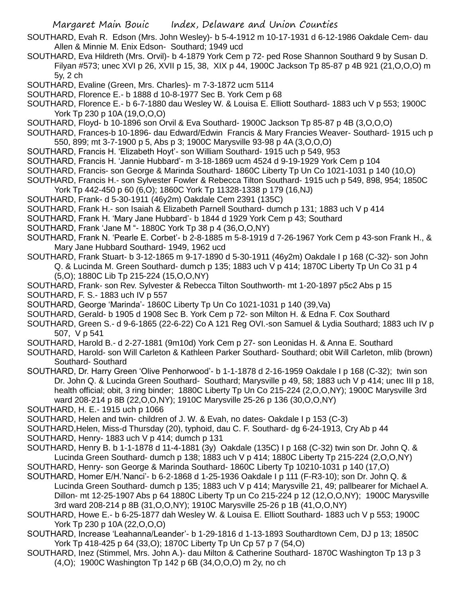- SOUTHARD, Evah R. Edson (Mrs. John Wesley)- b 5-4-1912 m 10-17-1931 d 6-12-1986 Oakdale Cem- dau Allen & Minnie M. Enix Edson- Southard; 1949 ucd
- SOUTHARD, Eva Hildreth (Mrs. Orvil)- b 4-1879 York Cem p 72- ped Rose Shannon Southard 9 by Susan D. Filyan #573; unec XVI p 26, XVII p 15, 38, XIX p 44, 1900C Jackson Tp 85-87 p 4B 921 (21,O,O,O) m 5y, 2 ch
- SOUTHARD, Evaline (Green, Mrs. Charles)- m 7-3-1872 ucm 5114
- SOUTHARD, Florence E.- b 1888 d 10-8-1977 Sec B. York Cem p 68
- SOUTHARD, Florence E.- b 6-7-1880 dau Wesley W. & Louisa E. Elliott Southard- 1883 uch V p 553; 1900C York Tp 230 p 10A (19,O,O,O)
- SOUTHARD, Floyd- b 10-1896 son Orvil & Eva Southard- 1900C Jackson Tp 85-87 p 4B (3,O,O,O)
- SOUTHARD, Frances-b 10-1896- dau Edward/Edwin Francis & Mary Francies Weaver- Southard- 1915 uch p 550, 899; mt 3-7-1900 p 5, Abs p 3; 1900C Marysville 93-98 p 4A (3,O,O,O)
- SOUTHARD, Francis H. 'Elizabeth Hoyt'- son William Southard- 1915 uch p 549, 953
- SOUTHARD, Francis H. 'Jannie Hubbard'- m 3-18-1869 ucm 4524 d 9-19-1929 York Cem p 104
- SOUTHARD, Francis- son George & Marinda Southard- 1860C Liberty Tp Un Co 1021-1031 p 140 (10,O)
- SOUTHARD, Francis H.- son Sylvester Fowler & Rebecca Tilton Southard- 1915 uch p 549, 898, 954; 1850C York Tp 442-450 p 60 (6,O); 1860C York Tp 11328-1338 p 179 (16,NJ)
- SOUTHARD, Frank- d 5-30-1911 (46y2m) Oakdale Cem 2391 (135C)
- SOUTHARD, Frank H.- son Isaiah & Elizabeth Parnell Southard- dumch p 131; 1883 uch V p 414
- SOUTHARD, Frank H. 'Mary Jane Hubbard'- b 1844 d 1929 York Cem p 43; Southard
- SOUTHARD, Frank 'Jane M "- 1880C York Tp 38 p 4 (36,O,O,NY)
- SOUTHARD, Frank N. 'Pearle E. Corbet'- b 2-8-1885 m 5-8-1919 d 7-26-1967 York Cem p 43-son Frank H., & Mary Jane Hubbard Southard- 1949, 1962 ucd
- SOUTHARD, Frank Stuart- b 3-12-1865 m 9-17-1890 d 5-30-1911 (46y2m) Oakdale I p 168 (C-32)- son John Q. & Lucinda M. Green Southard- dumch p 135; 1883 uch V p 414; 1870C Liberty Tp Un Co 31 p 4 (5,O); 1880C Lib Tp 215-224 (15,O,O,NY)
- SOUTHARD, Frank- son Rev. Sylvester & Rebecca Tilton Southworth- mt 1-20-1897 p5c2 Abs p 15
- SOUTHARD, F. S.- 1883 uch IV p 557
- SOUTHARD, George 'Marinda'- 1860C Liberty Tp Un Co 1021-1031 p 140 (39,Va)
- SOUTHARD, Gerald- b 1905 d 1908 Sec B. York Cem p 72- son Milton H. & Edna F. Cox Southard
- SOUTHARD, Green S.- d 9-6-1865 (22-6-22) Co A 121 Reg OVI.-son Samuel & Lydia Southard; 1883 uch IV p 507, V p 541
- SOUTHARD, Harold B.- d 2-27-1881 (9m10d) York Cem p 27- son Leonidas H. & Anna E. Southard
- SOUTHARD, Harold- son Will Carleton & Kathleen Parker Southard- Southard; obit Will Carleton, mlib (brown) Southard- Southard
- SOUTHARD, Dr. Harry Green 'Olive Penhorwood'- b 1-1-1878 d 2-16-1959 Oakdale I p 168 (C-32); twin son Dr. John Q. & Lucinda Green Southard- Southard; Marysville p 49, 58; 1883 uch V p 414; unec III p 18, health official; obit, 3 ring binder; 1880C Liberty Tp Un Co 215-224 (2,O,O,NY); 1900C Marysville 3rd ward 208-214 p 8B (22,O,O,NY); 1910C Marysville 25-26 p 136 (30,O,O,NY)
- SOUTHARD, H. E.- 1915 uch p 1066
- SOUTHARD, Helen and twin- children of J. W. & Evah, no dates- Oakdale I p 153 (C-3)
- SOUTHARD,Helen, Miss-d Thursday (20), typhoid, dau C. F. Southard- dg 6-24-1913, Cry Ab p 44
- SOUTHARD, Henry- 1883 uch V p 414; dumch p 131
- SOUTHARD, Henry B. b 1-1-1878 d 11-4-1881 (3y) Oakdale (135C) I p 168 (C-32) twin son Dr. John Q. & Lucinda Green Southard- dumch p 138; 1883 uch V p 414; 1880C Liberty Tp 215-224 (2,O,O,NY)
- SOUTHARD, Henry- son George & Marinda Southard- 1860C Liberty Tp 10210-1031 p 140 (17,O)
- SOUTHARD, Homer E/H.'Nanci'- b 6-2-1868 d 1-25-1936 Oakdale I p 111 (F-R3-10); son Dr. John Q. & Lucinda Green Southard- dumch p 135; 1883 uch V p 414; Marysville 21, 49; pallbearer for Michael A. Dillon- mt 12-25-1907 Abs p 64 1880C Liberty Tp un Co 215-224 p 12 (12,O,O,NY); 1900C Marysville 3rd ward 208-214 p 8B (31,O,O,NY); 1910C Marysville 25-26 p 1B (41,O,O,NY)
- SOUTHARD, Howe E.- b 6-25-1877 dah Wesley W. & Louisa E. Elliott Southard- 1883 uch V p 553; 1900C York Tp 230 p 10A (22,O,O,O)
- SOUTHARD, Increase 'Leahanna/Leander'- b 1-29-1816 d 1-13-1893 Southardtown Cem, DJ p 13; 1850C York Tp 418-425 p 64 (33,O); 1870C Liberty Tp Un Cp 57 p 7 (54,O)
- SOUTHARD, Inez (Stimmel, Mrs. John A.)- dau Milton & Catherine Southard- 1870C Washington Tp 13 p 3 (4,O); 1900C Washington Tp 142 p 6B (34,O,O,O) m 2y, no ch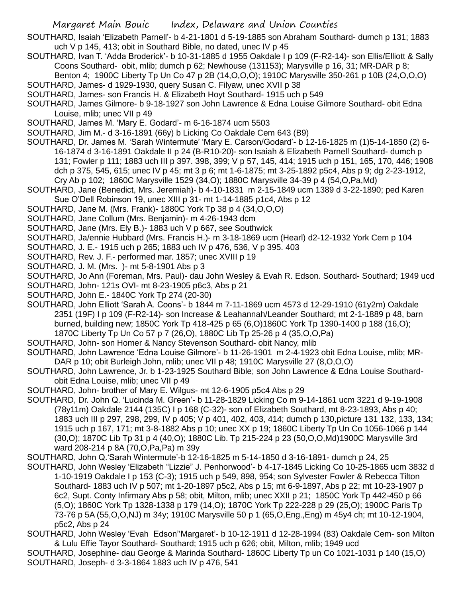- SOUTHARD, Isaiah 'Elizabeth Parnell'- b 4-21-1801 d 5-19-1885 son Abraham Southard- dumch p 131; 1883 uch V p 145, 413; obit in Southard Bible, no dated, unec IV p 45
- SOUTHARD, Ivan T. 'Adda Broderick'- b 10-31-1885 d 1955 Oakdale I p 109 (F-R2-14)- son Ellis/Elliott & Sally Coons Southard- obit, mlib; dumch p 62; Newhouse (131153); Marysville p 16, 31; MR-DAR p 8;
- Benton 4; 1900C Liberty Tp Un Co 47 p 2B (14,O,O,O); 1910C Marysville 350-261 p 10B (24,O,O,O) SOUTHARD, James- d 1929-1930, query Susan C. Filyaw, unec XVII p 38
- SOUTHARD, James- son Francis H. & Elizabeth Hoyt Southard- 1915 uch p 549
- SOUTHARD, James Gilmore- b 9-18-1927 son John Lawrence & Edna Louise Gilmore Southard- obit Edna Louise, mlib; unec VII p 49
- SOUTHARD, James M. 'Mary E. Godard'- m 6-16-1874 ucm 5503
- SOUTHARD, Jim M.- d 3-16-1891 (66y) b Licking Co Oakdale Cem 643 (B9)
- SOUTHARD, Dr. James M. 'Sarah Wintermute' 'Mary E. Carson/Godard'- b 12-16-1825 m (1)5-14-1850 (2) 6- 16-1874 d 3-16-1891 Oakdale II p 24 (B-R10-20)- son Isaiah & Elizabeth Parnell Southard- dumch p 131; Fowler p 111; 1883 uch III p 397. 398, 399; V p 57, 145, 414; 1915 uch p 151, 165, 170, 446; 1908 dch p 375, 545, 615; unec IV p 45; mt 3 p 6; mt 1-6-1875; mt 3-25-1892 p5c4, Abs p 9; dg 2-23-1912, Cry Ab p 102; 1860C Marysville 1529 (34,O); 1880C Marysville 34-39 p 4 (54,O,Pa,Md)
- SOUTHARD, Jane (Benedict, Mrs. Jeremiah)- b 4-10-1831 m 2-15-1849 ucm 1389 d 3-22-1890; ped Karen Sue O'Dell Robinson 19, unec XIII p 31- mt 1-14-1885 p1c4, Abs p 12
- SOUTHARD, Jane M. (Mrs. Frank)- 1880C York Tp 38 p 4 (34,O,O,O)
- SOUTHARD, Jane Collum (Mrs. Benjamin)- m 4-26-1943 dcm
- SOUTHARD, Jane (Mrs. Ely B.)- 1883 uch V p 667, see Southwick
- SOUTHARD, Ja/ennie Hubbard (Mrs. Francis H.)- m 3-18-1869 ucm (Hearl) d2-12-1932 York Cem p 104
- SOUTHARD, J. E.- 1915 uch p 265; 1883 uch IV p 476, 536, V p 395. 403
- SOUTHARD, Rev. J. F.- performed mar. 1857; unec XVIII p 19
- SOUTHARD, J. M. (Mrs. )- mt 5-8-1901 Abs p 3

SOUTHARD, Jo Ann (Foreman, Mrs. Paul)- dau John Wesley & Evah R. Edson. Southard- Southard; 1949 ucd

- SOUTHARD, John- 121s OVI- mt 8-23-1905 p6c3, Abs p 21
- SOUTHARD, John E.- 1840C York Tp 274 (20-30)
- SOUTHARD, John Elliott 'Sarah A. Coons'- b 1844 m 7-11-1869 ucm 4573 d 12-29-1910 (61y2m) Oakdale 2351 (19F) I p 109 (F-R2-14)- son Increase & Leahannah/Leander Southard; mt 2-1-1889 p 48, barn burned, building new; 1850C York Tp 418-425 p 65 (6,O)1860C York Tp 1390-1400 p 188 (16,O); 1870C Liberty Tp Un Co 57 p 7 (26,O), 1880C Lib Tp 25-26 p 4 (35,O,O,Pa)
- SOUTHARD, John- son Homer & Nancy Stevenson Southard- obit Nancy, mlib
- SOUTHARD, John Lawrence 'Edna Louise Gilmore'- b 11-26-1901 m 2-4-1923 obit Edna Louise, mlib; MR-DAR p 10; obit Burleigh John, mlib; unec VII p 48; 1910C Marysville 27 (8,O,O,O)
- SOUTHARD, John Lawrence, Jr. b 1-23-1925 Southard Bible; son John Lawrence & Edna Louise Southardobit Edna Louise, mlib; unec VII p 49
- SOUTHARD, John- brother of Mary E. Wilgus- mt 12-6-1905 p5c4 Abs p 29
- SOUTHARD, Dr. John Q. 'Lucinda M. Green'- b 11-28-1829 Licking Co m 9-14-1861 ucm 3221 d 9-19-1908 (78y11m) Oakdale 2144 (135C) I p 168 (C-32)- son of Elizabeth Southard, mt 8-23-1893, Abs p 40; 1883 uch III p 297, 298, 299, IV p 405; V p 401, 402, 403, 414; dumch p 130,picture 131 132, 133, 134; 1915 uch p 167, 171; mt 3-8-1882 Abs p 10; unec XX p 19; 1860C Liberty Tp Un Co 1056-1066 p 144 (30,O); 1870C Lib Tp 31 p 4 (40,O); 1880C Lib. Tp 215-224 p 23 (50,O,O,Md)1900C Marysville 3rd ward 208-214 p 8A (70,O,Pa,Pa) m 39y
- SOUTHARD, John Q.'Sarah Wintermute'-b 12-16-1825 m 5-14-1850 d 3-16-1891- dumch p 24, 25
- SOUTHARD, John Wesley 'Elizabeth "Lizzie" J. Penhorwood'- b 4-17-1845 Licking Co 10-25-1865 ucm 3832 d 1-10-1919 Oakdale I p 153 (C-3); 1915 uch p 549, 898, 954; son Sylvester Fowler & Rebecca Tilton Southard- 1883 uch IV p 507; mt 1-20-1897 p5c2, Abs p 15; mt 6-9-1897, Abs p 22; mt 10-23-1907 p 6c2, Supt. Conty Infirmary Abs p 58; obit, Milton, mlib; unec XXII p 21; 1850C York Tp 442-450 p 66 (5,O); 1860C York Tp 1328-1338 p 179 (14,O); 1870C York Tp 222-228 p 29 (25,O); 1900C Paris Tp 73-76 p 5A (55,O,O,NJ) m 34y; 1910C Marysville 50 p 1 (65,O,Eng.,Eng) m 45y4 ch; mt 10-12-1904, p5c2, Abs p 24
- SOUTHARD, John Wesley 'Evah Edson''Margaret'- b 10-12-1911 d 12-28-1994 (83) Oakdale Cem- son Milton & Lulu Effie Tayor Southard- Southard; 1915 uch p 626; obit, Milton, mlib; 1949 ucd
- SOUTHARD, Josephine- dau George & Marinda Southard- 1860C Liberty Tp un Co 1021-1031 p 140 (15,O) SOUTHARD, Joseph- d 3-3-1864 1883 uch IV p 476, 541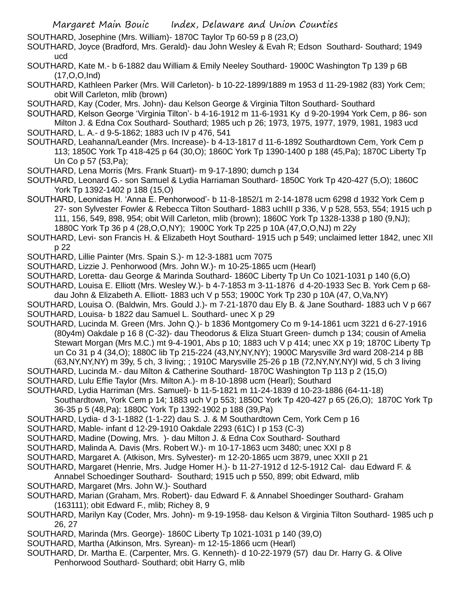SOUTHARD, Josephine (Mrs. William)- 1870C Taylor Tp 60-59 p 8 (23,O)

SOUTHARD, Joyce (Bradford, Mrs. Gerald)- dau John Wesley & Evah R; Edson Southard- Southard; 1949 ucd

SOUTHARD, Kate M.- b 6-1882 dau William & Emily Neeley Southard- 1900C Washington Tp 139 p 6B (17,O,O,Ind)

SOUTHARD, Kathleen Parker (Mrs. Will Carleton)- b 10-22-1899/1889 m 1953 d 11-29-1982 (83) York Cem; obit Will Carleton, mlib (brown)

SOUTHARD, Kay (Coder, Mrs. John)- dau Kelson George & Virginia Tilton Southard- Southard

SOUTHARD, Kelson George 'Virginia Tilton'- b 4-16-1912 m 11-6-1931 Ky d 9-20-1994 York Cem, p 86- son Milton J. & Edna Cox Southard- Southard; 1985 uch p 26; 1973, 1975, 1977, 1979, 1981, 1983 ucd

SOUTHARD, L. A.- d 9-5-1862; 1883 uch IV p 476, 541

SOUTHARD, Leahanna/Leander (Mrs. Increase)- b 4-13-1817 d 11-6-1892 Southardtown Cem, York Cem p 113; 1850C York Tp 418-425 p 64 (30,O); 1860C York Tp 1390-1400 p 188 (45,Pa); 1870C Liberty Tp Un Co p 57 (53,Pa);

SOUTHARD, Lena Morris (Mrs. Frank Stuart)- m 9-17-1890; dumch p 134

SOUTHARD, Leonard G.- son Samuel & Lydia Harriaman Southard- 1850C York Tp 420-427 (5,O); 1860C York Tp 1392-1402 p 188 (15,O)

- SOUTHARD, Leonidas H. 'Anna E. Penhorwood'- b 11-8-1852/1 m 2-14-1878 ucm 6298 d 1932 York Cem p 27- son Sylvester Fowler & Rebecca Tilton Southard- 1883 uchIII p 336, V p 528, 553, 554; 1915 uch p 111, 156, 549, 898, 954; obit Will Carleton, mlib (brown); 1860C York Tp 1328-1338 p 180 (9,NJ); 1880C York Tp 36 p 4 (28,O,O,NY); 1900C York Tp 225 p 10A (47,O,O,NJ) m 22y
- SOUTHARD, Levi- son Francis H. & Elizabeth Hoyt Southard- 1915 uch p 549; unclaimed letter 1842, unec XII p 22

SOUTHARD, Lillie Painter (Mrs. Spain S.)- m 12-3-1881 ucm 7075

SOUTHARD, Lizzie J. Penhorwood (Mrs. John W.)- m 10-25-1865 ucm (Hearl)

SOUTHARD, Loretta- dau George & Marinda Southard- 1860C Liberty Tp Un Co 1021-1031 p 140 (6,O)

- SOUTHARD, Louisa E. Elliott (Mrs. Wesley W.)- b 4-7-1853 m 3-11-1876 d 4-20-1933 Sec B. York Cem p 68 dau John & Elizabeth A. Elliott- 1883 uch V p 553; 1900C York Tp 230 p 10A (47, O,Va,NY)
- SOUTHARD, Louisa O. (Baldwin, Mrs. Gould J.)- m 7-21-1870 dau Ely B. & Jane Southard- 1883 uch V p 667 SOUTHARD, Louisa- b 1822 dau Samuel L. Southard- unec X p 29
- SOUTHARD, Lucinda M. Green (Mrs. John Q.)- b 1836 Montgomery Co m 9-14-1861 ucm 3221 d 6-27-1916 (80y4m) Oakdale p 16 8 (C-32)- dau Theodorus & Eliza Stuart Green- dumch p 134; cousin of Amelia Stewart Morgan (Mrs M.C.) mt 9-4-1901, Abs p 10; 1883 uch V p 414; unec XX p 19; 1870C Liberty Tp un Co 31 p 4 (34,O); 1880C lib Tp 215-224 (43,NY,NY,NY); 1900C Marysville 3rd ward 208-214 p 8B (63,NY,NY,NY) m 39y, 5 ch, 3 living; ; 1910C Marysville 25-26 p 1B (72,NY,NY,NY)l wid, 5 ch 3 living
- SOUTHARD, Lucinda M.- dau Milton & Catherine Southard- 1870C Washington Tp 113 p 2 (15,O)
- SOUTHARD, Lulu Effie Taylor (Mrs. Milton A.)- m 8-10-1898 ucm (Hearl); Southard
- SOUTHARD, Lydia Harriman (Mrs. Samuel)- b 11-5-1821 m 11-24-1839 d 10-23-1886 (64-11-18)
	- Southardtown, York Cem p 14; 1883 uch V p 553; 1850C York Tp 420-427 p 65 (26,O); 1870C York Tp 36-35 p 5 (48,Pa): 1880C York Tp 1392-1902 p 188 (39,Pa)
- SOUTHARD, Lydia- d 3-1-1882 (1-1-22) dau S. J. & M Southardtown Cem, York Cem p 16

SOUTHARD, Mable- infant d 12-29-1910 Oakdale 2293 (61C) I p 153 (C-3)

- SOUTHARD, Madine (Dowing, Mrs. )- dau Milton J. & Edna Cox Southard- Southard
- SOUTHARD, Malinda A. Davis (Mrs. Robert W.)- m 10-17-1863 ucm 3480; unec XXI p 8

SOUTHARD, Margaret A. (Atkison, Mrs. Sylvester)- m 12-20-1865 ucm 3879, unec XXII p 21

SOUTHARD, Margaret (Henrie, Mrs. Judge Homer H.)- b 11-27-1912 d 12-5-1912 Cal- dau Edward F. &

Annabel Schoedinger Southard- Southard; 1915 uch p 550, 899; obit Edward, mlib SOUTHARD, Margaret (Mrs. John W.)- Southard

- SOUTHARD, Marian (Graham, Mrs. Robert)- dau Edward F. & Annabel Shoedinger Southard- Graham (163111); obit Edward F., mlib; Richey 8, 9
- SOUTHARD, Marilyn Kay (Coder, Mrs. John)- m 9-19-1958- dau Kelson & Virginia Tilton Southard- 1985 uch p 26, 27

SOUTHARD, Marinda (Mrs. George)- 1860C Liberty Tp 1021-1031 p 140 (39,O)

SOUTHARD, Martha (Atkinson, Mrs. Syrean)- m 12-15-1866 ucm (Hearl)

SOUTHARD, Dr. Martha E. (Carpenter, Mrs. G. Kenneth)- d 10-22-1979 (57) dau Dr. Harry G. & Olive Penhorwood Southard- Southard; obit Harry G, mlib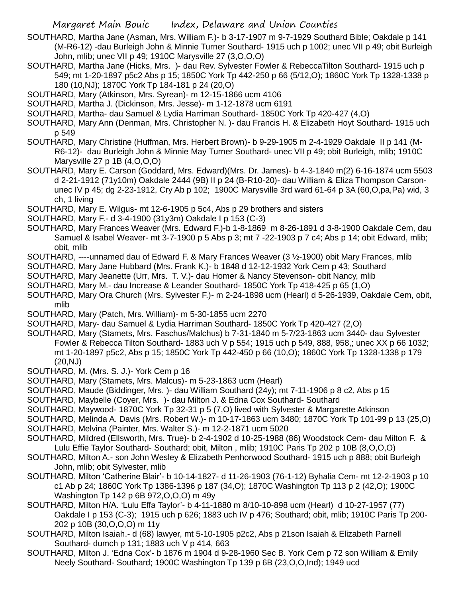- SOUTHARD, Martha Jane (Asman, Mrs. William F.)- b 3-17-1907 m 9-7-1929 Southard Bible; Oakdale p 141 (M-R6-12) -dau Burleigh John & Minnie Turner Southard- 1915 uch p 1002; unec VII p 49; obit Burleigh John, mlib; unec VII p 49; 1910C Marysville 27 (3,O,O,O)
- SOUTHARD, Martha Jane (Hicks, Mrs. )- dau Rev. Sylvester Fowler & RebeccaTilton Southard- 1915 uch p 549; mt 1-20-1897 p5c2 Abs p 15; 1850C York Tp 442-250 p 66 (5/12,O); 1860C York Tp 1328-1338 p 180 (10,NJ); 1870C York Tp 184-181 p 24 (20,O)
- SOUTHARD, Mary (Atkinson, Mrs. Syrean)- m 12-15-1866 ucm 4106
- SOUTHARD, Martha J. (Dickinson, Mrs. Jesse)- m 1-12-1878 ucm 6191
- SOUTHARD, Martha- dau Samuel & Lydia Harriman Southard- 1850C York Tp 420-427 (4,O)
- SOUTHARD, Mary Ann (Denman, Mrs. Christopher N. )- dau Francis H. & Elizabeth Hoyt Southard- 1915 uch p 549
- SOUTHARD, Mary Christine (Huffman, Mrs. Herbert Brown)- b 9-29-1905 m 2-4-1929 Oakdale II p 141 (M-R6-12)- dau Burleigh John & Minnie May Turner Southard- unec VII p 49; obit Burleigh, mlib; 1910C Marysville 27 p 1B (4,O,O,O)
- SOUTHARD, Mary E. Carson (Goddard, Mrs. Edward)(Mrs. Dr. James)- b 4-3-1840 m(2) 6-16-1874 ucm 5503 d 2-21-1912 (71y10m) Oakdale 2444 (9B) II p 24 (B-R10-20)- dau William & Eliza Thompson Carsonunec IV p 45; dg 2-23-1912, Cry Ab p 102; 1900C Marysville 3rd ward 61-64 p 3A (60,O,pa,Pa) wid, 3 ch, 1 living
- SOUTHARD, Mary E. Wilgus- mt 12-6-1905 p 5c4, Abs p 29 brothers and sisters
- SOUTHARD, Mary F.- d 3-4-1900 (31y3m) Oakdale I p 153 (C-3)
- SOUTHARD, Mary Frances Weaver (Mrs. Edward F.)-b 1-8-1869 m 8-26-1891 d 3-8-1900 Oakdale Cem, dau Samuel & Isabel Weaver- mt 3-7-1900 p 5 Abs p 3; mt 7 -22-1903 p 7 c4; Abs p 14; obit Edward, mlib; obit, mlib
- SOUTHARD, ----unnamed dau of Edward F. & Mary Frances Weaver (3 ½-1900) obit Mary Frances, mlib
- SOUTHARD, Mary Jane Hubbard (Mrs. Frank K.)- b 1848 d 12-12-1932 York Cem p 43; Southard
- SOUTHARD, Mary Jeanette (Urr, Mrs. T. V.)- dau Homer & Nancy Stevenson- obit Nancy, mlib
- SOUTHARD, Mary M.- dau Increase & Leander Southard- 1850C York Tp 418-425 p 65 (1,O)
- SOUTHARD, Mary Ora Church (Mrs. Sylvester F.)- m 2-24-1898 ucm (Hearl) d 5-26-1939, Oakdale Cem, obit, mlib
- SOUTHARD, Mary (Patch, Mrs. William)- m 5-30-1855 ucm 2270
- SOUTHARD, Mary- dau Samuel & Lydia Harriman Southard- 1850C York Tp 420-427 (2,O)
- SOUTHARD, Mary (Stamets, Mrs. Faschus/Malchus) b 7-31-1840 m 5-7/23-1863 ucm 3440- dau Sylvester Fowler & Rebecca Tilton Southard- 1883 uch V p 554; 1915 uch p 549, 888, 958,; unec XX p 66 1032; mt 1-20-1897 p5c2, Abs p 15; 1850C York Tp 442-450 p 66 (10,O); 1860C York Tp 1328-1338 p 179 (20,NJ)
- SOUTHARD, M. (Mrs. S. J.)- York Cem p 16
- SOUTHARD, Mary (Stamets, Mrs. Malcus)- m 5-23-1863 ucm (Hearl)
- SOUTHARD, Maude (Biddinger, Mrs. )- dau William Southard (24y); mt 7-11-1906 p 8 c2, Abs p 15
- SOUTHARD, Maybelle (Coyer, Mrs. )- dau Milton J. & Edna Cox Southard- Southard
- SOUTHARD, Maywood- 1870C York Tp 32-31 p 5 (7,O) lived with Sylvester & Margarette Atkinson
- SOUTHARD, Melinda A. Davis (Mrs. Robert W.)- m 10-17-1863 ucm 3480; 1870C York Tp 101-99 p 13 (25,O) SOUTHARD, Melvina (Painter, Mrs. Walter S.)- m 12-2-1871 ucm 5020
- 
- SOUTHARD, Mildred (Ellsworth, Mrs. True)- b 2-4-1902 d 10-25-1988 (86) Woodstock Cem- dau Milton F. & Lulu Effie Taylor Southard- Southard; obit, Milton , mlib; 1910C Paris Tp 202 p 10B (8,O,O,O)
- SOUTHARD, Milton A.- son John Wesley & Elizabeth Penhorwood Southard- 1915 uch p 888; obit Burleigh John, mlib; obit Sylvester, mlib
- SOUTHARD, Milton 'Catherine Blair'- b 10-14-1827- d 11-26-1903 (76-1-12) Byhalia Cem- mt 12-2-1903 p 10 c1 Ab p 24; 1860C York Tp 1386-1396 p 187 (34,O); 1870C Washington Tp 113 p 2 (42,O); 1900C Washington Tp 142 p 6B 972,O,O,O) m 49y
- SOUTHARD, Milton H/A. 'Lulu Effa Taylor'- b 4-11-1880 m 8/10-10-898 ucm (Hearl) d 10-27-1957 (77) Oakdale I p 153 (C-3); 1915 uch p 626; 1883 uch IV p 476; Southard; obit, mlib; 1910C Paris Tp 200- 202 p 10B (30,O,O,O) m 11y
- SOUTHARD, Milton Isaiah.- d (68) lawyer, mt 5-10-1905 p2c2, Abs p 21son Isaiah & Elizabeth Parnell Southard- dumch p 131; 1883 uch V p 414, 663
- SOUTHARD, Milton J. 'Edna Cox'- b 1876 m 1904 d 9-28-1960 Sec B. York Cem p 72 son William & Emily Neely Southard- Southard; 1900C Washington Tp 139 p 6B (23,O,O,Ind); 1949 ucd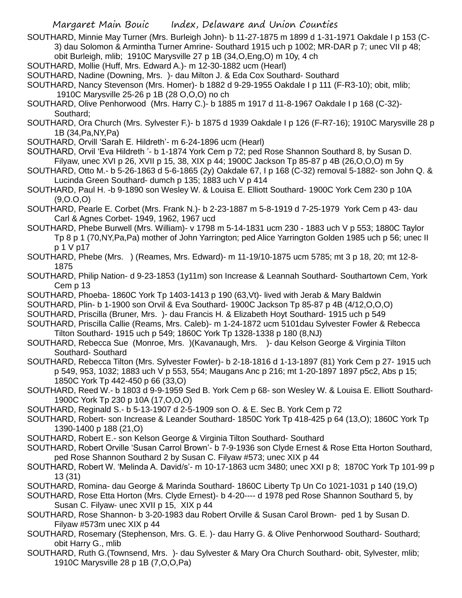- SOUTHARD, Minnie May Turner (Mrs. Burleigh John)- b 11-27-1875 m 1899 d 1-31-1971 Oakdale I p 153 (C-3) dau Solomon & Armintha Turner Amrine- Southard 1915 uch p 1002; MR-DAR p 7; unec VII p 48; obit Burleigh, mlib; 1910C Marysville 27 p 1B (34,O,Eng,O) m 10y, 4 ch
- SOUTHARD, Mollie (Huff, Mrs. Edward A.)- m 12-30-1882 ucm (Hearl)
- SOUTHARD, Nadine (Downing, Mrs. )- dau Milton J. & Eda Cox Southard- Southard
- SOUTHARD, Nancy Stevenson (Mrs. Homer)- b 1882 d 9-29-1955 Oakdale I p 111 (F-R3-10); obit, mlib; 1910C Marysville 25-26 p 1B (28 O,O,O) no ch
- SOUTHARD, Olive Penhorwood (Mrs. Harry C.)- b 1885 m 1917 d 11-8-1967 Oakdale I p 168 (C-32)- Southard;
- SOUTHARD, Ora Church (Mrs. Sylvester F.)- b 1875 d 1939 Oakdale I p 126 (F-R7-16); 1910C Marysville 28 p 1B (34,Pa,NY,Pa)
- SOUTHARD, Orvill 'Sarah E. Hildreth'- m 6-24-1896 ucm (Hearl)
- SOUTHARD, Orvil 'Eva Hildreth '- b 1-1874 York Cem p 72; ped Rose Shannon Southard 8, by Susan D. Filyaw, unec XVI p 26, XVII p 15, 38, XIX p 44; 1900C Jackson Tp 85-87 p 4B (26,O,O,O) m 5y
- SOUTHARD, Otto M.- b 5-26-1863 d 5-6-1865 (2y) Oakdale 67, I p 168 (C-32) removal 5-1882- son John Q. & Lucinda Green Southard- dumch p 135; 1883 uch V p 414
- SOUTHARD, Paul H. -b 9-1890 son Wesley W. & Louisa E. Elliott Southard- 1900C York Cem 230 p 10A (9,O.O,O)
- SOUTHARD, Pearle E. Corbet (Mrs. Frank N.)- b 2-23-1887 m 5-8-1919 d 7-25-1979 York Cem p 43- dau Carl & Agnes Corbet- 1949, 1962, 1967 ucd
- SOUTHARD, Phebe Burwell (Mrs. William)- v 1798 m 5-14-1831 ucm 230 1883 uch V p 553; 1880C Taylor Tp 8 p 1 (70,NY,Pa,Pa) mother of John Yarrington; ped Alice Yarrington Golden 1985 uch p 56; unec II p 1 V p17
- SOUTHARD, Phebe (Mrs. ) (Reames, Mrs. Edward)- m 11-19/10-1875 ucm 5785; mt 3 p 18, 20; mt 12-8- 1875
- SOUTHARD, Philip Nation- d 9-23-1853 (1y11m) son Increase & Leannah Southard- Southartown Cem, York Cem p 13
- SOUTHARD, Phoeba- 1860C York Tp 1403-1413 p 190 (63,Vt)- lived with Jerab & Mary Baldwin
- SOUTHARD, Plin- b 1-1900 son Orvil & Eva Southard- 1900C Jackson Tp 85-87 p 4B (4/12,O,O,O)
- SOUTHARD, Priscilla (Bruner, Mrs. )- dau Francis H. & Elizabeth Hoyt Southard- 1915 uch p 549
- SOUTHARD, Priscilla Callie (Reams, Mrs. Caleb)- m 1-24-1872 ucm 5101dau Sylvester Fowler & Rebecca Tilton Southard- 1915 uch p 549; 1860C York Tp 1328-1338 p 180 (8,NJ)
- SOUTHARD, Rebecca Sue (Monroe, Mrs. )(Kavanaugh, Mrs. )- dau Kelson George & Virginia Tilton Southard- Southard
- SOUTHARD, Rebecca Tilton (Mrs. Sylvester Fowler)- b 2-18-1816 d 1-13-1897 (81) York Cem p 27- 1915 uch p 549, 953, 1032; 1883 uch V p 553, 554; Maugans Anc p 216; mt 1-20-1897 1897 p5c2, Abs p 15; 1850C York Tp 442-450 p 66 (33,O)
- SOUTHARD, Reed W.- b 1803 d 9-9-1959 Sed B. York Cem p 68- son Wesley W. & Louisa E. Elliott Southard-1900C York Tp 230 p 10A (17,O,O,O)
- SOUTHARD, Reginald S.- b 5-13-1907 d 2-5-1909 son O. & E. Sec B. York Cem p 72
- SOUTHARD, Robert- son Increase & Leander Southard- 1850C York Tp 418-425 p 64 (13,O); 1860C York Tp 1390-1400 p 188 (21,O)
- SOUTHARD, Robert E.- son Kelson George & Virginia Tilton Southard- Southard
- SOUTHARD, Robert Orville 'Susan Carrol Brown'- b 7-9-1936 son Clyde Ernest & Rose Etta Horton Southard, ped Rose Shannon Southard 2 by Susan C. Filyaw #573; unec XIX p 44
- SOUTHARD, Robert W. 'Melinda A. David/s'- m 10-17-1863 ucm 3480; unec XXI p 8; 1870C York Tp 101-99 p 13 (31)
- SOUTHARD, Romina- dau George & Marinda Southard- 1860C Liberty Tp Un Co 1021-1031 p 140 (19,O)
- SOUTHARD, Rose Etta Horton (Mrs. Clyde Ernest)- b 4-20---- d 1978 ped Rose Shannon Southard 5, by Susan C. Filyaw- unec XVII p 15, XIX p 44
- SOUTHARD, Rose Shannon- b 3-20-1983 dau Robert Orville & Susan Carol Brown- ped 1 by Susan D. Filyaw #573m unec XIX p 44
- SOUTHARD, Rosemary (Stephenson, Mrs. G. E. )- dau Harry G. & Olive Penhorwood Southard- Southard; obit Harry G., mlib
- SOUTHARD, Ruth G.(Townsend, Mrs. )- dau Sylvester & Mary Ora Church Southard- obit, Sylvester, mlib; 1910C Marysville 28 p 1B (7,O,O,Pa)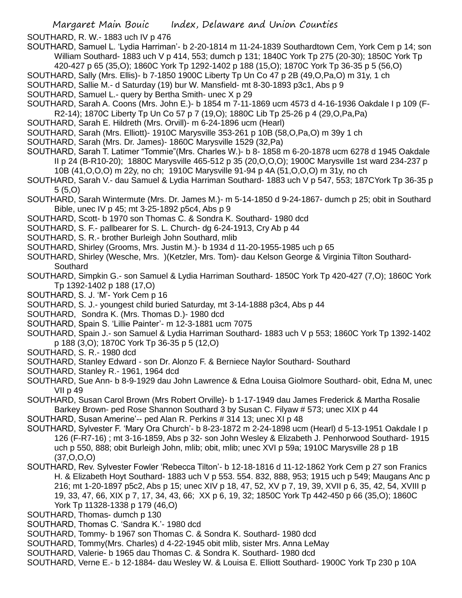SOUTHARD, R. W.- 1883 uch IV p 476

SOUTHARD, Samuel L. 'Lydia Harriman'- b 2-20-1814 m 11-24-1839 Southardtown Cem, York Cem p 14; son William Southard- 1883 uch V p 414, 553; dumch p 131; 1840C York Tp 275 (20-30); 1850C York Tp

420-427 p 65 (35,O); 1860C York Tp 1292-1402 p 188 (15,O); 1870C York Tp 36-35 p 5 (56,O) SOUTHARD, Sally (Mrs. Ellis)- b 7-1850 1900C Liberty Tp Un Co 47 p 2B (49,O,Pa,O) m 31y, 1 ch

SOUTHARD, Sallie M.- d Saturday (19) bur W. Mansfield- mt 8-30-1893 p3c1, Abs p 9

- SOUTHARD, Samuel L.- query by Bertha Smith- unec X p 29
- SOUTHARD, Sarah A. Coons (Mrs. John E.)- b 1854 m 7-11-1869 ucm 4573 d 4-16-1936 Oakdale I p 109 (F-R2-14); 1870C Liberty Tp Un Co 57 p 7 (19,O); 1880C Lib Tp 25-26 p 4 (29,O,Pa,Pa)
- SOUTHARD, Sarah E. Hildreth (Mrs. Orvill)- m 6-24-1896 ucm (Hearl)
- SOUTHARD, Sarah (Mrs. Elliott)- 1910C Marysville 353-261 p 10B (58,O,Pa,O) m 39y 1 ch
- SOUTHARD, Sarah (Mrs. Dr. James)- 1860C Marysville 1529 (32,Pa)
- SOUTHARD, Sarah T. Latimer "Tommie"(Mrs. Charles W.)- b 8- 1858 m 6-20-1878 ucm 6278 d 1945 Oakdale II p 24 (B-R10-20); 1880C Marysville 465-512 p 35 (20,O,O,O); 1900C Marysville 1st ward 234-237 p 10B (41,O,O,O) m 22y, no ch; 1910C Marysville 91-94 p 4A (51,O,O,O) m 31y, no ch
- SOUTHARD, Sarah V.- dau Samuel & Lydia Harriman Southard- 1883 uch V p 547, 553; 187CYork Tp 36-35 p 5 (5,O)
- SOUTHARD, Sarah Wintermute (Mrs. Dr. James M.)- m 5-14-1850 d 9-24-1867- dumch p 25; obit in Southard Bible, unec IV p 45; mt 3-25-1892 p5c4, Abs p 9
- SOUTHARD, Scott- b 1970 son Thomas C. & Sondra K. Southard- 1980 dcd
- SOUTHARD, S. F.- pallbearer for S. L. Church- dg 6-24-1913, Cry Ab p 44
- SOUTHARD, S. R.- brother Burleigh John Southard, mlib
- SOUTHARD, Shirley (Grooms, Mrs. Justin M.)- b 1934 d 11-20-1955-1985 uch p 65
- SOUTHARD, Shirley (Wesche, Mrs. )(Ketzler, Mrs. Tom)- dau Kelson George & Virginia Tilton Southard-**Southard**
- SOUTHARD, Simpkin G.- son Samuel & Lydia Harriman Southard- 1850C York Tp 420-427 (7,O); 1860C York Tp 1392-1402 p 188 (17,O)
- SOUTHARD, S. J. 'M'- York Cem p 16
- SOUTHARD, S. J.- youngest child buried Saturday, mt 3-14-1888 p3c4, Abs p 44
- SOUTHARD, Sondra K. (Mrs. Thomas D.)- 1980 dcd
- SOUTHARD, Spain S. 'Lillie Painter'- m 12-3-1881 ucm 7075
- SOUTHARD, Spain J.- son Samuel & Lydia Harriman Southard- 1883 uch V p 553; 1860C York Tp 1392-1402 p 188 (3,O); 1870C York Tp 36-35 p 5 (12,O)
- SOUTHARD, S. R.- 1980 dcd
- SOUTHARD, Stanley Edward son Dr. Alonzo F. & Berniece Naylor Southard- Southard
- SOUTHARD, Stanley R.- 1961, 1964 dcd
- SOUTHARD, Sue Ann- b 8-9-1929 dau John Lawrence & Edna Louisa Giolmore Southard- obit, Edna M, unec VII p 49
- SOUTHARD, Susan Carol Brown (Mrs Robert Orville)- b 1-17-1949 dau James Frederick & Martha Rosalie Barkey Brown- ped Rose Shannon Southard 3 by Susan C. Filyaw # 573; unec XIX p 44
- SOUTHARD, Susan Amerine'-- ped Alan R. Perkins # 314 13; unec XI p 48
- SOUTHARD, Sylvester F. 'Mary Ora Church'- b 8-23-1872 m 2-24-1898 ucm (Hearl) d 5-13-1951 Oakdale I p 126 (F-R7-16) ; mt 3-16-1859, Abs p 32- son John Wesley & Elizabeth J. Penhorwood Southard- 1915 uch p 550, 888; obit Burleigh John, mlib; obit, mlib; unec XVI p 59a; 1910C Marysville 28 p 1B (37,O,O,O)
- SOUTHARD, Rev. Sylvester Fowler 'Rebecca Tilton'- b 12-18-1816 d 11-12-1862 York Cem p 27 son Franics H. & Elizabeth Hoyt Southard- 1883 uch V p 553. 554. 832, 888, 953; 1915 uch p 549; Maugans Anc p 216; mt 1-20-1897 p5c2, Abs p 15; unec XIV p 18, 47, 52, XV p 7, 19, 39, XVII p 6, 35, 42, 54, XVIII p 19, 33, 47, 66, XIX p 7, 17, 34, 43, 66; XX p 6, 19, 32; 1850C York Tp 442-450 p 66 (35,O); 1860C York Tp 11328-1338 p 179 (46,O)
- SOUTHARD, Thomas- dumch p 130
- SOUTHARD, Thomas C. 'Sandra K.'- 1980 dcd
- SOUTHARD, Tommy- b 1967 son Thomas C. & Sondra K. Southard- 1980 dcd
- SOUTHARD, Tommy(Mrs. Charles) d 4-22-1945 obit mlib, sister Mrs. Anna LeMay
- SOUTHARD, Valerie- b 1965 dau Thomas C. & Sondra K. Southard- 1980 dcd
- SOUTHARD, Verne E.- b 12-1884- dau Wesley W. & Louisa E. Elliott Southard- 1900C York Tp 230 p 10A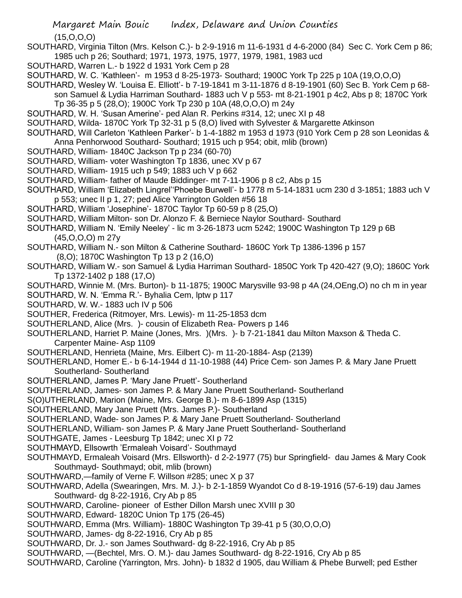(15,O,O,O)

- SOUTHARD, Virginia Tilton (Mrs. Kelson C.)- b 2-9-1916 m 11-6-1931 d 4-6-2000 (84) Sec C. York Cem p 86; 1985 uch p 26; Southard; 1971, 1973, 1975, 1977, 1979, 1981, 1983 ucd
- SOUTHARD, Warren L.- b 1922 d 1931 York Cem p 28
- SOUTHARD, W. C. 'Kathleen'- m 1953 d 8-25-1973- Southard; 1900C York Tp 225 p 10A (19,O,O,O)
- SOUTHARD, Wesley W. 'Louisa E. Elliott'- b 7-19-1841 m 3-11-1876 d 8-19-1901 (60) Sec B. York Cem p 68 son Samuel & Lydia Harriman Southard- 1883 uch V p 553- mt 8-21-1901 p 4c2, Abs p 8; 1870C York
	- Tp 36-35 p 5 (28,O); 1900C York Tp 230 p 10A (48,O,O,O) m 24y
- SOUTHARD, W. H. 'Susan Amerine'- ped Alan R. Perkins #314, 12; unec XI p 48
- SOUTHARD, Wilda- 1870C York Tp 32-31 p 5 (8,O) lived with Sylvester & Margarette Atkinson
- SOUTHARD, Will Carleton 'Kathleen Parker'- b 1-4-1882 m 1953 d 1973 (910 York Cem p 28 son Leonidas & Anna Penhorwood Southard- Southard; 1915 uch p 954; obit, mlib (brown)
- SOUTHARD, William- 1840C Jackson Tp p 234 (60-70)
- SOUTHARD, William- voter Washington Tp 1836, unec XV p 67
- SOUTHARD, William- 1915 uch p 549; 1883 uch V p 662
- SOUTHARD, William- father of Maude Biddinger- mt 7-11-1906 p 8 c2, Abs p 15
- SOUTHARD, William 'Elizabeth Lingrel''Phoebe Burwell'- b 1778 m 5-14-1831 ucm 230 d 3-1851; 1883 uch V p 553; unec II p 1, 27; ped Alice Yarrington Golden #56 18
- SOUTHARD, William 'Josephine'- 1870C Taylor Tp 60-59 p 8 (25,O)
- SOUTHARD, William Milton- son Dr. Alonzo F. & Berniece Naylor Southard- Southard
- SOUTHARD, William N. 'Emily Neeley' lic m 3-26-1873 ucm 5242; 1900C Washington Tp 129 p 6B (45,O,O,O) m 27y
- SOUTHARD, William N.- son Milton & Catherine Southard- 1860C York Tp 1386-1396 p 157 (8,O); 1870C Washington Tp 13 p 2 (16,O)
- SOUTHARD, William W.- son Samuel & Lydia Harriman Southard- 1850C York Tp 420-427 (9,O); 1860C York Tp 1372-1402 p 188 (17,O)
- SOUTHARD, Winnie M. (Mrs. Burton)- b 11-1875; 1900C Marysville 93-98 p 4A (24,OEng,O) no ch m in year
- SOUTHARD, W. N. 'Emma R.'- Byhalia Cem, lptw p 117
- SOUTHARD, W. W.- 1883 uch IV p 506
- SOUTHER, Frederica (Ritmoyer, Mrs. Lewis)- m 11-25-1853 dcm
- SOUTHERLAND, Alice (Mrs. )- cousin of Elizabeth Rea- Powers p 146
- SOUTHERLAND, Harriet P. Maine (Jones, Mrs. )(Mrs. )- b 7-21-1841 dau Milton Maxson & Theda C. Carpenter Maine- Asp 1109
- SOUTHERLAND, Henrieta (Maine, Mrs. Eilbert C)- m 11-20-1884- Asp (2139)
- SOUTHERLAND, Homer E.- b 6-14-1944 d 11-10-1988 (44) Price Cem- son James P. & Mary Jane Pruett Southerland- Southerland
- SOUTHERLAND, James P. 'Mary Jane Pruett'- Southerland
- SOUTHERLAND, James- son James P. & Mary Jane Pruett Southerland- Southerland
- S(O)UTHERLAND, Marion (Maine, Mrs. George B.)- m 8-6-1899 Asp (1315)
- SOUTHERLAND, Mary Jane Pruett (Mrs. James P.)- Southerland
- SOUTHERLAND, Wade- son James P. & Mary Jane Pruett Southerland- Southerland
- SOUTHERLAND, William- son James P. & Mary Jane Pruett Southerland- Southerland
- SOUTHGATE, James Leesburg Tp 1842; unec XI p 72
- SOUTHMAYD, Ellsowrth 'Ermaleah Voisard'- Southmayd
- SOUTHMAYD, Ermaleah Voisard (Mrs. Ellsworth)- d 2-2-1977 (75) bur Springfield- dau James & Mary Cook Southmayd- Southmayd; obit, mlib (brown)
- SOUTHWARD,—family of Verne F. Willson #285; unec X p 37
- SOUTHWARD, Adella (Swearingen, Mrs. M. J.)- b 2-1-1859 Wyandot Co d 8-19-1916 (57-6-19) dau James Southward- dg 8-22-1916, Cry Ab p 85
- SOUTHWARD, Caroline- pioneer of Esther Dillon Marsh unec XVIII p 30
- SOUTHWARD, Edward- 1820C Union Tp 175 (26-45)
- SOUTHWARD, Emma (Mrs. William)- 1880C Washington Tp 39-41 p 5 (30,O,O,O)
- SOUTHWARD, James- dg 8-22-1916, Cry Ab p 85
- SOUTHWARD, Dr. J.- son James Southward- dg 8-22-1916, Cry Ab p 85
- SOUTHWARD, —(Bechtel, Mrs. O. M.)- dau James Southward- dg 8-22-1916, Cry Ab p 85
- SOUTHWARD, Caroline (Yarrington, Mrs. John)- b 1832 d 1905, dau William & Phebe Burwell; ped Esther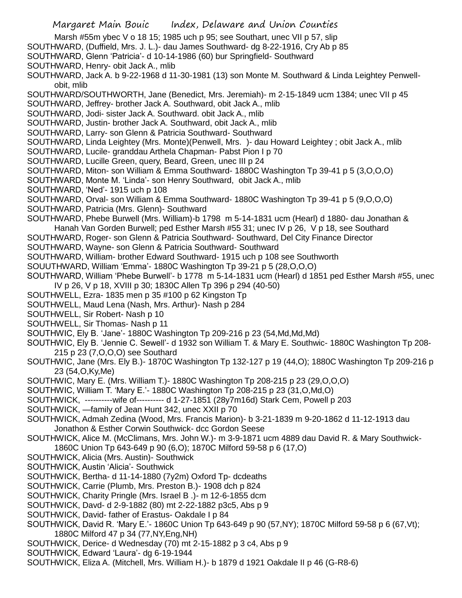- Marsh #55m ybec V o 18 15; 1985 uch p 95; see Southart, unec VII p 57, slip
- SOUTHWARD, (Duffield, Mrs. J. L.)- dau James Southward- dg 8-22-1916, Cry Ab p 85
- SOUTHWARD, Glenn 'Patricia'- d 10-14-1986 (60) bur Springfield- Southward
- SOUTHWARD, Henry- obit Jack A., mlib
- SOUTHWARD, Jack A. b 9-22-1968 d 11-30-1981 (13) son Monte M. Southward & Linda Leightey Penwellobit, mlib
- SOUTHWARD/SOUTHWORTH, Jane (Benedict, Mrs. Jeremiah)- m 2-15-1849 ucm 1384; unec VII p 45
- SOUTHWARD, Jeffrey- brother Jack A. Southward, obit Jack A., mlib
- SOUTHWARD, Jodi- sister Jack A. Southward. obit Jack A., mlib
- SOUTHWARD, Justin- brother Jack A. Southward, obit Jack A., mlib
- SOUTHWARD, Larry- son Glenn & Patricia Southward- Southward
- SOUTHWARD, Linda Leightey (Mrs. Monte)(Penwell, Mrs. )- dau Howard Leightey ; obit Jack A., mlib
- SOUTHWARD, Lucile- granddau Arthela Chapman- Pabst Pion I p 70
- SOUTHWARD, Lucille Green, query, Beard, Green, unec III p 24
- SOUTHWARD, Miton- son William & Emma Southward- 1880C Washington Tp 39-41 p 5 (3,O,O,O)
- SOUTHWARD, Monte M. 'Linda'- son Henry Southward, obit Jack A., mlib
- SOUTHWARD, 'Ned'- 1915 uch p 108
- SOUTHWARD, Orval- son William & Emma Southward- 1880C Washington Tp 39-41 p 5 (9,O,O,O)
- SOUTHWARD, Patricia (Mrs. Glenn)- Southward
- SOUTHWARD, Phebe Burwell (Mrs. William)-b 1798 m 5-14-1831 ucm (Hearl) d 1880- dau Jonathan & Hanah Van Gorden Burwell; ped Esther Marsh #55 31; unec IV p 26, V p 18, see Southard
- SOUTHWARD, Roger- son Glenn & Patricia Southward- Southward, Del City Finance Director
- SOUTHWARD, Wayne- son Glenn & Patricia Southward- Southward
- SOUTHWARD, William- brother Edward Southward- 1915 uch p 108 see Southworth
- SOUUTHWARD, William 'Emma'- 1880C Washington Tp 39-21 p 5 (28,O,O,O)
- SOUTHWARD, William 'Phebe Burwell'- b 1778 m 5-14-1831 ucm (Hearl) d 1851 ped Esther Marsh #55, unec IV p 26, V p 18, XVIII p 30; 1830C Allen Tp 396 p 294 (40-50)
- SOUTHWELL, Ezra- 1835 men p 35 #100 p 62 Kingston Tp
- SOUTHWELL, Maud Lena (Nash, Mrs. Arthur)- Nash p 284
- SOUTHWELL, Sir Robert- Nash p 10
- SOUTHWELL, Sir Thomas- Nash p 11
- SOUTHWIC, Ely B. 'Jane'- 1880C Washington Tp 209-216 p 23 (54,Md,Md,Md)
- SOUTHWIC, Ely B. 'Jennie C. Sewell'- d 1932 son William T. & Mary E. Southwic- 1880C Washington Tp 208- 215 p 23 (7,O,O,O) see Southard
- SOUTHWIC, Jane (Mrs. Ely B.)- 1870C Washington Tp 132-127 p 19 (44,O); 1880C Washington Tp 209-216 p 23 (54,O,Ky,Me)
- SOUTHWIC, Mary E. (Mrs. William T.)- 1880C Washington Tp 208-215 p 23 (29,O,O,O)
- SOUTHWIC, William T. 'Mary E.'- 1880C Washington Tp 208-215 p 23 (31,O,Md,O)
- SOUTHWICK, ----------wife of---------- d 1-27-1851 (28y7m16d) Stark Cem, Powell p 203
- SOUTHWICK, —family of Jean Hunt 342, unec XXII p 70
- SOUTHWICK, Admah Zedina (Wood, Mrs. Francis Marion)- b 3-21-1839 m 9-20-1862 d 11-12-1913 dau Jonathon & Esther Corwin Southwick- dcc Gordon Seese
- SOUTHWICK, Alice M. (McClimans, Mrs. John W.)- m 3-9-1871 ucm 4889 dau David R. & Mary Southwick-1860C Union Tp 643-649 p 90 (6,O); 1870C Milford 59-58 p 6 (17,O)
- SOUTHWICK, Alicia (Mrs. Austin)- Southwick
- SOUTHWICK, Austin 'Alicia'- Southwick
- SOUTHWICK, Bertha- d 11-14-1880 (7y2m) Oxford Tp- dcdeaths
- SOUTHWICK, Carrie (Plumb, Mrs. Preston B.)- 1908 dch p 824
- SOUTHWICK, Charity Pringle (Mrs. Israel B .)- m 12-6-1855 dcm
- SOUTHWICK, Davd- d 2-9-1882 (80) mt 2-22-1882 p3c5, Abs p 9
- SOUTHWICK, David- father of Erastus- Oakdale I p 84
- SOUTHWICK, David R. 'Mary E.'- 1860C Union Tp 643-649 p 90 (57,NY); 1870C Milford 59-58 p 6 (67,Vt); 1880C Milford 47 p 34 (77,NY,Eng,NH)
- SOUTHWICK, Derice- d Wednesday (70) mt 2-15-1882 p 3 c4, Abs p 9
- SOUTHWICK, Edward 'Laura'- dg 6-19-1944
- SOUTHWICK, Eliza A. (Mitchell, Mrs. William H.)- b 1879 d 1921 Oakdale II p 46 (G-R8-6)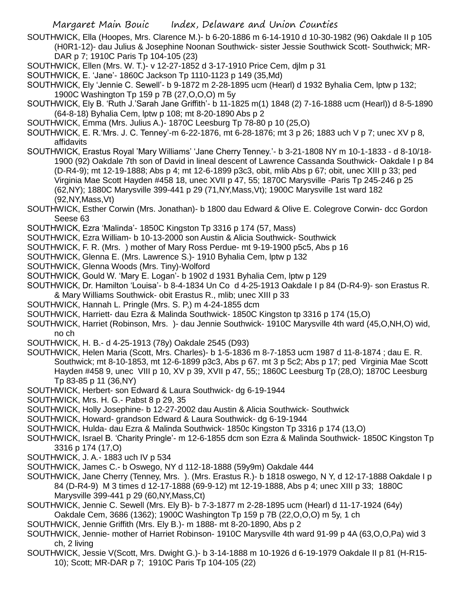- SOUTHWICK, Ella (Hoopes, Mrs. Clarence M.)- b 6-20-1886 m 6-14-1910 d 10-30-1982 (96) Oakdale II p 105 (H0R1-12)- dau Julius & Josephine Noonan Southwick- sister Jessie Southwick Scott- Southwick; MR-DAR p 7; 1910C Paris Tp 104-105 (23)
- SOUTHWICK, Ellen (Mrs. W. T.)- v 12-27-1852 d 3-17-1910 Price Cem, djlm p 31
- SOUTHWICK, E. 'Jane'- 1860C Jackson Tp 1110-1123 p 149 (35,Md)
- SOUTHWICK, Ely 'Jennie C. Sewell'- b 9-1872 m 2-28-1895 ucm (Hearl) d 1932 Byhalia Cem, lptw p 132; 1900C Washington Tp 159 p 7B (27,O,O,O) m 5y
- SOUTHWICK, Ely B. 'Ruth J.'Sarah Jane Griffith'- b 11-1825 m(1) 1848 (2) 7-16-1888 ucm (Hearl)) d 8-5-1890 (64-8-18) Byhalia Cem, lptw p 108; mt 8-20-1890 Abs p 2
- SOUTHWICK, Emma (Mrs. Julius A.)- 1870C Leesburg Tp 78-80 p 10 (25,O)
- SOUTHWICK, E. R.'Mrs. J. C. Tenney'-m 6-22-1876, mt 6-28-1876; mt 3 p 26; 1883 uch V p 7; unec XV p 8, affidavits
- SOUTHWICK, Erastus Royal 'Mary Williams' 'Jane Cherry Tenney.'- b 3-21-1808 NY m 10-1-1833 d 8-10/18- 1900 (92) Oakdale 7th son of David in lineal descent of Lawrence Cassanda Southwick- Oakdale I p 84 (D-R4-9); mt 12-19-1888; Abs p 4; mt 12-6-1899 p3c3, obit, mlib Abs p 67; obit, unec XIII p 33; ped Virginia Mae Scott Hayden #458 18, unec XVII p 47, 55; 1870C Marysville -Paris Tp 245-246 p 25 (62,NY); 1880C Marysville 399-441 p 29 (71,NY,Mass,Vt); 1900C Marysville 1st ward 182 (92,NY,Mass,Vt)
- SOUTHWICK, Esther Corwin (Mrs. Jonathan)- b 1800 dau Edward & Olive E. Colegrove Corwin- dcc Gordon Seese 63
- SOUTHWICK, Ezra 'Malinda'- 1850C Kingston Tp 3316 p 174 (57, Mass)
- SOUTHWICK, Ezra William- b 10-13-2000 son Austin & Alicia Southwick- Southwick
- SOUTHWICK, F. R. (Mrs. ) mother of Mary Ross Perdue- mt 9-19-1900 p5c5, Abs p 16
- SOUTHWICK, Glenna E. (Mrs. Lawrence S.)- 1910 Byhalia Cem, lptw p 132
- SOUTHWICK, Glenna Woods (Mrs. Tiny)-Wolford
- SOUTHWICK, Gould W. 'Mary E. Logan'- b 1902 d 1931 Byhalia Cem, lptw p 129
- SOUTHWICK, Dr. Hamilton 'Louisa'- b 8-4-1834 Un Co d 4-25-1913 Oakdale I p 84 (D-R4-9)- son Erastus R. & Mary Williams Southwick- obit Erastus R., mlib; unec XIII p 33
- SOUTHWICK, Hannah L. Pringle (Mrs. S. P,) m 4-24-1855 dcm
- SOUTHWICK, Harriett- dau Ezra & Malinda Southwick- 1850C Kingston tp 3316 p 174 (15,O)
- SOUTHWICK, Harriet (Robinson, Mrs. )- dau Jennie Southwick- 1910C Marysville 4th ward (45,O,NH,O) wid, no ch
- SOUTHWICK, H. B.- d 4-25-1913 (78y) Oakdale 2545 (D93)
- SOUTHWICK, Helen Maria (Scott, Mrs. Charles)- b 1-5-1836 m 8-7-1853 ucm 1987 d 11-8-1874 ; dau E. R. Southwick; mt 8-10-1853, mt 12-6-1899 p3c3, Abs p 67. mt 3 p 5c2; Abs p 17; ped Virginia Mae Scott Hayden #458 9, unec VIII p 10, XV p 39, XVII p 47, 55;; 1860C Leesburg Tp (28,O); 1870C Leesburg Tp 83-85 p 11 (36,NY)
- SOUTHWICK, Herbert- son Edward & Laura Southwick- dg 6-19-1944
- SOUTHWICK, Mrs. H. G.- Pabst 8 p 29, 35
- SOUTHWICK, Holly Josephine- b 12-27-2002 dau Austin & Alicia Southwick- Southwick
- SOUTHWICK, Howard- grandson Edward & Laura Southwick- dg 6-19-1944
- SOUTHWICK, Hulda- dau Ezra & Malinda Southwick- 1850c Kingston Tp 3316 p 174 (13,O)
- SOUTHWICK, Israel B. 'Charity Pringle'- m 12-6-1855 dcm son Ezra & Malinda Southwick- 1850C Kingston Tp 3316 p 174 (17,O)
- SOUTHWICK, J. A.- 1883 uch IV p 534
- SOUTHWICK, James C.- b Oswego, NY d 112-18-1888 (59y9m) Oakdale 444
- SOUTHWICK, Jane Cherry (Tenney, Mrs. ). (Mrs. Erastus R.)- b 1818 oswego, N Y, d 12-17-1888 Oakdale I p 84 (D-R4-9) M 3 times d 12-17-1888 (69-9-12) mt 12-19-1888, Abs p 4; unec XIII p 33; 1880C Marysville 399-441 p 29 (60,NY,Mass,Ct)
- SOUTHWICK, Jennie C. Sewell (Mrs. Ely B)- b 7-3-1877 m 2-28-1895 ucm (Hearl) d 11-17-1924 (64y) Oakdale Cem, 3686 (1362); 1900C Washington Tp 159 p 7B (22,O,O,O) m 5y, 1 ch
- SOUTHWICK, Jennie Griffith (Mrs. Ely B.)- m 1888- mt 8-20-1890, Abs p 2
- SOUTHWICK, Jennie- mother of Harriet Robinson- 1910C Marysville 4th ward 91-99 p 4A (63,O,O,Pa) wid 3 ch, 2 living
- SOUTHWICK, Jessie V(Scott, Mrs. Dwight G.)- b 3-14-1888 m 10-1926 d 6-19-1979 Oakdale II p 81 (H-R15- 10); Scott; MR-DAR p 7; 1910C Paris Tp 104-105 (22)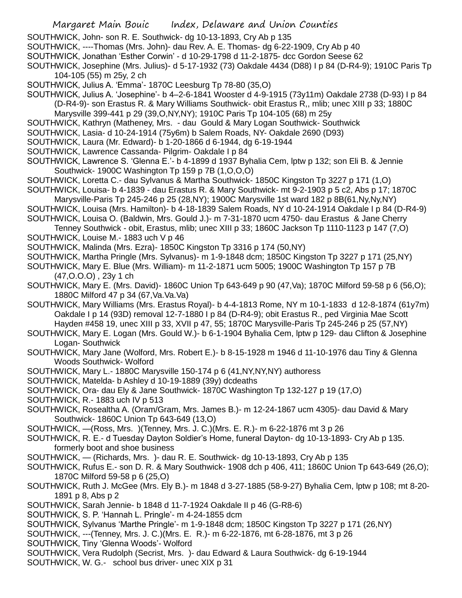- SOUTHWICK, John- son R. E. Southwick- dg 10-13-1893, Cry Ab p 135
- SOUTHWICK, ----Thomas (Mrs. John)- dau Rev. A. E. Thomas- dg 6-22-1909, Cry Ab p 40
- SOUTHWICK, Jonathan 'Esther Corwin' d 10-29-1798 d 11-2-1875- dcc Gordon Seese 62
- SOUTHWICK, Josephine (Mrs. Julius)- d 5-17-1932 (73) Oakdale 4434 (D88) I p 84 (D-R4-9); 1910C Paris Tp 104-105 (55) m 25y, 2 ch
- SOUTHWICK, Julius A. 'Emma'- 1870C Leesburg Tp 78-80 (35,O)
- SOUTHWICK, Julius A. 'Josephine'- b 4–2-6-1841 Wooster d 4-9-1915 (73y11m) Oakdale 2738 (D-93) I p 84 (D-R4-9)- son Erastus R. & Mary Williams Southwick- obit Erastus R,, mlib; unec XIII p 33; 1880C
	- Marysville 399-441 p 29 (39,O,NY,NY); 1910C Paris Tp 104-105 (68) m 25y
- SOUTHWICK, Kathryn (Matheney, Mrs. dau Gould & Mary Logan Southwick- Southwick
- SOUTHWICK, Lasia- d 10-24-1914 (75y6m) b Salem Roads, NY- Oakdale 2690 (D93)
- SOUTHWICK, Laura (Mr. Edward)- b 1-20-1866 d 6-1944, dg 6-19-1944
- SOUTHWICK, Lawrence Cassanda- Pilgrim- Oakdale I p 84
- SOUTHWICK, Lawrence S. 'Glenna E.'- b 4-1899 d 1937 Byhalia Cem, lptw p 132; son Eli B. & Jennie Southwick- 1900C Washington Tp 159 p 7B (1,O,O,O)
- SOUTHWICK, Loretta C.- dau Sylvanus & Martha Southwick- 1850C Kingston Tp 3227 p 171 (1,O)
- SOUTHWICK, Louisa- b 4-1839 dau Erastus R. & Mary Southwick- mt 9-2-1903 p 5 c2, Abs p 17; 1870C Marysville-Paris Tp 245-246 p 25 (28,NY); 1900C Marysville 1st ward 182 p 8B(61,Ny,Ny,NY)
- SOUTHWICK, Louisa (Mrs. Hamilton)- b 4-18-1839 Salem Roads, NY d 10-24-1914 Oakdale I p 84 (D-R4-9)
- SOUTHWICK, Louisa O. (Baldwin, Mrs. Gould J.)- m 7-31-1870 ucm 4750- dau Erastus & Jane Cherry
- Tenney Southwick obit, Erastus, mlib; unec XIII p 33; 1860C Jackson Tp 1110-1123 p 147 (7,O) SOUTHWICK, Louise M.- 1883 uch V p 46
- SOUTHWICK, Malinda (Mrs. Ezra)- 1850C Kingston Tp 3316 p 174 (50,NY)
- SOUTHWICK, Martha Pringle (Mrs. Sylvanus)- m 1-9-1848 dcm; 1850C Kingston Tp 3227 p 171 (25,NY)
- SOUTHWICK, Mary E. Blue (Mrs. William)- m 11-2-1871 ucm 5005; 1900C Washington Tp 157 p 7B (47,O.O.O) , 23y 1 ch
- SOUTHWICK, Mary E. (Mrs. David)- 1860C Union Tp 643-649 p 90 (47,Va); 1870C Milford 59-58 p 6 (56,O); 1880C Milford 47 p 34 (67,Va.Va.Va)
- SOUTHWICK, Mary Williams (Mrs. Erastus Royal)- b 4-4-1813 Rome, NY m 10-1-1833 d 12-8-1874 (61y7m) Oakdale I p 14 (93D) removal 12-7-1880 I p 84 (D-R4-9); obit Erastus R., ped Virginia Mae Scott Hayden #458 19, unec XIII p 33, XVII p 47, 55; 1870C Marysville-Paris Tp 245-246 p 25 (57,NY)
- SOUTHWICK, Mary E. Logan (Mrs. Gould W.)- b 6-1-1904 Byhalia Cem, lptw p 129- dau Clifton & Josephine Logan- Southwick
- SOUTHWICK, Mary Jane (Wolford, Mrs. Robert E.)- b 8-15-1928 m 1946 d 11-10-1976 dau Tiny & Glenna Woods Southwick- Wolford
- SOUTHWICK, Mary L.- 1880C Marysville 150-174 p 6 (41,NY,NY,NY) authoress
- SOUTHWICK, Matelda- b Ashley d 10-19-1889 (39y) dcdeaths
- SOUTHWICK, Ora- dau Ely & Jane Southwick- 1870C Washington Tp 132-127 p 19 (17,O)
- SOUTHWICK, R.- 1883 uch IV p 513
- SOUTHWICK, Rosealtha A. (Oram/Gram, Mrs. James B.)- m 12-24-1867 ucm 4305)- dau David & Mary Southwick- 1860C Union Tp 643-649 (13,O)
- SOUTHWICK, —(Ross, Mrs. )(Tenney, Mrs. J. C.)(Mrs. E. R.)- m 6-22-1876 mt 3 p 26
- SOUTHWICK, R. E.- d Tuesday Dayton Soldier's Home, funeral Dayton- dg 10-13-1893- Cry Ab p 135. formerly boot and shoe business
- SOUTHWICK, (Richards, Mrs. )- dau R. E. Southwick- dg 10-13-1893, Cry Ab p 135
- SOUTHWICK, Rufus E.- son D. R. & Mary Southwick- 1908 dch p 406, 411; 1860C Union Tp 643-649 (26,O); 1870C Milford 59-58 p 6 (25,O)
- SOUTHWICK, Ruth J. McGee (Mrs. Ely B.)- m 1848 d 3-27-1885 (58-9-27) Byhalia Cem, lptw p 108; mt 8-20- 1891 p 8, Abs p 2
- SOUTHWICK, Sarah Jennie- b 1848 d 11-7-1924 Oakdale II p 46 (G-R8-6)
- SOUTHWICK, S. P. 'Hannah L. Pringle'- m 4-24-1855 dcm
- SOUTHWICK, Sylvanus 'Marthe Pringle'- m 1-9-1848 dcm; 1850C Kingston Tp 3227 p 171 (26,NY)
- SOUTHWICK, ---(Tenney, Mrs. J. C.)(Mrs. E. R.)- m 6-22-1876, mt 6-28-1876, mt 3 p 26
- SOUTHWICK, Tiny 'Glenna Woods'- Wolford
- SOUTHWICK, Vera Rudolph (Secrist, Mrs. )- dau Edward & Laura Southwick- dg 6-19-1944
- SOUTHWICK, W. G.- school bus driver- unec XIX p 31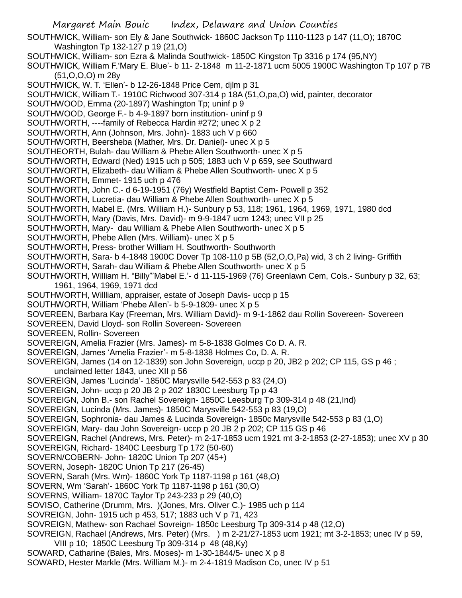Margaret Main Bouic Index, Delaware and Union Counties SOUTHWICK, William- son Ely & Jane Southwick- 1860C Jackson Tp 1110-1123 p 147 (11,O); 1870C Washington Tp 132-127 p 19 (21,O) SOUTHWICK, William- son Ezra & Malinda Southwick- 1850C Kingston Tp 3316 p 174 (95,NY) SOUTHWICK, William F.'Mary E. Blue'- b 11- 2-1848 m 11-2-1871 ucm 5005 1900C Washington Tp 107 p 7B (51,O,O,O) m 28y SOUTHWICK, W. T. 'Ellen'- b 12-26-1848 Price Cem, djlm p 31 SOUTHWICK, William T.- 1910C Richwood 307-314 p 18A (51,O,pa,O) wid, painter, decorator SOUTHWOOD, Emma (20-1897) Washington Tp; uninf p 9 SOUTHWOOD, George F.- b 4-9-1897 born institution- uninf p 9 SOUTHWORTH, ----family of Rebecca Hardin #272; unec X p 2 SOUTHWORTH, Ann (Johnson, Mrs. John)- 1883 uch V p 660 SOUTHWORTH, Beersheba (Mather, Mrs. Dr. Daniel)- unec X p 5 SOUTHEORTH, Bulah- dau William & Phebe Allen Southworth- unec X p 5 SOUTHWORTH, Edward (Ned) 1915 uch p 505; 1883 uch V p 659, see Southward SOUTHWORTH, Elizabeth- dau William & Phebe Allen Southworth- unec X p 5 SOUTHWORTH, Emmet- 1915 uch p 476 SOUTHWORTH, John C.- d 6-19-1951 (76y) Westfield Baptist Cem- Powell p 352 SOUTHWORTH, Lucretia- dau William & Phebe Allen Southworth- unec X p 5 SOUTHWORTH, Mabel E. (Mrs. William H.)- Sunbury p 53, 118; 1961, 1964, 1969, 1971, 1980 dcd SOUTHWORTH, Mary (Davis, Mrs. David)- m 9-9-1847 ucm 1243; unec VII p 25 SOUTHWORTH, Mary- dau William & Phebe Allen Southworth- unec X p 5 SOUTHWORTH, Phebe Allen (Mrs. William)- unec X p 5 SOUTHWORTH, Press- brother William H. Southworth- Southworth SOUTHWORTH, Sara- b 4-1848 1900C Dover Tp 108-110 p 5B (52,O,O,Pa) wid, 3 ch 2 living- Griffith SOUTHWORTH, Sarah- dau William & Phebe Allen Southworth- unec X p 5 SOUTHWORTH, William H. "Billy"'Mabel E.'- d 11-115-1969 (76) Greenlawn Cem, Cols.- Sunbury p 32, 63; 1961, 1964, 1969, 1971 dcd SOUTHWORTH, Willliam, appraiser, estate of Joseph Davis- uccp p 15 SOUTHWORTH, William 'Phebe Allen'- b 5-9-1809- unec X p 5 SOVEREEN, Barbara Kay (Freeman, Mrs. William David)- m 9-1-1862 dau Rollin Sovereen- Sovereen SOVEREEN, David Lloyd- son Rollin Sovereen- Sovereen SOVEREEN, Rollin- Sovereen SOVEREIGN, Amelia Frazier (Mrs. James)- m 5-8-1838 Golmes Co D. A. R. SOVEREIGN, James 'Amelia Frazier'- m 5-8-1838 Holmes Co, D. A. R. SOVEREIGN, James (14 on 12-1839) son John Sovereign, uccp p 20, JB2 p 202; CP 115, GS p 46 ; unclaimed letter 1843, unec XII p 56 SOVEREIGN, James 'Lucinda'- 1850C Marysville 542-553 p 83 (24,O) SOVEREIGN, John- uccp p 20 JB 2 p 202' 1830C Leesburg Tp p 43 SOVEREIGN, John B.- son Rachel Sovereign- 1850C Leesburg Tp 309-314 p 48 (21,Ind) SOVEREIGN, Lucinda (Mrs. James)- 1850C Marysville 542-553 p 83 (19,O) SOVEREIGN, Sophronia- dau James & Lucinda Sovereign- 1850c Marysville 542-553 p 83 (1,O) SOVEREIGN, Mary- dau John Sovereign- uccp p 20 JB 2 p 202; CP 115 GS p 46 SOVEREIGN, Rachel (Andrews, Mrs. Peter)- m 2-17-1853 ucm 1921 mt 3-2-1853 (2-27-1853); unec XV p 30 SOVEREIGN, Richard- 1840C Leesburg Tp 172 (50-60) SOVERN/COBERN- John- 1820C Union Tp 207 (45+) SOVERN, Joseph- 1820C Union Tp 217 (26-45) SOVERN, Sarah (Mrs. Wm)- 1860C York Tp 1187-1198 p 161 (48,O) SOVERN, Wm 'Sarah'- 1860C York Tp 1187-1198 p 161 (30,O) SOVERNS, William- 1870C Taylor Tp 243-233 p 29 (40,O) SOVISO, Catherine (Drumm, Mrs. )(Jones, Mrs. Oliver C.)- 1985 uch p 114 SOVREIGN, John- 1915 uch p 453, 517; 1883 uch V p 71, 423 SOVREIGN, Mathew- son Rachael Sovreign- 1850c Leesburg Tp 309-314 p 48 (12,O) SOVREIGN, Rachael (Andrews, Mrs. Peter) (Mrs. ) m 2-21/27-1853 ucm 1921; mt 3-2-1853; unec IV p 59, VIII p 10; 1850C Leesburg Tp 309-314 p 48 (48,Ky) SOWARD, Catharine (Bales, Mrs. Moses)- m 1-30-1844/5- unec X p 8 SOWARD, Hester Markle (Mrs. William M.)- m 2-4-1819 Madison Co, unec IV p 51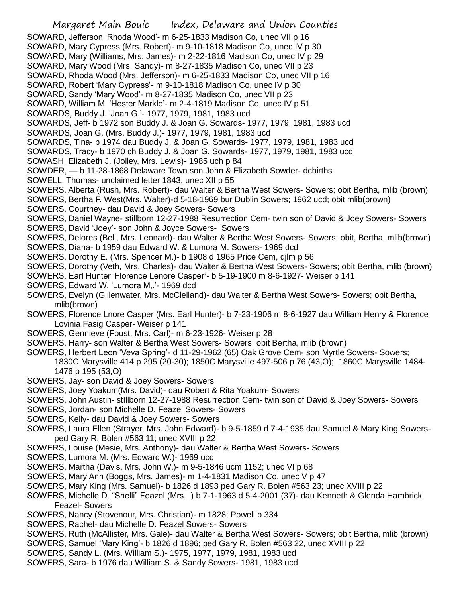Margaret Main Bouic Index, Delaware and Union Counties SOWARD, Jefferson 'Rhoda Wood'- m 6-25-1833 Madison Co, unec VII p 16 SOWARD, Mary Cypress (Mrs. Robert)- m 9-10-1818 Madison Co, unec IV p 30 SOWARD, Mary (Williams, Mrs. James)- m 2-22-1816 Madison Co, unec IV p 29 SOWARD, Mary Wood (Mrs. Sandy)- m 8-27-1835 Madison Co, unec VII p 23 SOWARD, Rhoda Wood (Mrs. Jefferson)- m 6-25-1833 Madison Co, unec VII p 16 SOWARD, Robert 'Mary Cypress'- m 9-10-1818 Madison Co, unec IV p 30 SOWARD, Sandy 'Mary Wood'- m 8-27-1835 Madison Co, unec VII p 23 SOWARD, William M. 'Hester Markle'- m 2-4-1819 Madison Co, unec IV p 51 SOWARDS, Buddy J. 'Joan G.'- 1977, 1979, 1981, 1983 ucd SOWARDS, Jeff- b 1972 son Buddy J. & Joan G. Sowards- 1977, 1979, 1981, 1983 ucd SOWARDS, Joan G. (Mrs. Buddy J.)- 1977, 1979, 1981, 1983 ucd SOWARDS, Tina- b 1974 dau Buddy J. & Joan G. Sowards- 1977, 1979, 1981, 1983 ucd SOWARDS, Tracy- b 1970 ch Buddy J. & Joan G. Sowards- 1977, 1979, 1981, 1983 ucd SOWASH, Elizabeth J. (Jolley, Mrs. Lewis)- 1985 uch p 84 SOWDER, — b 11-28-1868 Delaware Town son John & Elizabeth Sowder- dcbirths SOWELL, Thomas- unclaimed letter 1843, unec XII p 55 SOWERS. Alberta (Rush, Mrs. Robert)- dau Walter & Bertha West Sowers- Sowers; obit Bertha, mlib (brown) SOWERS, Bertha F. West(Mrs. Walter)-d 5-18-1969 bur Dublin Sowers; 1962 ucd; obit mlib(brown) SOWERS, Courtney- dau David & Joey Sowers- Sowers

SOWERS, Daniel Wayne- stillborn 12-27-1988 Resurrection Cem- twin son of David & Joey Sowers- Sowers SOWERS, David 'Joey'- son John & Joyce Sowers- Sowers

- SOWERS, Delores (Bell, Mrs. Leonard)- dau Walter & Bertha West Sowers- Sowers; obit, Bertha, mlib(brown)
- SOWERS, Diana- b 1959 dau Edward W. & Lumora M. Sowers- 1969 dcd
- SOWERS, Dorothy E. (Mrs. Spencer M.)- b 1908 d 1965 Price Cem, djlm p 56
- SOWERS, Dorothy (Veth, Mrs. Charles)- dau Walter & Bertha West Sowers- Sowers; obit Bertha, mlib (brown)
- SOWERS, Earl Hunter 'Florence Lenore Casper'- b 5-19-1900 m 8-6-1927- Weiser p 141
- SOWERS, Edward W. 'Lumora M,.'- 1969 dcd
- SOWERS, Evelyn (Gillenwater, Mrs. McClelland)- dau Walter & Bertha West Sowers- Sowers; obit Bertha, mlib(brown)
- SOWERS, Florence Lnore Casper (Mrs. Earl Hunter)- b 7-23-1906 m 8-6-1927 dau William Henry & Florence Lovinia Fasig Casper- Weiser p 141
- SOWERS, Gennieve (Foust, Mrs. Carl)- m 6-23-1926- Weiser p 28
- SOWERS, Harry- son Walter & Bertha West Sowers- Sowers; obit Bertha, mlib (brown)
- SOWERS, Herbert Leon 'Veva Spring'- d 11-29-1962 (65) Oak Grove Cem- son Myrtle Sowers- Sowers; 1830C Marysville 414 p 295 (20-30); 1850C Marysville 497-506 p 76 (43,O); 1860C Marysville 1484- 1476 p 195 (53,O)
- SOWERS, Jay- son David & Joey Sowers- Sowers
- SOWERS, Joey Yoakum(Mrs. David)- dau Robert & Rita Yoakum- Sowers
- SOWERS, John Austin- stIllborn 12-27-1988 Resurrection Cem- twin son of David & Joey Sowers- Sowers
- SOWERS, Jordan- son Michelle D. Feazel Sowers- Sowers
- SOWERS, Kelly- dau David & Joey Sowers- Sowers
- SOWERS, Laura Ellen (Strayer, Mrs. John Edward)- b 9-5-1859 d 7-4-1935 dau Samuel & Mary King Sowersped Gary R. Bolen #563 11; unec XVIII p 22
- SOWERS, Louise (Mesie, Mrs. Anthony)- dau Walter & Bertha West Sowers- Sowers
- SOWERS, Lumora M. (Mrs. Edward W.)- 1969 ucd
- SOWERS, Martha (Davis, Mrs. John W.)- m 9-5-1846 ucm 1152; unec VI p 68
- SOWERS, Mary Ann (Boggs, Mrs. James)- m 1-4-1831 Madison Co, unec V p 47
- SOWERS, Mary King (Mrs. Samuel)- b 1826 d 1893 ped Gary R. Bolen #563 23; unec XVIII p 22
- SOWERS, Michelle D. "Shelli" Feazel (Mrs. ) b 7-1-1963 d 5-4-2001 (37)- dau Kenneth & Glenda Hambrick Feazel- Sowers
- SOWERS, Nancy (Stovenour, Mrs. Christian)- m 1828; Powell p 334
- SOWERS, Rachel- dau Michelle D. Feazel Sowers- Sowers
- SOWERS, Ruth (McAllister, Mrs. Gale)- dau Walter & Bertha West Sowers- Sowers; obit Bertha, mlib (brown)
- SOWERS, Samuel 'Mary King'- b 1826 d 1896; ped Gary R. Bolen #563 22, unec XVIII p 22
- SOWERS, Sandy L. (Mrs. William S.)- 1975, 1977, 1979, 1981, 1983 ucd
- SOWERS, Sara- b 1976 dau William S. & Sandy Sowers- 1981, 1983 ucd